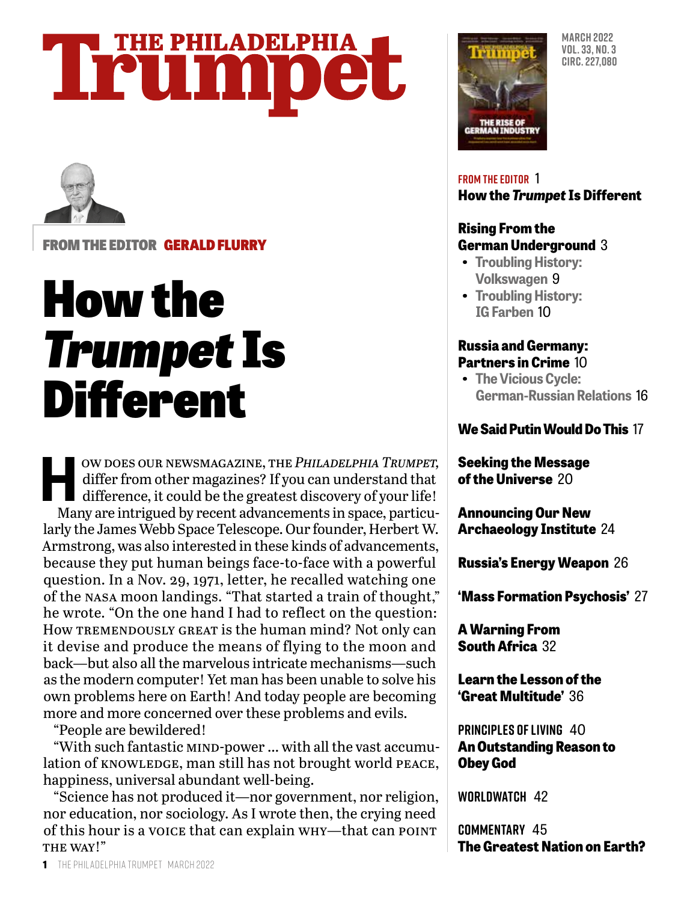# **THE PHILADELPHIA** Trumpet



FROM THE EDITOR GERALD FLURRY

# How the *Trumpet* Is Different

W DOES OUR NEWSMAGAZINE, THE *PHILADELPHIA TRUMPET*,<br>differ from other magazines? If you can understand that<br>difference, it could be the greatest discovery of your life!<br>Many are intrigued by recent advancements in space, differ from other magazines? If you can understand that difference, it could be the greatest discovery of your life! Many are intrigued by recent advancements in space, particularly the James Webb Space Telescope. Our founder, Herbert W. Armstrong, was also interested in these kinds of advancements, because they put human beings face-to-face with a powerful question. In a Nov. 29, 1971, letter, he recalled watching one of the nasa moon landings. "That started a train of thought," he wrote. "On the one hand I had to reflect on the question: How TREMENDOUSLY GREAT is the human mind? Not only can it devise and produce the means of flying to the moon and back—but also all the marvelous intricate mechanisms—such as the modern computer! Yet man has been unable to solve his own problems here on Earth! And today people are becoming more and more concerned over these problems and evils.

"People are bewildered!

"With such fantastic mind-power … with all the vast accumulation of KNOWLEDGE, man still has not brought world PEACE, happiness, universal abundant well-being.

"Science has not produced it—nor government, nor religion, nor education, nor sociology. As I wrote then, the crying need of this hour is a voice that can explain why—that can point THE WAY!"



**MARCH 2022 VOL. 33, NO. 3 CIRC. 227,080**

#### **FROM THE EDITOR** 1 **How the** *Trumpet* **Is Different**

#### **Rising From the German Underground** 3

- **Troubling History: Volkswagen** 9
- **Troubling History: IG Farben** 10

#### **Russia and Germany: Partners in Crime** 10

**• The Vicious Cycle: German-Russian Relations** 16

### **We Said Putin Would Do This** 17

**Seeking the Message of the Universe** 20

**Announcing Our New Archaeology Institute** 24

**Russia's Energy Weapon** 26

**'Mass Formation Psychosis'** 27

**A Warning From South Africa** 32

**Learn the Lesson of the 'Great Multitude'** 36

**PRINCIPLES OF LIVING** 40 **An Outstanding Reason to Obey God**

**WORLDWATCH** 42

**COMMENTARY** 45 **The Greatest Nation on Earth?**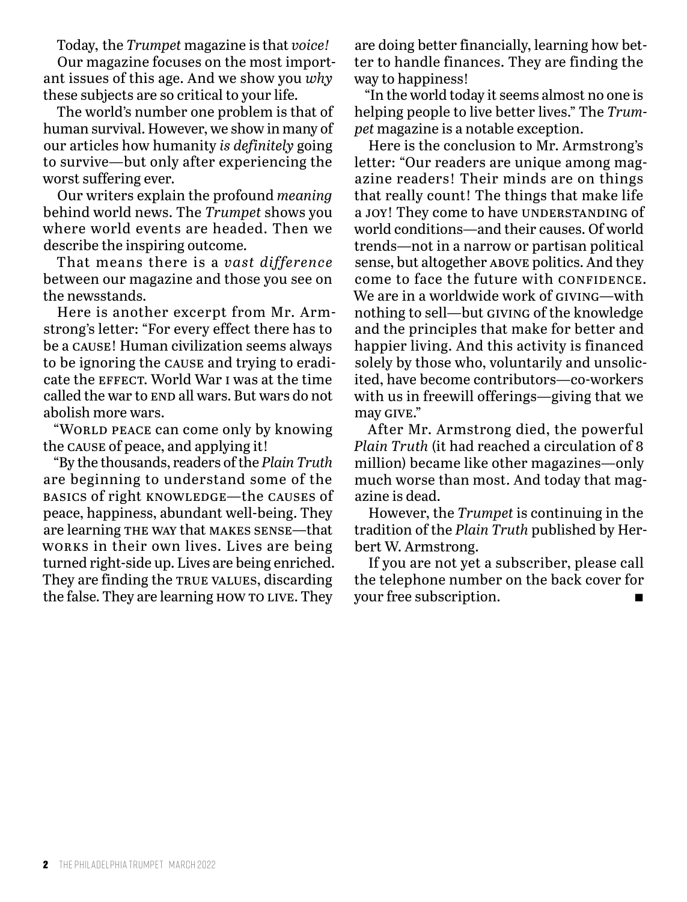Today, the *Trumpet* magazine is that *voice!*

Our magazine focuses on the most important issues of this age. And we show you *why* these subjects are so critical to your life.

The world's number one problem is that of human survival. However, we show in many of our articles how humanity *is definitely* going to survive—but only after experiencing the worst suffering ever.

Our writers explain the profound *meaning* behind world news. The *Trumpet* shows you where world events are headed. Then we describe the inspiring outcome.

That means there is a *vast difference* between our magazine and those you see on the newsstands.

Here is another excerpt from Mr. Armstrong's letter: "For every effect there has to be a cause! Human civilization seems always to be ignoring the cause and trying to eradicate the effect. World War i was at the time called the war to end all wars. But wars do not abolish more wars.

"WORLD PEACE can come only by knowing the cause of peace, and applying it!

"By the thousands, readers of the *Plain Truth* are beginning to understand some of the basics of right knowledge—the causes of peace, happiness, abundant well-being. They are learning the way that makes sense—that works in their own lives. Lives are being turned right-side up. Lives are being enriched. They are finding the TRUE VALUES, discarding the false. They are learning how to live. They

are doing better financially, learning how better to handle finances. They are finding the way to happiness!

"In the world today it seems almost no one is helping people to live better lives." The *Trumpet* magazine is a notable exception.

Here is the conclusion to Mr. Armstrong's letter: "Our readers are unique among magazine readers! Their minds are on things that really count! The things that make life a joy! They come to have UNDERSTANDING of world conditions—and their causes. Of world trends—not in a narrow or partisan political sense, but altogether above politics. And they come to face the future with CONFIDENCE. We are in a worldwide work of GIVING—with nothing to sell—but giving of the knowledge and the principles that make for better and happier living. And this activity is financed solely by those who, voluntarily and unsolicited, have become contributors—co-workers with us in freewill offerings—giving that we may give."

After Mr. Armstrong died, the powerful *Plain Truth* (it had reached a circulation of 8 million) became like other magazines—only much worse than most. And today that magazine is dead.

However, the *Trumpet* is continuing in the tradition of the *Plain Truth* published by Herbert W. Armstrong.

If you are not yet a subscriber, please call the telephone number on the back cover for your free subscription.  $\blacksquare$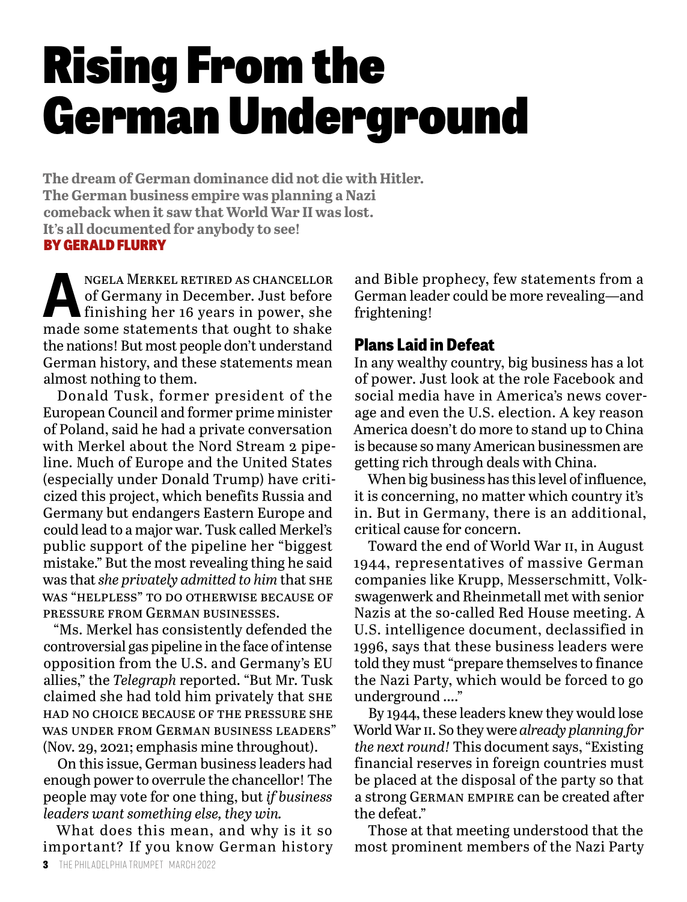# Rising From the German Underground

**The dream of German dominance did not die with Hitler. The German business empire was planning a Nazi comeback when it saw that World War II was lost. It's all documented for anybody to see!** BY GERALD FLURRY

NGELA MERKEL RETIRED AS CHANCELLOR<br>
of Germany in December. Just before<br>
finishing her 16 years in power, she<br>
mede some statements that ought to shelse of Germany in December. Just before made some statements that ought to shake the nations! But most people don't understand German history, and these statements mean almost nothing to them.

Donald Tusk, former president of the European Council and former prime minister of Poland, said he had a private conversation with Merkel about the Nord Stream 2 pipeline. Much of Europe and the United States (especially under Donald Trump) have criticized this project, which benefits Russia and Germany but endangers Eastern Europe and could lead to a major war. Tusk called Merkel's public support of the pipeline her "biggest mistake." But the most revealing thing he said was that *she privately admitted to him* that she was "helpless" to do otherwise because of pressure from German businesses.

"Ms. Merkel has consistently defended the controversial gas pipeline in the face of intense opposition from the U.S. and Germany's EU allies," the *Telegraph* reported. "But Mr. Tusk claimed she had told him privately that she had no choice because of the pressure she was under from German business leaders" (Nov. 29, 2021; emphasis mine throughout).

On this issue, German business leaders had enough power to overrule the chancellor! The people may vote for one thing, but *if business leaders want something else, they win.*

What does this mean, and why is it so important? If you know German history

and Bible prophecy, few statements from a German leader could be more revealing—and frightening!

### **Plans Laid in Defeat**

In any wealthy country, big business has a lot of power. Just look at the role Facebook and social media have in America's news coverage and even the U.S. election. A key reason America doesn't do more to stand up to China is because so many American businessmen are getting rich through deals with China.

When big business has this level of influence, it is concerning, no matter which country it's in. But in Germany, there is an additional, critical cause for concern.

Toward the end of World War ii, in August 1944, representatives of massive German companies like Krupp, Messerschmitt, Volkswagenwerk and Rheinmetall met with senior Nazis at the so-called Red House meeting. A U.S. intelligence document, declassified in 1996, says that these business leaders were told they must "prepare themselves to finance the Nazi Party, which would be forced to go underground …."

By 1944, these leaders knew they would lose World War ii. So they were *already planning for the next round!* This document says, "Existing financial reserves in foreign countries must be placed at the disposal of the party so that a strong German empire can be created after the defeat."

Those at that meeting understood that the most prominent members of the Nazi Party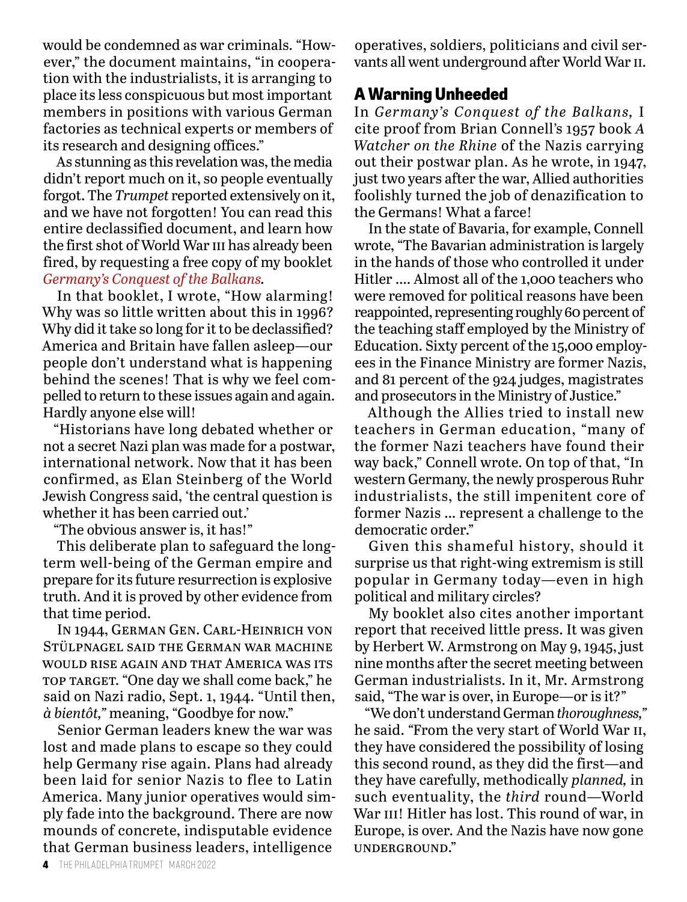would be condemned as war criminals. "However," the document maintains, "in cooperation with the industrialists, it is arranging to place its less conspicuous but most important members in positions with various German factories as technical experts or members of its research and designing offices."

As stunning as this revelation was, the media didn't report much on it, so people eventually forgot. The *Trumpet* reported extensively on it, and we have not forgotten! You can read this entire declassified document, and learn how the first shot of World War iii has already been fired, by requesting a free copy of my booklet *Germany's Conquest of the Balkans.*

In that booklet, I wrote, "How alarming! Why was so little written about this in 1996? Why did it take so long for it to be declassified? America and Britain have fallen asleep—our people don't understand what is happening behind the scenes! That is why we feel compelled to return to these issues again and again. Hardly anyone else will!

"Historians have long debated whether or not a secret Nazi plan was made for a postwar, international network. Now that it has been confirmed, as Elan Steinberg of the World Jewish Congress said, 'the central question is whether it has been carried out.'

"The obvious answer is, it has!"

This deliberate plan to safeguard the longterm well-being of the German empire and prepare for its future resurrection is explosive truth. And it is proved by other evidence from that time period.

In 1944, German Gen. Carl-Heinrich von Stülpnagel said the German war machine would rise again and that America was its top target. "One day we shall come back," he said on Nazi radio, Sept. 1, 1944. "Until then, *à bientôt,"* meaning, "Goodbye for now."

Senior German leaders knew the war was lost and made plans to escape so they could help Germany rise again. Plans had already been laid for senior Nazis to flee to Latin America. Many junior operatives would simply fade into the background. There are now mounds of concrete, indisputable evidence that German business leaders, intelligence

operatives, soldiers, politicians and civil servants all went underground after World War ii.

### **A Warning Unheeded**

In *Germany's Conquest of the Balkans,* I cite proof from Brian Connell's 1957 book *A Watcher on the Rhine* of the Nazis carrying out their postwar plan. As he wrote, in 1947, just two years after the war, Allied authorities foolishly turned the job of denazification to the Germans! What a farce!

In the state of Bavaria, for example, Connell wrote, "The Bavarian administration is largely in the hands of those who controlled it under Hitler …. Almost all of the 1,000 teachers who were removed for political reasons have been reappointed, representing roughly 60 percent of the teaching staff employed by the Ministry of Education. Sixty percent of the 15,000 employees in the Finance Ministry are former Nazis, and 81 percent of the 924 judges, magistrates and prosecutors in the Ministry of Justice."

Although the Allies tried to install new teachers in German education, "many of the former Nazi teachers have found their way back," Connell wrote. On top of that, "In western Germany, the newly prosperous Ruhr industrialists, the still impenitent core of former Nazis … represent a challenge to the democratic order."

Given this shameful history, should it surprise us that right-wing extremism is still popular in Germany today—even in high political and military circles?

My booklet also cites another important report that received little press. It was given by Herbert W. Armstrong on May 9, 1945, just nine months after the secret meeting between German industrialists. In it, Mr. Armstrong said, "The war is over, in Europe—or is it?"

"We don't understand German *thoroughness,"* he said. *"*From the very start of World War ii, they have considered the possibility of losing this second round, as they did the first—and they have carefully, methodically *planned,* in such eventuality, the *third* round—World War III! Hitler has lost. This round of war, in Europe, is over. And the Nazis have now gone underground."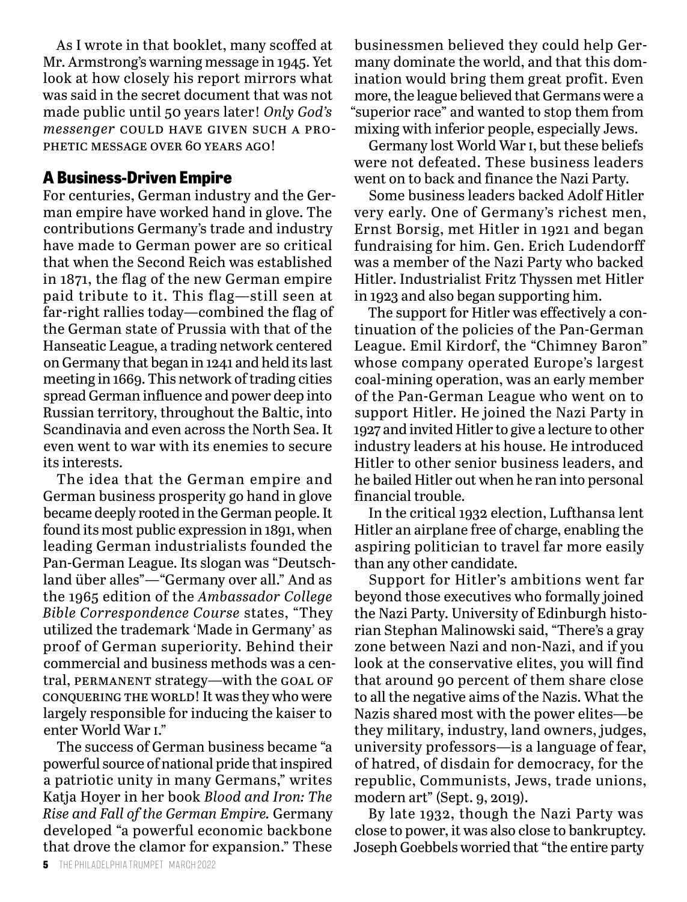As I wrote in that booklet, many scoffed at Mr. Armstrong's warning message in 1945. Yet look at how closely his report mirrors what was said in the secret document that was not made public until 50 years later! *Only God's messenger* could have given such a prophetic message over 60 years ago!

### **A Business-Driven Empire**

For centuries, German industry and the German empire have worked hand in glove. The contributions Germany's trade and industry have made to German power are so critical that when the Second Reich was established in 1871, the flag of the new German empire paid tribute to it. This flag—still seen at far-right rallies today—combined the flag of the German state of Prussia with that of the Hanseatic League, a trading network centered on Germany that began in 1241 and held its last meeting in 1669. This network of trading cities spread German influence and power deep into Russian territory, throughout the Baltic, into Scandinavia and even across the North Sea. It even went to war with its enemies to secure its interests.

The idea that the German empire and German business prosperity go hand in glove became deeply rooted in the German people. It found its most public expression in 1891, when leading German industrialists founded the Pan-German League. Its slogan was "Deutschland über alles"—"Germany over all." And as the 1965 edition of the *Ambassador College Bible Correspondence Course* states, "They utilized the trademark 'Made in Germany' as proof of German superiority. Behind their commercial and business methods was a central, PERMANENT strategy—with the GOAL OF conquering the world! It was they who were largely responsible for inducing the kaiser to enter World War i."

The success of German business became "a powerful source of national pride that inspired a patriotic unity in many Germans," writes Katja Hoyer in her book *Blood and Iron: The Rise and Fall of the German Empire.* Germany developed "a powerful economic backbone that drove the clamor for expansion." These

businessmen believed they could help Germany dominate the world, and that this domination would bring them great profit. Even more, the league believed that Germans were a "superior race" and wanted to stop them from mixing with inferior people, especially Jews.

Germany lost World War i, but these beliefs were not defeated. These business leaders went on to back and finance the Nazi Party.

Some business leaders backed Adolf Hitler very early. One of Germany's richest men, Ernst Borsig, met Hitler in 1921 and began fundraising for him. Gen. Erich Ludendorff was a member of the Nazi Party who backed Hitler. Industrialist Fritz Thyssen met Hitler in 1923 and also began supporting him.

The support for Hitler was effectively a continuation of the policies of the Pan-German League. Emil Kirdorf, the "Chimney Baron" whose company operated Europe's largest coal-mining operation, was an early member of the Pan-German League who went on to support Hitler. He joined the Nazi Party in 1927 and invited Hitler to give a lecture to other industry leaders at his house. He introduced Hitler to other senior business leaders, and he bailed Hitler out when he ran into personal financial trouble.

In the critical 1932 election, Lufthansa lent Hitler an airplane free of charge, enabling the aspiring politician to travel far more easily than any other candidate.

Support for Hitler's ambitions went far beyond those executives who formally joined the Nazi Party. University of Edinburgh historian Stephan Malinowski said, "There's a gray zone between Nazi and non-Nazi, and if you look at the conservative elites, you will find that around 90 percent of them share close to all the negative aims of the Nazis. What the Nazis shared most with the power elites—be they military, industry, land owners, judges, university professors—is a language of fear, of hatred, of disdain for democracy, for the republic, Communists, Jews, trade unions, modern art" (Sept. 9, 2019).

By late 1932, though the Nazi Party was close to power, it was also close to bankruptcy. Joseph Goebbels worried that "the entire party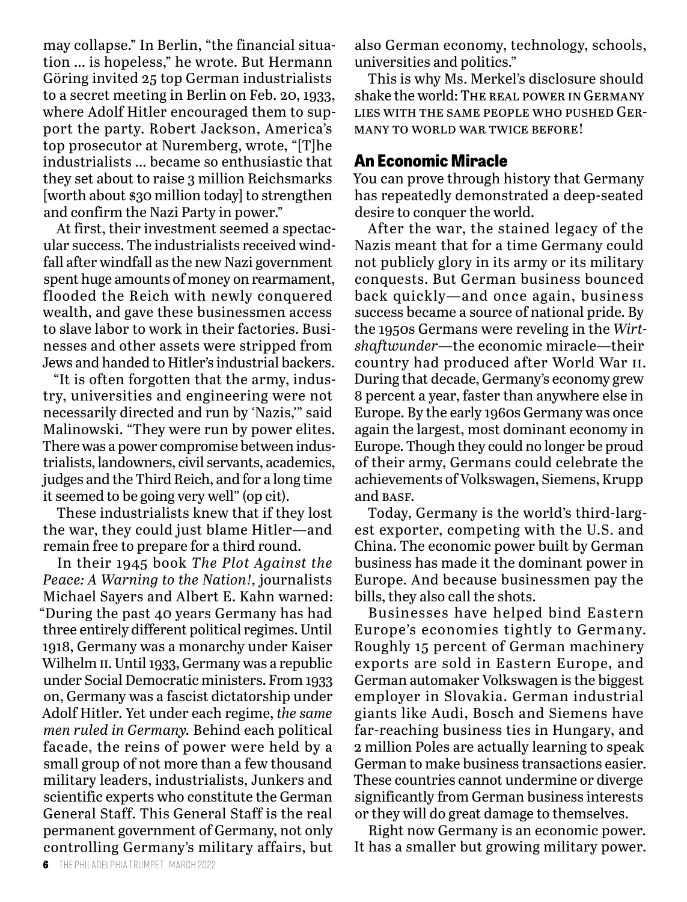may collapse." In Berlin, "the financial situation … is hopeless," he wrote. But Hermann Göring invited 25 top German industrialists to a secret meeting in Berlin on Feb. 20, 1933, where Adolf Hitler encouraged them to support the party. Robert Jackson, America's top prosecutor at Nuremberg, wrote, "[T]he industrialists … became so enthusiastic that they set about to raise 3 million Reichsmarks [worth about \$30 million today] to strengthen and confirm the Nazi Party in power."

At first, their investment seemed a spectacular success. The industrialists received windfall after windfall as the new Nazi government spent huge amounts of money on rearmament, flooded the Reich with newly conquered wealth, and gave these businessmen access to slave labor to work in their factories. Businesses and other assets were stripped from Jews and handed to Hitler's industrial backers.

"It is often forgotten that the army, industry, universities and engineering were not necessarily directed and run by 'Nazis,'" said Malinowski. "They were run by power elites. There was a power compromise between industrialists, landowners, civil servants, academics, judges and the Third Reich, and for a long time it seemed to be going very well" (op cit).

These industrialists knew that if they lost the war, they could just blame Hitler—and remain free to prepare for a third round.

In their 1945 book *The Plot Against the Peace: A Warning to the Nation!,* journalists Michael Sayers and Albert E. Kahn warned: "During the past 40 years Germany has had three entirely different political regimes. Until 1918, Germany was a monarchy under Kaiser Wilhelm II. Until 1933, Germany was a republic under Social Democratic ministers. From 1933 on, Germany was a fascist dictatorship under Adolf Hitler. Yet under each regime, *the same men ruled in Germany.* Behind each political facade, the reins of power were held by a small group of not more than a few thousand military leaders, industrialists, Junkers and scientific experts who constitute the German General Staff. This General Staff is the real permanent government of Germany, not only controlling Germany's military affairs, but

also German economy, technology, schools, universities and politics."

This is why Ms. Merkel's disclosure should shake the world: The real power in Germany lies with the same people who pushed Germany to world war twice before!

#### **An Economic Miracle**

You can prove through history that Germany has repeatedly demonstrated a deep-seated desire to conquer the world.

After the war, the stained legacy of the Nazis meant that for a time Germany could not publicly glory in its army or its military conquests. But German business bounced back quickly—and once again, business success became a source of national pride. By the 1950s Germans were reveling in the *Wirtshaftwunder*—the economic miracle—their country had produced after World War ii. During that decade, Germany's economy grew 8 percent a year, faster than anywhere else in Europe. By the early 1960s Germany was once again the largest, most dominant economy in Europe. Though they could no longer be proud of their army, Germans could celebrate the achievements of Volkswagen, Siemens, Krupp and BASE.

Today, Germany is the world's third-largest exporter, competing with the U.S. and China. The economic power built by German business has made it the dominant power in Europe. And because businessmen pay the bills, they also call the shots.

Businesses have helped bind Eastern Europe's economies tightly to Germany. Roughly 15 percent of German machinery exports are sold in Eastern Europe, and German automaker Volkswagen is the biggest employer in Slovakia. German industrial giants like Audi, Bosch and Siemens have far-reaching business ties in Hungary, and 2 million Poles are actually learning to speak German to make business transactions easier. These countries cannot undermine or diverge significantly from German business interests or they will do great damage to themselves.

Right now Germany is an economic power. It has a smaller but growing military power.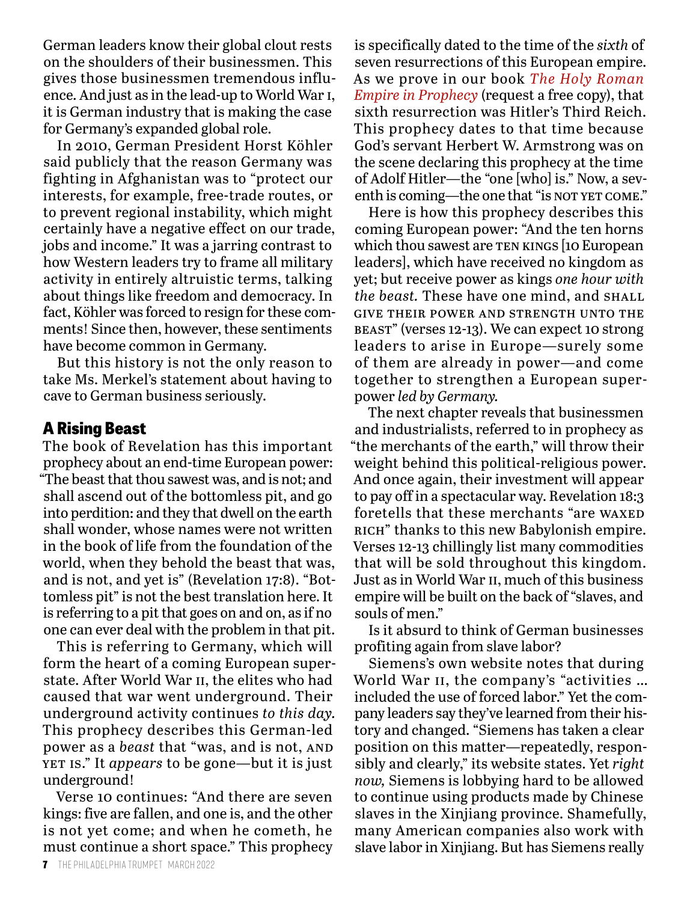German leaders know their global clout rests on the shoulders of their businessmen. This gives those businessmen tremendous influence. And just as in the lead-up to World War i, it is German industry that is making the case for Germany's expanded global role.

In 2010, German President Horst Köhler said publicly that the reason Germany was fighting in Afghanistan was to "protect our interests, for example, free-trade routes, or to prevent regional instability, which might certainly have a negative effect on our trade, jobs and income." It was a jarring contrast to how Western leaders try to frame all military activity in entirely altruistic terms, talking about things like freedom and democracy. In fact, Köhler was forced to resign for these comments! Since then, however, these sentiments have become common in Germany.

But this history is not the only reason to take Ms. Merkel's statement about having to cave to German business seriously.

#### **A Rising Beast**

The book of Revelation has this important prophecy about an end-time European power: "The beast that thou sawest was, and is not; and shall ascend out of the bottomless pit, and go into perdition: and they that dwell on the earth shall wonder, whose names were not written in the book of life from the foundation of the world, when they behold the beast that was, and is not, and yet is" (Revelation 17:8). "Bottomless pit" is not the best translation here. It is referring to a pit that goes on and on, as if no one can ever deal with the problem in that pit.

This is referring to Germany, which will form the heart of a coming European superstate. After World War II, the elites who had caused that war went underground. Their underground activity continues *to this day.* This prophecy describes this German-led power as a *beast* that "was, and is not, and yet is." It *appears* to be gone—but it is just underground!

Verse 10 continues: "And there are seven kings: five are fallen, and one is, and the other is not yet come; and when he cometh, he must continue a short space." This prophecy

is specifically dated to the time of the *sixth* of seven resurrections of this European empire. As we prove in our book *The Holy Roman Empire in Prophecy* (request a free copy), that sixth resurrection was Hitler's Third Reich. This prophecy dates to that time because God's servant Herbert W. Armstrong was on the scene declaring this prophecy at the time of Adolf Hitler—the "one [who] is." Now, a seventh is coming—the one that "is not yet come."

Here is how this prophecy describes this coming European power: "And the ten horns which thou sawest are TEN KINGS [10 European leaders], which have received no kingdom as yet; but receive power as kings *one hour with the beast.* These have one mind, and SHALL give their power and strength unto the beast" (verses 12-13). We can expect 10 strong leaders to arise in Europe—surely some of them are already in power—and come together to strengthen a European superpower *led by Germany.*

The next chapter reveals that businessmen and industrialists, referred to in prophecy as "the merchants of the earth," will throw their weight behind this political-religious power. And once again, their investment will appear to pay off in a spectacular way. Revelation 18:3 foretells that these merchants "are WAXED RICH" thanks to this new Babylonish empire. Verses 12-13 chillingly list many commodities that will be sold throughout this kingdom. Just as in World War II, much of this business empire will be built on the back of "slaves, and souls of men."

Is it absurd to think of German businesses profiting again from slave labor?

Siemens's own website notes that during World War II, the company's "activities ... included the use of forced labor." Yet the company leaders say they've learned from their history and changed. "Siemens has taken a clear position on this matter—repeatedly, responsibly and clearly," its website states. Yet *right now,* Siemens is lobbying hard to be allowed to continue using products made by Chinese slaves in the Xinjiang province. Shamefully, many American companies also work with slave labor in Xinjiang. But has Siemens really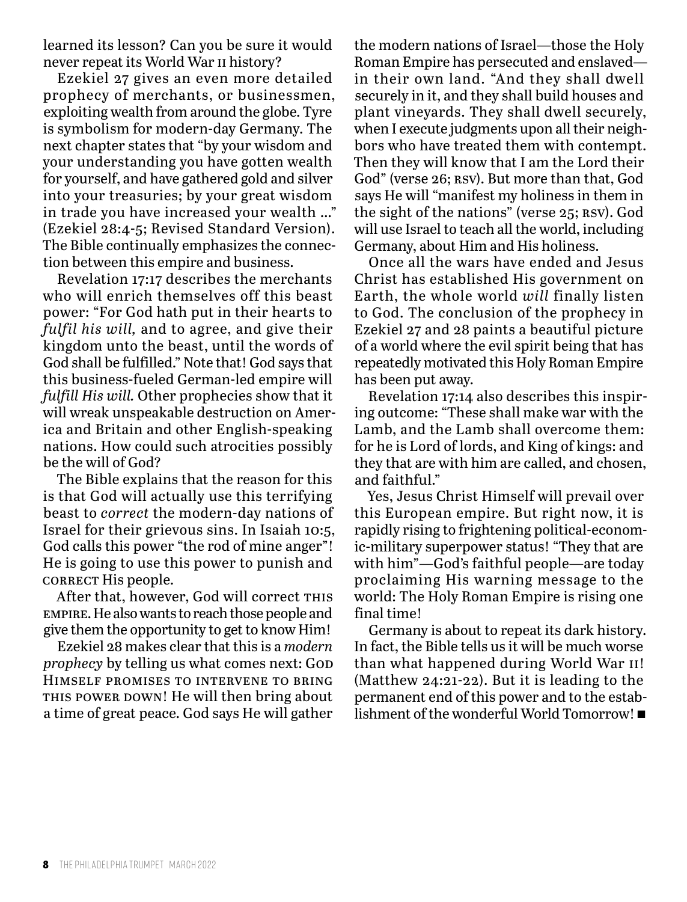learned its lesson? Can you be sure it would never repeat its World War ii history?

Ezekiel 27 gives an even more detailed prophecy of merchants, or businessmen, exploiting wealth from around the globe. Tyre is symbolism for modern-day Germany. The next chapter states that "by your wisdom and your understanding you have gotten wealth for yourself, and have gathered gold and silver into your treasuries; by your great wisdom in trade you have increased your wealth …" (Ezekiel 28:4-5; Revised Standard Version). The Bible continually emphasizes the connection between this empire and business.

Revelation 17:17 describes the merchants who will enrich themselves off this beast power: "For God hath put in their hearts to *fulfil his will,* and to agree, and give their kingdom unto the beast, until the words of God shall be fulfilled." Note that! God says that this business-fueled German-led empire will *fulfill His will.* Other prophecies show that it will wreak unspeakable destruction on America and Britain and other English-speaking nations. How could such atrocities possibly be the will of God?

The Bible explains that the reason for this is that God will actually use this terrifying beast to *correct* the modern-day nations of Israel for their grievous sins. In Isaiah 10:5, God calls this power "the rod of mine anger"! He is going to use this power to punish and CORRECT His people.

After that, however, God will correct THIS empire. He also wants to reach those people and give them the opportunity to get to know Him!

Ezekiel 28 makes clear that this is a *modern prophecy* by telling us what comes next: GOD Himself promises to intervene to bring THIS POWER DOWN! He will then bring about a time of great peace. God says He will gather the modern nations of Israel—those the Holy Roman Empire has persecuted and enslaved in their own land. "And they shall dwell securely in it, and they shall build houses and plant vineyards. They shall dwell securely, when I execute judgments upon all their neighbors who have treated them with contempt. Then they will know that I am the Lord their God" (verse 26; RSV). But more than that, God says He will "manifest my holiness in them in the sight of the nations" (verse 25; RSV). God will use Israel to teach all the world, including Germany, about Him and His holiness.

Once all the wars have ended and Jesus Christ has established His government on Earth, the whole world *will* finally listen to God. The conclusion of the prophecy in Ezekiel 27 and 28 paints a beautiful picture of a world where the evil spirit being that has repeatedly motivated this Holy Roman Empire has been put away.

Revelation 17:14 also describes this inspiring outcome: "These shall make war with the Lamb, and the Lamb shall overcome them: for he is Lord of lords, and King of kings: and they that are with him are called, and chosen, and faithful."

Yes, Jesus Christ Himself will prevail over this European empire. But right now, it is rapidly rising to frightening political-economic-military superpower status! "They that are with him"—God's faithful people—are today proclaiming His warning message to the world: The Holy Roman Empire is rising one final time!

Germany is about to repeat its dark history. In fact, the Bible tells us it will be much worse than what happened during World War ii! (Matthew 24:21-22). But it is leading to the permanent end of this power and to the establishment of the wonderful World Tomorrow!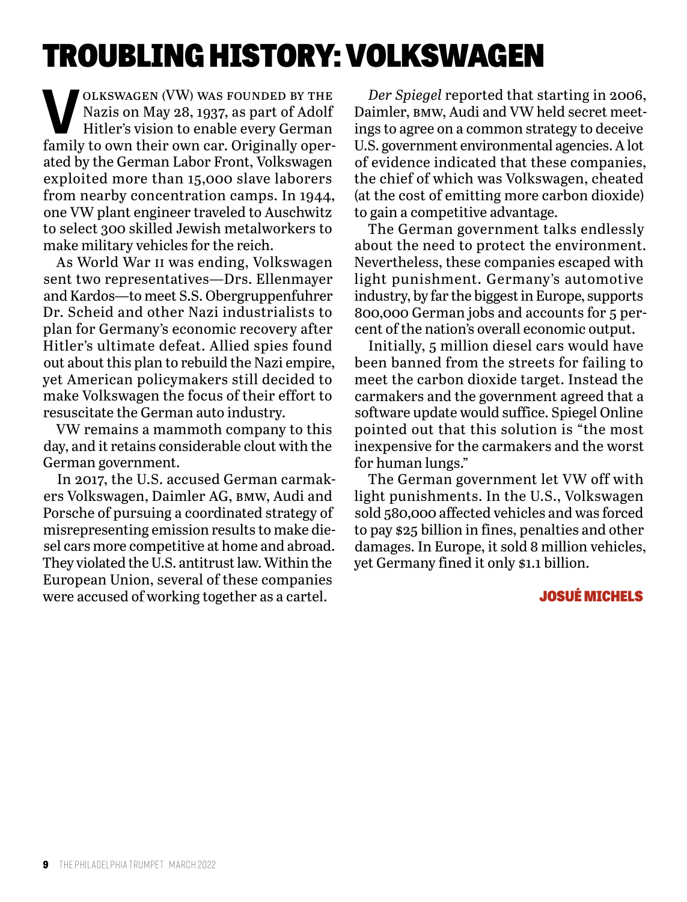# TROUBLING HISTORY: VOLKSWAGEN

**V**OLKSWAGEN (VW) WAS FOUNDED BY THE<br>Nazis on May 28, 1937, as part of Adolf<br>Hitler's vision to enable every German<br>family to our their own can Originally open Nazis on May 28, 1937, as part of Adolf Hitler's vision to enable every German family to own their own car. Originally operated by the German Labor Front, Volkswagen exploited more than 15,000 slave laborers from nearby concentration camps. In 1944, one VW plant engineer traveled to Auschwitz to select 300 skilled Jewish metalworkers to make military vehicles for the reich.

As World War ii was ending, Volkswagen sent two representatives—Drs. Ellenmayer and Kardos—to meet S.S. Obergruppenfuhrer Dr. Scheid and other Nazi industrialists to plan for Germany's economic recovery after Hitler's ultimate defeat. Allied spies found out about this plan to rebuild the Nazi empire, yet American policymakers still decided to make Volkswagen the focus of their effort to resuscitate the German auto industry.

VW remains a mammoth company to this day, and it retains considerable clout with the German government.

In 2017, the U.S. accused German carmakers Volkswagen, Daimler AG, bmw, Audi and Porsche of pursuing a coordinated strategy of misrepresenting emission results to make diesel cars more competitive at home and abroad. They violated the U.S. antitrust law. Within the European Union, several of these companies were accused of working together as a cartel.

*Der Spiegel* reported that starting in 2006, Daimler, bmw, Audi and VW held secret meetings to agree on a common strategy to deceive U.S. government environmental agencies. A lot of evidence indicated that these companies, the chief of which was Volkswagen, cheated (at the cost of emitting more carbon dioxide) to gain a competitive advantage.

The German government talks endlessly about the need to protect the environment. Nevertheless, these companies escaped with light punishment. Germany's automotive industry, by far the biggest in Europe, supports 800,000 German jobs and accounts for 5 percent of the nation's overall economic output.

Initially, 5 million diesel cars would have been banned from the streets for failing to meet the carbon dioxide target. Instead the carmakers and the government agreed that a software update would suffice. Spiegel Online pointed out that this solution is "the most inexpensive for the carmakers and the worst for human lungs."

The German government let VW off with light punishments. In the U.S., Volkswagen sold 580,000 affected vehicles and was forced to pay \$25 billion in fines, penalties and other damages. In Europe, it sold 8 million vehicles, yet Germany fined it only \$1.1 billion.

#### JOSUÉ MICHELS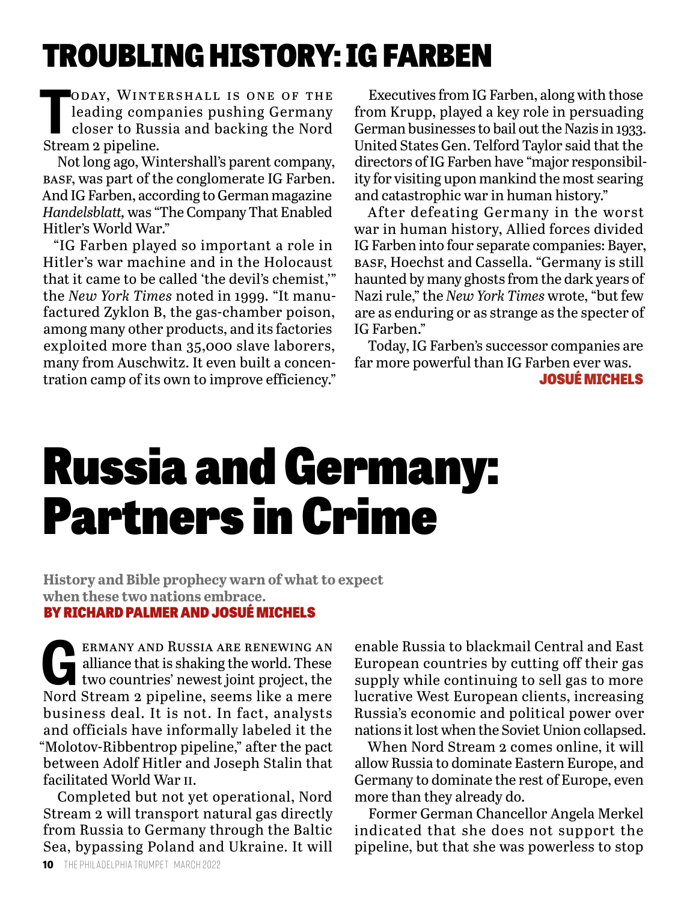# TROUBLING HISTORY: IG FARBEN

ODAY, WINTH<br>
leading comp<br>
closer to Rus.<br>
Stream 2 pipeline. oday, Wintershall is one of the leading companies pushing Germany closer to Russia and backing the Nord

Not long ago, Wintershall's parent company, basf, was part of the conglomerate IG Farben. And IG Farben, according to German magazine *Handelsblatt,* was "The Company That Enabled Hitler's World War."

"IG Farben played so important a role in Hitler's war machine and in the Holocaust that it came to be called 'the devil's chemist,'" the *New York Times* noted in 1999. "It manufactured Zyklon B, the gas-chamber poison, among many other products, and its factories exploited more than 35,000 slave laborers, many from Auschwitz. It even built a concentration camp of its own to improve efficiency."

Executives from IG Farben, along with those from Krupp, played a key role in persuading German businesses to bail out the Nazis in 1933. United States Gen. Telford Taylor said that the directors of IG Farben have "major responsibility for visiting upon mankind the most searing and catastrophic war in human history."

After defeating Germany in the worst war in human history, Allied forces divided IG Farben into four separate companies: Bayer, basf, Hoechst and Cassella. "Germany is still haunted by many ghosts from the dark years of Nazi rule," the *New York Times* wrote, "but few are as enduring or as strange as the specter of IG Farben."

Today, IG Farben's successor companies are far more powerful than IG Farben ever was. JOSUÉ MICHELS

# Russia and Germany: Partners in Crime

**History and Bible prophecy warn of what to expect when these two nations embrace.** BY RICHARD PALMER AND JOSUÉ MICHELS

ERMANY AND RUSSIA ARE RENEWING AN alliance that is shaking the world. These two countries' newest joint project, the Nord Stream a pingline seems like a more alliance that is shaking the world. These two countries' newest joint project, the Nord Stream 2 pipeline, seems like a mere business deal. It is not. In fact, analysts and officials have informally labeled it the "Molotov-Ribbentrop pipeline," after the pact between Adolf Hitler and Joseph Stalin that facilitated World War ii.

Completed but not yet operational, Nord Stream 2 will transport natural gas directly from Russia to Germany through the Baltic Sea, bypassing Poland and Ukraine. It will

enable Russia to blackmail Central and East European countries by cutting off their gas supply while continuing to sell gas to more lucrative West European clients, increasing Russia's economic and political power over nations it lost when the Soviet Union collapsed.

When Nord Stream 2 comes online, it will allow Russia to dominate Eastern Europe, and Germany to dominate the rest of Europe, even more than they already do.

Former German Chancellor Angela Merkel indicated that she does not support the pipeline, but that she was powerless to stop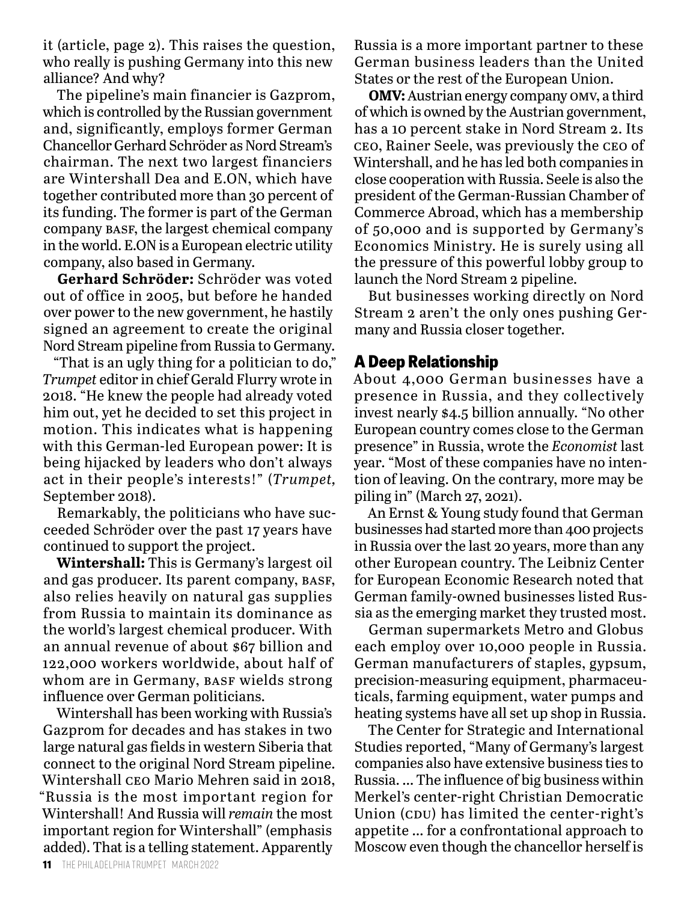it (article, page 2). This raises the question, who really is pushing Germany into this new alliance? And why?

The pipeline's main financier is Gazprom, which is controlled by the Russian government and, significantly, employs former German Chancellor Gerhard Schröder as Nord Stream's chairman. The next two largest financiers are Wintershall Dea and E.ON, which have together contributed more than 30 percent of its funding. The former is part of the German company basf, the largest chemical company in the world. E.ON is a European electric utility company, also based in Germany.

**Gerhard Schröder:** Schröder was voted out of office in 2005, but before he handed over power to the new government, he hastily signed an agreement to create the original Nord Stream pipeline from Russia to Germany.

"That is an ugly thing for a politician to do," *Trumpet* editor in chief Gerald Flurry wrote in 2018. "He knew the people had already voted him out, yet he decided to set this project in motion. This indicates what is happening with this German-led European power: It is being hijacked by leaders who don't always act in their people's interests!" (*Trumpet,* September 2018).

Remarkably, the politicians who have succeeded Schröder over the past 17 years have continued to support the project.

**Wintershall:** This is Germany's largest oil and gas producer. Its parent company, basf, also relies heavily on natural gas supplies from Russia to maintain its dominance as the world's largest chemical producer. With an annual revenue of about \$67 billion and 122,000 workers worldwide, about half of whom are in Germany, BASF wields strong influence over German politicians.

Wintershall has been working with Russia's Gazprom for decades and has stakes in two large natural gas fields in western Siberia that connect to the original Nord Stream pipeline. Wintershall ceo Mario Mehren said in 2018, "Russia is the most important region for Wintershall! And Russia will *remain* the most important region for Wintershall" (emphasis added). That is a telling statement. Apparently

Russia is a more important partner to these German business leaders than the United States or the rest of the European Union.

**OMV:** Austrian energy company omv, a third of which is owned by the Austrian government, has a 10 percent stake in Nord Stream 2. Its ceo, Rainer Seele, was previously the ceo of Wintershall, and he has led both companies in close cooperation with Russia. Seele is also the president of the German-Russian Chamber of Commerce Abroad, which has a membership of 50,000 and is supported by Germany's Economics Ministry. He is surely using all the pressure of this powerful lobby group to launch the Nord Stream 2 pipeline.

But businesses working directly on Nord Stream 2 aren't the only ones pushing Germany and Russia closer together.

#### **A Deep Relationship**

About 4,000 German businesses have a presence in Russia, and they collectively invest nearly \$4.5 billion annually. "No other European country comes close to the German presence" in Russia, wrote the *Economist* last year. "Most of these companies have no intention of leaving. On the contrary, more may be piling in" (March 27, 2021).

An Ernst & Young study found that German businesses had started more than 400 projects in Russia over the last 20 years, more than any other European country. The Leibniz Center for European Economic Research noted that German family-owned businesses listed Russia as the emerging market they trusted most.

German supermarkets Metro and Globus each employ over 10,000 people in Russia. German manufacturers of staples, gypsum, precision-measuring equipment, pharmaceuticals, farming equipment, water pumps and heating systems have all set up shop in Russia.

The Center for Strategic and International Studies reported, "Many of Germany's largest companies also have extensive business ties to Russia. … The influence of big business within Merkel's center-right Christian Democratic Union (CDU) has limited the center-right's appetite … for a confrontational approach to Moscow even though the chancellor herself is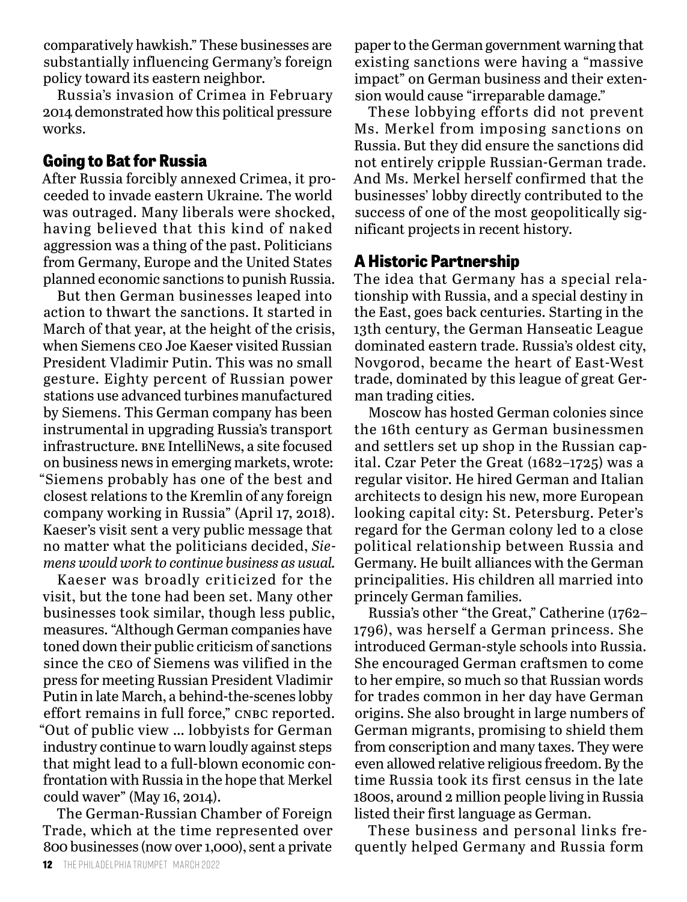comparatively hawkish." These businesses are substantially influencing Germany's foreign policy toward its eastern neighbor.

Russia's invasion of Crimea in February 2014 demonstrated how this political pressure works.

# **Going to Bat for Russia**

After Russia forcibly annexed Crimea, it proceeded to invade eastern Ukraine. The world was outraged. Many liberals were shocked, having believed that this kind of naked aggression was a thing of the past. Politicians from Germany, Europe and the United States planned economic sanctions to punish Russia.

But then German businesses leaped into action to thwart the sanctions. It started in March of that year, at the height of the crisis, when Siemens ceo Joe Kaeser visited Russian President Vladimir Putin. This was no small gesture. Eighty percent of Russian power stations use advanced turbines manufactured by Siemens. This German company has been instrumental in upgrading Russia's transport infrastructure. bne IntelliNews, a site focused on business news in emerging markets, wrote: "Siemens probably has one of the best and closest relations to the Kremlin of any foreign company working in Russia" (April 17, 2018). Kaeser's visit sent a very public message that no matter what the politicians decided, *Siemens would work to continue business as usual.* 

Kaeser was broadly criticized for the visit, but the tone had been set. Many other businesses took similar, though less public, measures. "Although German companies have toned down their public criticism of sanctions since the ceo of Siemens was vilified in the press for meeting Russian President Vladimir Putin in late March, a behind-the-scenes lobby effort remains in full force," CNBC reported. "Out of public view … lobbyists for German industry continue to warn loudly against steps that might lead to a full-blown economic confrontation with Russia in the hope that Merkel could waver" (May 16, 2014).

The German-Russian Chamber of Foreign Trade, which at the time represented over 800 businesses (now over 1,000), sent a private

paper to the German government warning that existing sanctions were having a "massive impact" on German business and their extension would cause "irreparable damage."

These lobbying efforts did not prevent Ms. Merkel from imposing sanctions on Russia. But they did ensure the sanctions did not entirely cripple Russian-German trade. And Ms. Merkel herself confirmed that the businesses' lobby directly contributed to the success of one of the most geopolitically significant projects in recent history.

# **A Historic Partnership**

The idea that Germany has a special relationship with Russia, and a special destiny in the East, goes back centuries. Starting in the 13th century, the German Hanseatic League dominated eastern trade. Russia's oldest city, Novgorod, became the heart of East-West trade, dominated by this league of great German trading cities.

Moscow has hosted German colonies since the 16th century as German businessmen and settlers set up shop in the Russian capital. Czar Peter the Great (1682–1725) was a regular visitor. He hired German and Italian architects to design his new, more European looking capital city: St. Petersburg. Peter's regard for the German colony led to a close political relationship between Russia and Germany. He built alliances with the German principalities. His children all married into princely German families.

Russia's other "the Great," Catherine (1762– 1796), was herself a German princess. She introduced German-style schools into Russia. She encouraged German craftsmen to come to her empire, so much so that Russian words for trades common in her day have German origins. She also brought in large numbers of German migrants, promising to shield them from conscription and many taxes. They were even allowed relative religious freedom. By the time Russia took its first census in the late 1800s, around 2 million people living in Russia listed their first language as German.

These business and personal links frequently helped Germany and Russia form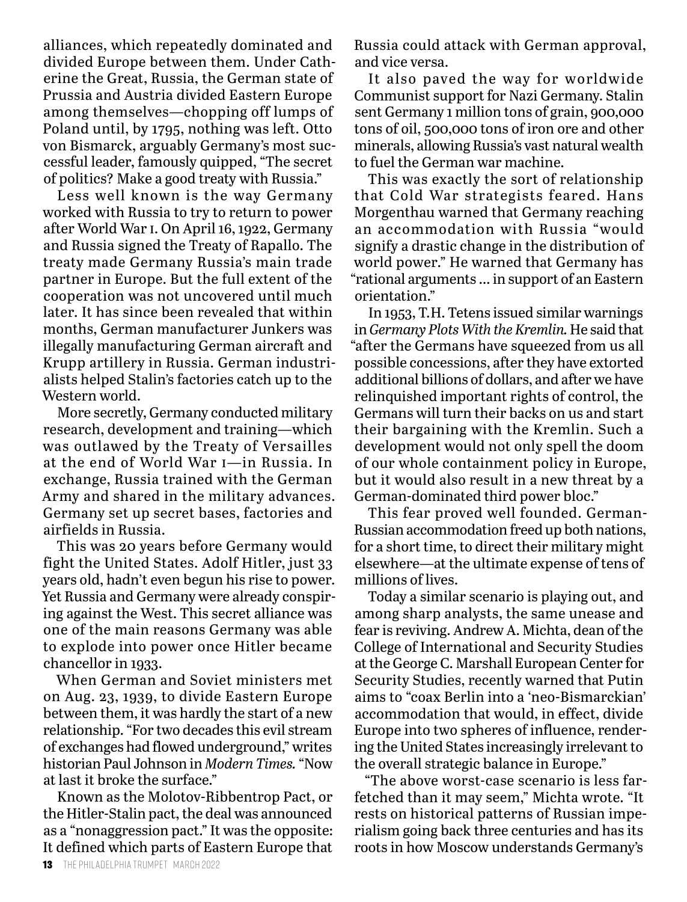alliances, which repeatedly dominated and divided Europe between them. Under Catherine the Great, Russia, the German state of Prussia and Austria divided Eastern Europe among themselves—chopping off lumps of Poland until, by 1795, nothing was left. Otto von Bismarck, arguably Germany's most successful leader, famously quipped, "The secret of politics? Make a good treaty with Russia."

Less well known is the way Germany worked with Russia to try to return to power after World War i. On April 16, 1922, Germany and Russia signed the Treaty of Rapallo. The treaty made Germany Russia's main trade partner in Europe. But the full extent of the cooperation was not uncovered until much later. It has since been revealed that within months, German manufacturer Junkers was illegally manufacturing German aircraft and Krupp artillery in Russia. German industrialists helped Stalin's factories catch up to the Western world.

More secretly, Germany conducted military research, development and training—which was outlawed by the Treaty of Versailles at the end of World War i—in Russia. In exchange, Russia trained with the German Army and shared in the military advances. Germany set up secret bases, factories and airfields in Russia.

This was 20 years before Germany would fight the United States. Adolf Hitler, just 33 years old, hadn't even begun his rise to power. Yet Russia and Germany were already conspiring against the West. This secret alliance was one of the main reasons Germany was able to explode into power once Hitler became chancellor in 1933.

When German and Soviet ministers met on Aug. 23, 1939, to divide Eastern Europe between them, it was hardly the start of a new relationship. "For two decades this evil stream of exchanges had flowed underground," writes historian Paul Johnson in *Modern Times.* "Now at last it broke the surface."

Known as the Molotov-Ribbentrop Pact, or the Hitler-Stalin pact, the deal was announced as a "nonaggression pact." It was the opposite: It defined which parts of Eastern Europe that Russia could attack with German approval, and vice versa.

It also paved the way for worldwide Communist support for Nazi Germany. Stalin sent Germany 1 million tons of grain, 900,000 tons of oil, 500,000 tons of iron ore and other minerals, allowing Russia's vast natural wealth to fuel the German war machine.

This was exactly the sort of relationship that Cold War strategists feared. Hans Morgenthau warned that Germany reaching an accommodation with Russia "would signify a drastic change in the distribution of world power." He warned that Germany has "rational arguments … in support of an Eastern orientation."

In 1953, T. H. Tetens issued similar warnings in *Germany Plots With the Kremlin.* He said that "after the Germans have squeezed from us all possible concessions, after they have extorted additional billions of dollars, and after we have relinquished important rights of control, the Germans will turn their backs on us and start their bargaining with the Kremlin. Such a development would not only spell the doom of our whole containment policy in Europe, but it would also result in a new threat by a German-dominated third power bloc."

This fear proved well founded. German-Russian accommodation freed up both nations, for a short time, to direct their military might elsewhere—at the ultimate expense of tens of millions of lives.

Today a similar scenario is playing out, and among sharp analysts, the same unease and fear is reviving. Andrew A. Michta, dean of the College of International and Security Studies at the George C. Marshall European Center for Security Studies, recently warned that Putin aims to "coax Berlin into a 'neo-Bismarckian' accommodation that would, in effect, divide Europe into two spheres of influence, rendering the United States increasingly irrelevant to the overall strategic balance in Europe."

"The above worst-case scenario is less farfetched than it may seem," Michta wrote. "It rests on historical patterns of Russian imperialism going back three centuries and has its roots in how Moscow understands Germany's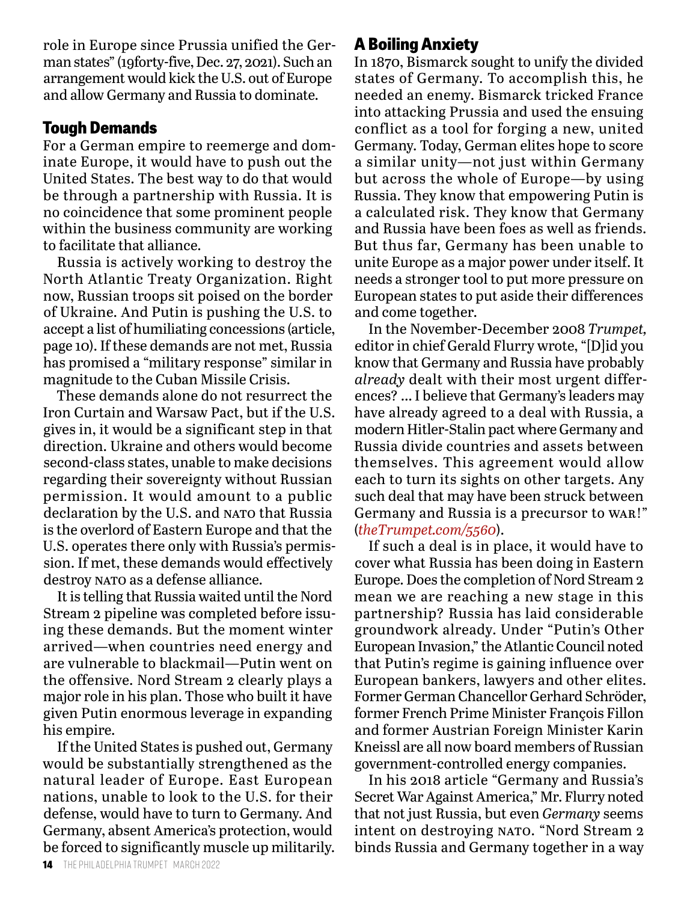role in Europe since Prussia unified the German states" (19forty-five, Dec. 27, 2021). Such an arrangement would kick the U.S. out of Europe and allow Germany and Russia to dominate.

## **Tough Demands**

For a German empire to reemerge and dominate Europe, it would have to push out the United States. The best way to do that would be through a partnership with Russia. It is no coincidence that some prominent people within the business community are working to facilitate that alliance.

Russia is actively working to destroy the North Atlantic Treaty Organization. Right now, Russian troops sit poised on the border of Ukraine. And Putin is pushing the U.S. to accept a list of humiliating concessions (article, page 10). If these demands are not met, Russia has promised a "military response" similar in magnitude to the Cuban Missile Crisis.

These demands alone do not resurrect the Iron Curtain and Warsaw Pact, but if the U.S. gives in, it would be a significant step in that direction. Ukraine and others would become second-class states, unable to make decisions regarding their sovereignty without Russian permission. It would amount to a public declaration by the U.S. and NATO that Russia is the overlord of Eastern Europe and that the U.S. operates there only with Russia's permission. If met, these demands would effectively destroy NATO as a defense alliance.

It is telling that Russia waited until the Nord Stream 2 pipeline was completed before issuing these demands. But the moment winter arrived—when countries need energy and are vulnerable to blackmail—Putin went on the offensive. Nord Stream 2 clearly plays a major role in his plan. Those who built it have given Putin enormous leverage in expanding his empire.

If the United States is pushed out, Germany would be substantially strengthened as the natural leader of Europe. East European nations, unable to look to the U.S. for their defense, would have to turn to Germany. And Germany, absent America's protection, would be forced to significantly muscle up militarily.

# **A Boiling Anxiety**

In 1870, Bismarck sought to unify the divided states of Germany. To accomplish this, he needed an enemy. Bismarck tricked France into attacking Prussia and used the ensuing conflict as a tool for forging a new, united Germany. Today, German elites hope to score a similar unity—not just within Germany but across the whole of Europe—by using Russia. They know that empowering Putin is a calculated risk. They know that Germany and Russia have been foes as well as friends. But thus far, Germany has been unable to unite Europe as a major power under itself. It needs a stronger tool to put more pressure on European states to put aside their differences and come together.

In the November-December 2008 *Trumpet,* editor in chief Gerald Flurry wrote, "[D]id you know that Germany and Russia have probably *already* dealt with their most urgent differences? … I believe that Germany's leaders may have already agreed to a deal with Russia, a modern Hitler-Stalin pact where Germany and Russia divide countries and assets between themselves. This agreement would allow each to turn its sights on other targets. Any such deal that may have been struck between Germany and Russia is a precursor to war!" (*theTrumpet.com/5560*).

If such a deal is in place, it would have to cover what Russia has been doing in Eastern Europe. Does the completion of Nord Stream 2 mean we are reaching a new stage in this partnership? Russia has laid considerable groundwork already. Under "Putin's Other European Invasion," the Atlantic Council noted that Putin's regime is gaining influence over European bankers, lawyers and other elites. Former German Chancellor Gerhard Schröder, former French Prime Minister François Fillon and former Austrian Foreign Minister Karin Kneissl are all now board members of Russian government-controlled energy companies.

In his 2018 article "Germany and Russia's Secret War Against America," Mr. Flurry noted that not just Russia, but even *Germany* seems intent on destroying NATO. "Nord Stream 2 binds Russia and Germany together in a way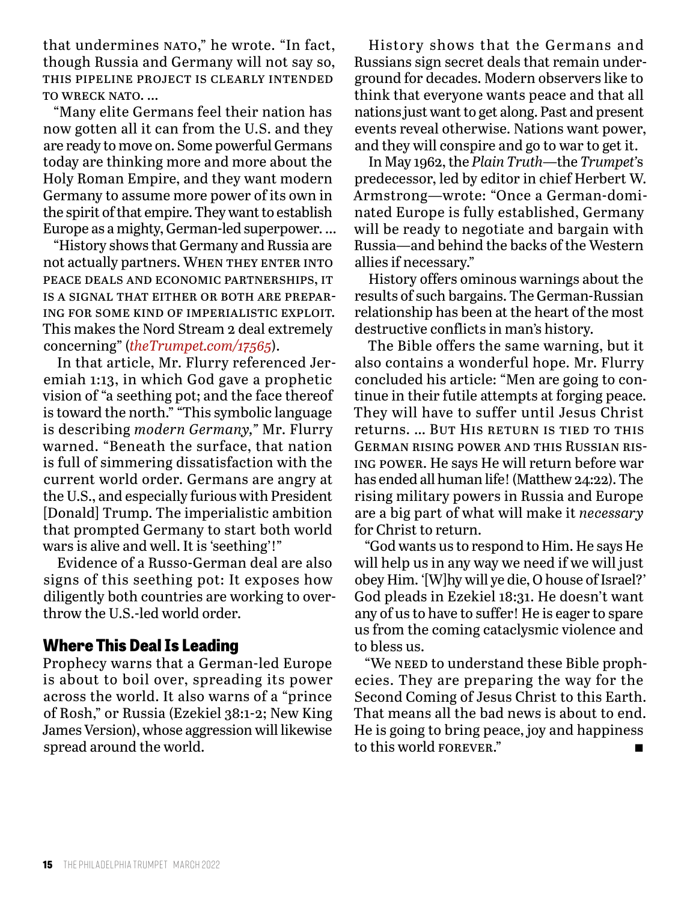that undermines NATO," he wrote. "In fact, though Russia and Germany will not say so, this pipeline project is clearly intended TO WRECK NATO...

"Many elite Germans feel their nation has now gotten all it can from the U.S. and they are ready to move on. Some powerful Germans today are thinking more and more about the Holy Roman Empire, and they want modern Germany to assume more power of its own in the spirit of that empire. They want to establish Europe as a mighty, German-led superpower. …

"History shows that Germany and Russia are not actually partners. WHEN THEY ENTER INTO peace deals and economic partnerships, it is a signal that either or both are preparing for some kind of imperialistic exploit. This makes the Nord Stream 2 deal extremely concerning" (*theTrumpet.com/17565*).

In that article, Mr. Flurry referenced Jeremiah 1:13, in which God gave a prophetic vision of "a seething pot; and the face thereof is toward the north." "This symbolic language is describing *modern Germany,"* Mr. Flurry warned. "Beneath the surface, that nation is full of simmering dissatisfaction with the current world order. Germans are angry at the U.S., and especially furious with President [Donald] Trump. The imperialistic ambition that prompted Germany to start both world wars is alive and well. It is 'seething'!"

Evidence of a Russo-German deal are also signs of this seething pot: It exposes how diligently both countries are working to overthrow the U.S.-led world order.

#### **Where This Deal Is Leading**

Prophecy warns that a German-led Europe is about to boil over, spreading its power across the world. It also warns of a "prince of Rosh," or Russia (Ezekiel 38:1-2; New King James Version), whose aggression will likewise spread around the world.

History shows that the Germans and Russians sign secret deals that remain underground for decades. Modern observers like to think that everyone wants peace and that all nations just want to get along. Past and present events reveal otherwise. Nations want power, and they will conspire and go to war to get it.

In May 1962, the *Plain Truth*—the *Trumpet'*s predecessor, led by editor in chief Herbert W. Armstrong—wrote: "Once a German-dominated Europe is fully established, Germany will be ready to negotiate and bargain with Russia—and behind the backs of the Western allies if necessary."

History offers ominous warnings about the results of such bargains. The German-Russian relationship has been at the heart of the most destructive conflicts in man's history.

The Bible offers the same warning, but it also contains a wonderful hope. Mr. Flurry concluded his article: "Men are going to continue in their futile attempts at forging peace. They will have to suffer until Jesus Christ returns. ... But HIS RETURN IS TIED TO THIS German rising power and this Russian rising power. He says He will return before war has ended all human life! (Matthew 24:22). The rising military powers in Russia and Europe are a big part of what will make it *necessary* for Christ to return.

"God wants us to respond to Him. He says He will help us in any way we need if we will just obey Him. '[W]hy will ye die, O house of Israel?' God pleads in Ezekiel 18:31. He doesn't want any of us to have to suffer! He is eager to spare us from the coming cataclysmic violence and to bless us.

"We neep to understand these Bible prophecies. They are preparing the way for the Second Coming of Jesus Christ to this Earth. That means all the bad news is about to end. He is going to bring peace, joy and happiness to this world FOREVER."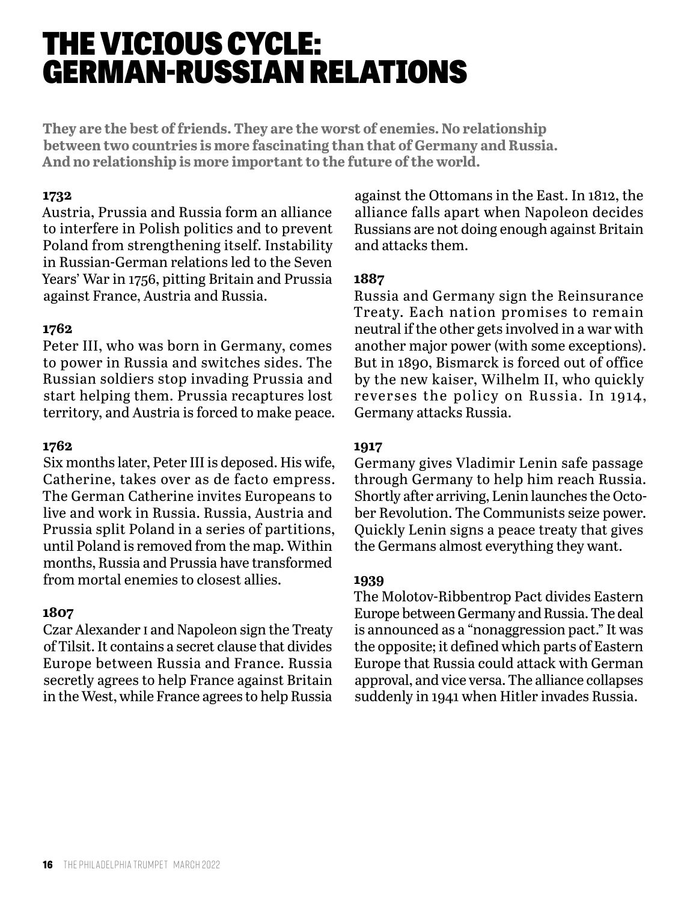# THE VICIOUS CYCLE: GERMAN-RUSSIAN RELATIONS

**They are the best of friends. They are the worst of enemies. No relationship between two countries is more fascinating than that of Germany and Russia. And no relationship is more important to the future of the world.**

#### **1732**

Austria, Prussia and Russia form an alliance to interfere in Polish politics and to prevent Poland from strengthening itself. Instability in Russian-German relations led to the Seven Years' War in 1756, pitting Britain and Prussia against France, Austria and Russia.

#### **1762**

Peter III, who was born in Germany, comes to power in Russia and switches sides. The Russian soldiers stop invading Prussia and start helping them. Prussia recaptures lost territory, and Austria is forced to make peace.

#### **1762**

Six months later, Peter III is deposed. His wife, Catherine, takes over as de facto empress. The German Catherine invites Europeans to live and work in Russia. Russia, Austria and Prussia split Poland in a series of partitions, until Poland is removed from the map. Within months, Russia and Prussia have transformed from mortal enemies to closest allies.

#### **1807**

Czar Alexander i and Napoleon sign the Treaty of Tilsit. It contains a secret clause that divides Europe between Russia and France. Russia secretly agrees to help France against Britain in the West, while France agrees to help Russia

against the Ottomans in the East. In 1812, the alliance falls apart when Napoleon decides Russians are not doing enough against Britain and attacks them.

#### **1887**

Russia and Germany sign the Reinsurance Treaty. Each nation promises to remain neutral if the other gets involved in a war with another major power (with some exceptions). But in 1890, Bismarck is forced out of office by the new kaiser, Wilhelm II, who quickly reverses the policy on Russia. In 1914, Germany attacks Russia.

#### **1917**

Germany gives Vladimir Lenin safe passage through Germany to help him reach Russia. Shortly after arriving, Lenin launches the October Revolution. The Communists seize power. Quickly Lenin signs a peace treaty that gives the Germans almost everything they want.

#### **1939**

The Molotov-Ribbentrop Pact divides Eastern Europe between Germany and Russia. The deal is announced as a "nonaggression pact." It was the opposite; it defined which parts of Eastern Europe that Russia could attack with German approval, and vice versa. The alliance collapses suddenly in 1941 when Hitler invades Russia.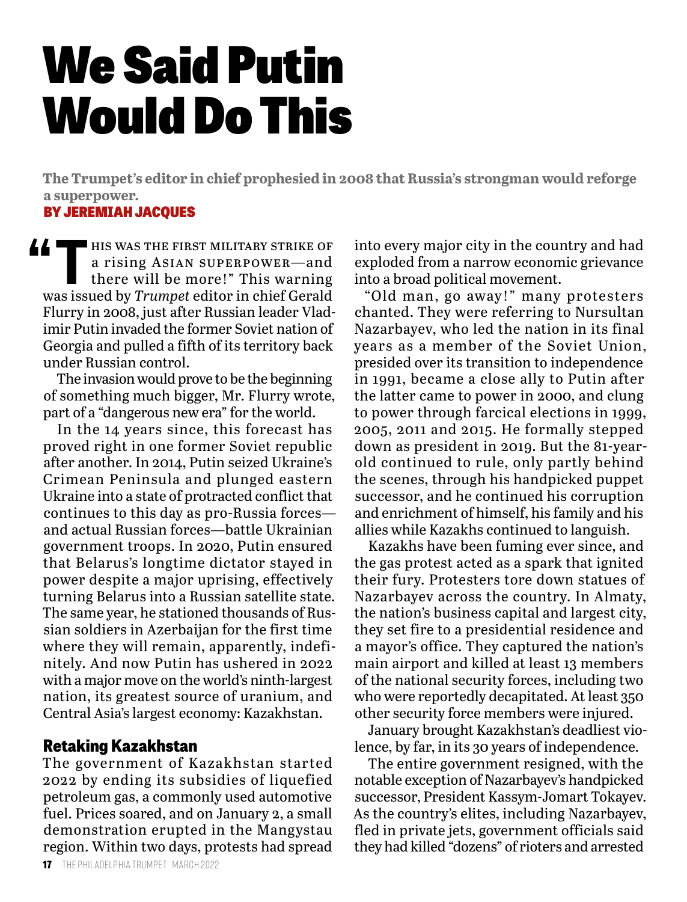# We Said Putin Would Do This

**The Trumpet's editor in chief prophesied in 2008 that Russia's strongman would reforge a superpower.**

#### BY JEREMIAH JACQUES

**THE FIRST MILITARY STRIKE OF**<br>
a rising ASIAN SUPERPOWER—and<br>
there will be more!" This warning<br>
we issued by Trumpet editor in chief Conela a rising Asian superpower—and was issued by *Trumpet* editor in chief Gerald Flurry in 2008, just after Russian leader Vladimir Putin invaded the former Soviet nation of Georgia and pulled a fifth of its territory back under Russian control.

The invasion would prove to be the beginning of something much bigger, Mr. Flurry wrote, part of a "dangerous new era" for the world.

In the 14 years since, this forecast has proved right in one former Soviet republic after another. In 2014, Putin seized Ukraine's Crimean Peninsula and plunged eastern Ukraine into a state of protracted conflict that continues to this day as pro-Russia forces and actual Russian forces—battle Ukrainian government troops. In 2020, Putin ensured that Belarus's longtime dictator stayed in power despite a major uprising, effectively turning Belarus into a Russian satellite state. The same year, he stationed thousands of Russian soldiers in Azerbaijan for the first time where they will remain, apparently, indefinitely. And now Putin has ushered in 2022 with a major move on the world's ninth-largest nation, its greatest source of uranium, and Central Asia's largest economy: Kazakhstan.

# **Retaking Kazakhstan**

The government of Kazakhstan started 2022 by ending its subsidies of liquefied petroleum gas, a commonly used automotive fuel. Prices soared, and on January 2, a small demonstration erupted in the Mangystau region. Within two days, protests had spread

into every major city in the country and had exploded from a narrow economic grievance into a broad political movement.

"Old man, go away!" many protesters chanted. They were referring to Nursultan Nazarbayev, who led the nation in its final years as a member of the Soviet Union, presided over its transition to independence in 1991, became a close ally to Putin after the latter came to power in 2000, and clung to power through farcical elections in 1999, 2005, 2011 and 2015. He formally stepped down as president in 2019. But the 81-yearold continued to rule, only partly behind the scenes, through his handpicked puppet successor, and he continued his corruption and enrichment of himself, his family and his allies while Kazakhs continued to languish.

Kazakhs have been fuming ever since, and the gas protest acted as a spark that ignited their fury. Protesters tore down statues of Nazarbayev across the country. In Almaty, the nation's business capital and largest city, they set fire to a presidential residence and a mayor's office. They captured the nation's main airport and killed at least 13 members of the national security forces, including two who were reportedly decapitated. At least 350 other security force members were injured.

January brought Kazakhstan's deadliest violence, by far, in its 30 years of independence.

The entire government resigned, with the notable exception of Nazarbayev's handpicked successor, President Kassym-Jomart Tokayev. As the country's elites, including Nazarbayev, fled in private jets, government officials said they had killed "dozens" of rioters and arrested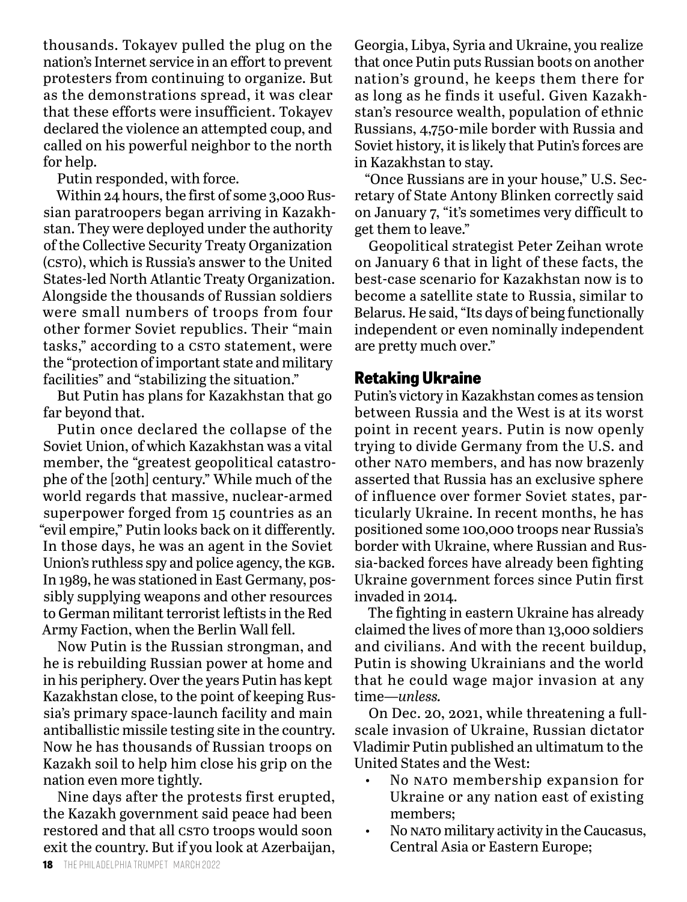thousands. Tokayev pulled the plug on the nation's Internet service in an effort to prevent protesters from continuing to organize. But as the demonstrations spread, it was clear that these efforts were insufficient. Tokayev declared the violence an attempted coup, and called on his powerful neighbor to the north for help.

Putin responded, with force.

Within 24 hours, the first of some 3,000 Russian paratroopers began arriving in Kazakhstan. They were deployed under the authority of the Collective Security Treaty Organization (csto), which is Russia's answer to the United States-led North Atlantic Treaty Organization. Alongside the thousands of Russian soldiers were small numbers of troops from four other former Soviet republics. Their "main tasks," according to a csro statement, were the "protection of important state and military facilities" and "stabilizing the situation."

But Putin has plans for Kazakhstan that go far beyond that.

Putin once declared the collapse of the Soviet Union, of which Kazakhstan was a vital member, the "greatest geopolitical catastrophe of the [20th] century." While much of the world regards that massive, nuclear-armed superpower forged from 15 countries as an "evil empire," Putin looks back on it differently. In those days, he was an agent in the Soviet Union's ruthless spy and police agency, the KGB. In 1989, he was stationed in East Germany, possibly supplying weapons and other resources to German militant terrorist leftists in the Red Army Faction, when the Berlin Wall fell.

Now Putin is the Russian strongman, and he is rebuilding Russian power at home and in his periphery. Over the years Putin has kept Kazakhstan close, to the point of keeping Russia's primary space-launch facility and main antiballistic missile testing site in the country. Now he has thousands of Russian troops on Kazakh soil to help him close his grip on the nation even more tightly.

Nine days after the protests first erupted, the Kazakh government said peace had been restored and that all csro troops would soon exit the country. But if you look at Azerbaijan, Georgia, Libya, Syria and Ukraine, you realize that once Putin puts Russian boots on another nation's ground, he keeps them there for as long as he finds it useful. Given Kazakhstan's resource wealth, population of ethnic Russians, 4,750-mile border with Russia and Soviet history, it is likely that Putin's forces are in Kazakhstan to stay.

"Once Russians are in your house," U.S. Secretary of State Antony Blinken correctly said on January 7, "it's sometimes very difficult to get them to leave."

Geopolitical strategist Peter Zeihan wrote on January 6 that in light of these facts, the best-case scenario for Kazakhstan now is to become a satellite state to Russia, similar to Belarus. He said, "Its days of being functionally independent or even nominally independent are pretty much over."

#### **Retaking Ukraine**

Putin's victory in Kazakhstan comes as tension between Russia and the West is at its worst point in recent years. Putin is now openly trying to divide Germany from the U.S. and other NATO members, and has now brazenly asserted that Russia has an exclusive sphere of influence over former Soviet states, particularly Ukraine. In recent months, he has positioned some 100,000 troops near Russia's border with Ukraine, where Russian and Russia-backed forces have already been fighting Ukraine government forces since Putin first invaded in 2014.

The fighting in eastern Ukraine has already claimed the lives of more than 13,000 soldiers and civilians. And with the recent buildup, Putin is showing Ukrainians and the world that he could wage major invasion at any time—*unless.*

On Dec. 20, 2021, while threatening a fullscale invasion of Ukraine, Russian dictator Vladimir Putin published an ultimatum to the United States and the West:

- No NATO membership expansion for Ukraine or any nation east of existing members;
- No NATO military activity in the Caucasus, Central Asia or Eastern Europe;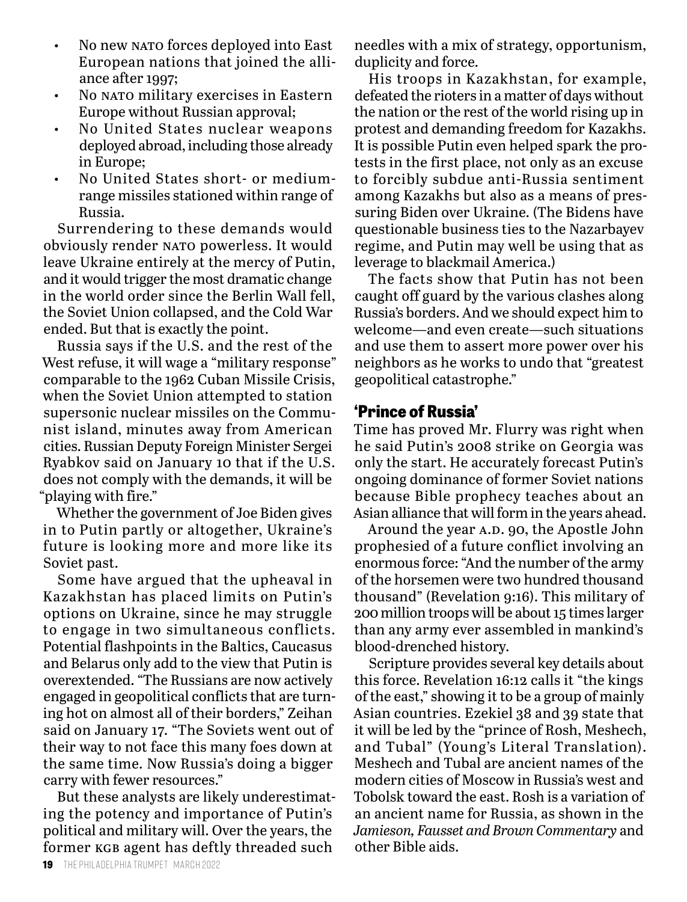- No new NATO forces deployed into East European nations that joined the alliance after 1997;
- No NATO military exercises in Eastern Europe without Russian approval;
- No United States nuclear weapons deployed abroad, including those already in Europe;
- No United States short- or mediumrange missiles stationed within range of Russia.

Surrendering to these demands would obviously render nato powerless. It would leave Ukraine entirely at the mercy of Putin, and it would trigger the most dramatic change in the world order since the Berlin Wall fell, the Soviet Union collapsed, and the Cold War ended. But that is exactly the point.

Russia says if the U.S. and the rest of the West refuse, it will wage a "military response" comparable to the 1962 Cuban Missile Crisis, when the Soviet Union attempted to station supersonic nuclear missiles on the Communist island, minutes away from American cities. Russian Deputy Foreign Minister Sergei Ryabkov said on January 10 that if the U.S. does not comply with the demands, it will be "playing with fire."

Whether the government of Joe Biden gives in to Putin partly or altogether, Ukraine's future is looking more and more like its Soviet past.

Some have argued that the upheaval in Kazakhstan has placed limits on Putin's options on Ukraine, since he may struggle to engage in two simultaneous conflicts. Potential flashpoints in the Baltics, Caucasus and Belarus only add to the view that Putin is overextended. "The Russians are now actively engaged in geopolitical conflicts that are turning hot on almost all of their borders," Zeihan said on January 17. "The Soviets went out of their way to not face this many foes down at the same time. Now Russia's doing a bigger carry with fewer resources."

But these analysts are likely underestimating the potency and importance of Putin's political and military will. Over the years, the former kgb agent has deftly threaded such

needles with a mix of strategy, opportunism, duplicity and force.

His troops in Kazakhstan, for example, defeated the rioters in a matter of days without the nation or the rest of the world rising up in protest and demanding freedom for Kazakhs. It is possible Putin even helped spark the protests in the first place, not only as an excuse to forcibly subdue anti-Russia sentiment among Kazakhs but also as a means of pressuring Biden over Ukraine. (The Bidens have questionable business ties to the Nazarbayev regime, and Putin may well be using that as leverage to blackmail America.)

The facts show that Putin has not been caught off guard by the various clashes along Russia's borders. And we should expect him to welcome—and even create—such situations and use them to assert more power over his neighbors as he works to undo that "greatest geopolitical catastrophe."

#### **'Prince of Russia'**

Time has proved Mr. Flurry was right when he said Putin's 2008 strike on Georgia was only the start. He accurately forecast Putin's ongoing dominance of former Soviet nations because Bible prophecy teaches about an Asian alliance that will form in the years ahead.

Around the year A.D. 90, the Apostle John prophesied of a future conflict involving an enormous force: "And the number of the army of the horsemen were two hundred thousand thousand" (Revelation 9:16). This military of 200 million troops will be about 15 times larger than any army ever assembled in mankind's blood-drenched history.

Scripture provides several key details about this force. Revelation 16:12 calls it "the kings of the east," showing it to be a group of mainly Asian countries. Ezekiel 38 and 39 state that it will be led by the "prince of Rosh, Meshech, and Tubal" (Young's Literal Translation). Meshech and Tubal are ancient names of the modern cities of Moscow in Russia's west and Tobolsk toward the east. Rosh is a variation of an ancient name for Russia, as shown in the *Jamieson, Fausset and Brown Commentary* and other Bible aids.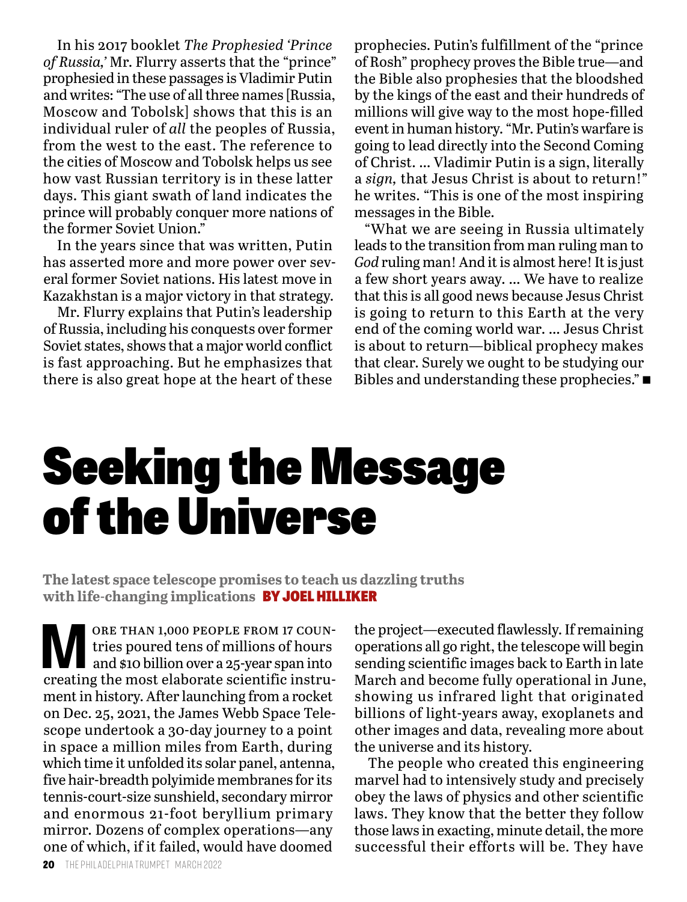In his 2017 booklet *The Prophesied 'Prince of Russia,'* Mr. Flurry asserts that the "prince" prophesied in these passages is Vladimir Putin and writes: "The use of all three names [Russia, Moscow and Tobolsk] shows that this is an individual ruler of *all* the peoples of Russia, from the west to the east. The reference to the cities of Moscow and Tobolsk helps us see how vast Russian territory is in these latter days. This giant swath of land indicates the prince will probably conquer more nations of the former Soviet Union."

In the years since that was written, Putin has asserted more and more power over several former Soviet nations. His latest move in Kazakhstan is a major victory in that strategy.

Mr. Flurry explains that Putin's leadership of Russia, including his conquests over former Soviet states, shows that a major world conflict is fast approaching. But he emphasizes that there is also great hope at the heart of these

prophecies. Putin's fulfillment of the "prince of Rosh" prophecy proves the Bible true—and the Bible also prophesies that the bloodshed by the kings of the east and their hundreds of millions will give way to the most hope-filled event in human history. "Mr. Putin's warfare is going to lead directly into the Second Coming of Christ. … Vladimir Putin is a sign, literally a *sign,* that Jesus Christ is about to return!" he writes. "This is one of the most inspiring messages in the Bible.

"What we are seeing in Russia ultimately leads to the transition from man ruling man to *God* ruling man! And it is almost here! It is just a few short years away. … We have to realize that this is all good news because Jesus Christ is going to return to this Earth at the very end of the coming world war. … Jesus Christ is about to return—biblical prophecy makes that clear. Surely we ought to be studying our Bibles and understanding these prophecies." $\blacksquare$ 

# Seeking the Message of the Universe

**The latest space telescope promises to teach us dazzling truths with life-changing implications** BY JOEL HILLIKER

ORE THAN 1,000 PEOPLE FROM 17 COUN-<br>tries poured tens of millions of hours<br>and \$10 billion over a 25-year span into<br>exacting the most elaborate scientific instru tries poured tens of millions of hours and \$10 billion over a 25-year span into creating the most elaborate scientific instrument in history. After launching from a rocket on Dec. 25, 2021, the James Webb Space Telescope undertook a 30-day journey to a point in space a million miles from Earth, during which time it unfolded its solar panel, antenna, five hair-breadth polyimide membranes for its tennis-court-size sunshield, secondary mirror and enormous 21-foot beryllium primary mirror. Dozens of complex operations—any one of which, if it failed, would have doomed

the project—executed flawlessly. If remaining operations all go right, the telescope will begin sending scientific images back to Earth in late March and become fully operational in June, showing us infrared light that originated billions of light-years away, exoplanets and other images and data, revealing more about the universe and its history.

The people who created this engineering marvel had to intensively study and precisely obey the laws of physics and other scientific laws. They know that the better they follow those laws in exacting, minute detail, the more successful their efforts will be. They have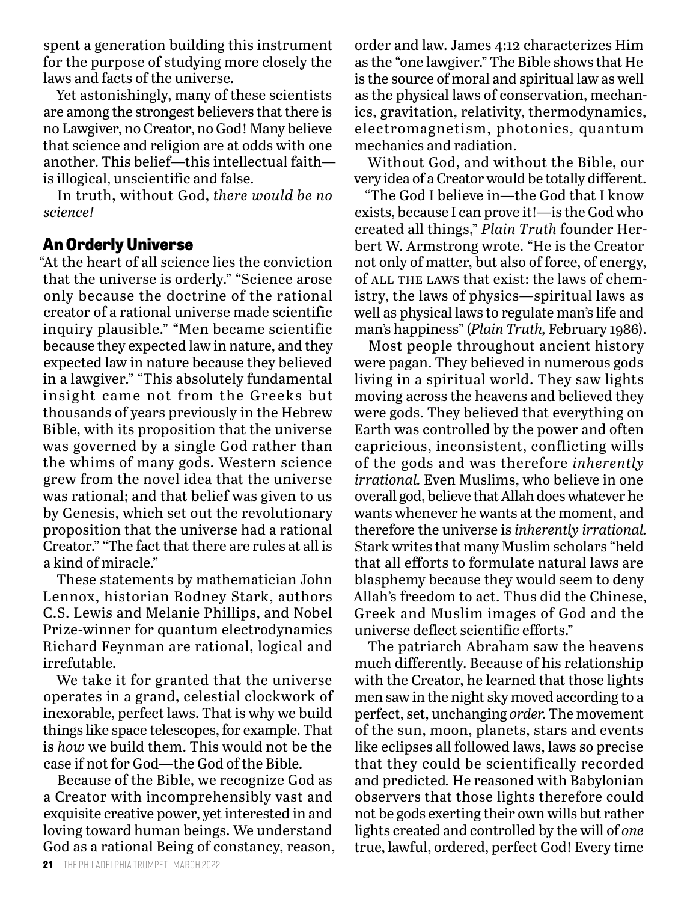spent a generation building this instrument for the purpose of studying more closely the laws and facts of the universe.

Yet astonishingly, many of these scientists are among the strongest believers that there is no Lawgiver, no Creator, no God! Many believe that science and religion are at odds with one another. This belief—this intellectual faith is illogical, unscientific and false.

In truth, without God, *there would be no science!*

# **An Orderly Universe**

"At the heart of all science lies the conviction that the universe is orderly." "Science arose only because the doctrine of the rational creator of a rational universe made scientific inquiry plausible." "Men became scientific because they expected law in nature, and they expected law in nature because they believed in a lawgiver." "This absolutely fundamental insight came not from the Greeks but thousands of years previously in the Hebrew Bible, with its proposition that the universe was governed by a single God rather than the whims of many gods. Western science grew from the novel idea that the universe was rational; and that belief was given to us by Genesis, which set out the revolutionary proposition that the universe had a rational Creator." "The fact that there are rules at all is a kind of miracle."

These statements by mathematician John Lennox, historian Rodney Stark, authors C.S. Lewis and Melanie Phillips, and Nobel Prize-winner for quantum electrodynamics Richard Feynman are rational, logical and irrefutable.

We take it for granted that the universe operates in a grand, celestial clockwork of inexorable, perfect laws. That is why we build things like space telescopes, for example. That is *how* we build them. This would not be the case if not for God—the God of the Bible.

Because of the Bible, we recognize God as a Creator with incomprehensibly vast and exquisite creative power, yet interested in and loving toward human beings. We understand God as a rational Being of constancy, reason,

order and law. James 4:12 characterizes Him as the "one lawgiver." The Bible shows that He is the source of moral and spiritual law as well as the physical laws of conservation, mechanics, gravitation, relativity, thermodynamics, electromagnetism, photonics, quantum mechanics and radiation.

Without God, and without the Bible, our very idea of a Creator would be totally different.

"The God I believe in—the God that I know exists, because I can prove it!—is the God who created all things," *Plain Truth* founder Herbert W. Armstrong wrote. "He is the Creator not only of matter, but also of force, of energy, of ALL THE LAWS that exist: the laws of chemistry, the laws of physics—spiritual laws as well as physical laws to regulate man's life and man's happiness" (*Plain Truth,* February 1986).

Most people throughout ancient history were pagan. They believed in numerous gods living in a spiritual world. They saw lights moving across the heavens and believed they were gods. They believed that everything on Earth was controlled by the power and often capricious, inconsistent, conflicting wills of the gods and was therefore *inherently irrational.* Even Muslims, who believe in one overall god, believe that Allah does whatever he wants whenever he wants at the moment, and therefore the universe is *inherently irrational.* Stark writes that many Muslim scholars "held that all efforts to formulate natural laws are blasphemy because they would seem to deny Allah's freedom to act. Thus did the Chinese, Greek and Muslim images of God and the universe deflect scientific efforts."

The patriarch Abraham saw the heavens much differently. Because of his relationship with the Creator, he learned that those lights men saw in the night sky moved according to a perfect, set, unchanging *order.* The movement of the sun, moon, planets, stars and events like eclipses all followed laws, laws so precise that they could be scientifically recorded and predicted*.* He reasoned with Babylonian observers that those lights therefore could not be gods exerting their own wills but rather lights created and controlled by the will of *one*  true, lawful, ordered, perfect God! Every time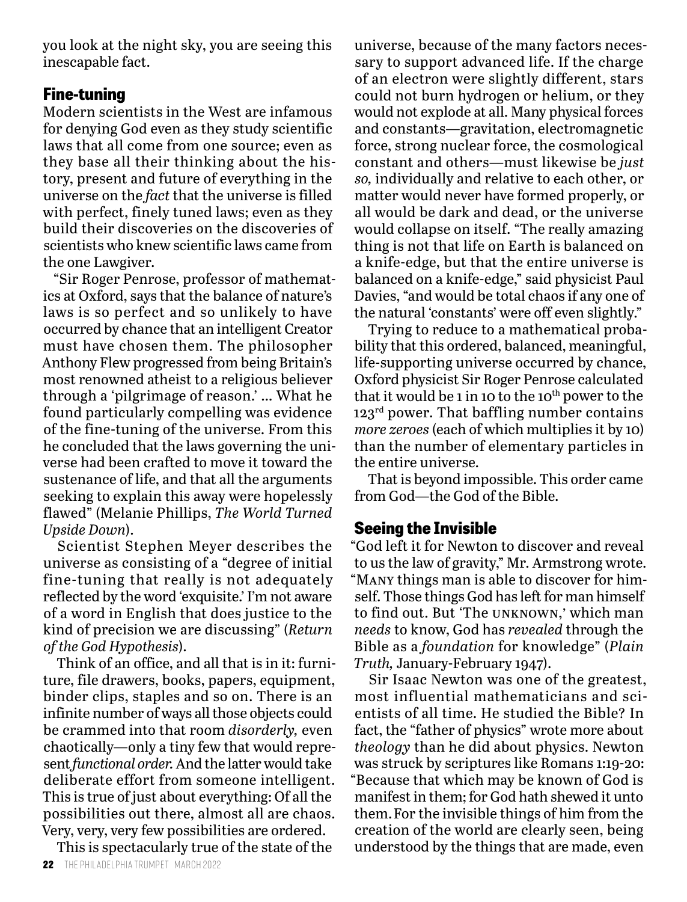you look at the night sky, you are seeing this inescapable fact.

## **Fine-tuning**

Modern scientists in the West are infamous for denying God even as they study scientific laws that all come from one source; even as they base all their thinking about the history, present and future of everything in the universe on the *fact* that the universe is filled with perfect, finely tuned laws; even as they build their discoveries on the discoveries of scientists who knew scientific laws came from the one Lawgiver.

"Sir Roger Penrose, professor of mathematics at Oxford, says that the balance of nature's laws is so perfect and so unlikely to have occurred by chance that an intelligent Creator must have chosen them. The philosopher Anthony Flew progressed from being Britain's most renowned atheist to a religious believer through a 'pilgrimage of reason.' … What he found particularly compelling was evidence of the fine-tuning of the universe. From this he concluded that the laws governing the universe had been crafted to move it toward the sustenance of life, and that all the arguments seeking to explain this away were hopelessly flawed" (Melanie Phillips, *The World Turned Upside Down*).

Scientist Stephen Meyer describes the universe as consisting of a "degree of initial fine-tuning that really is not adequately reflected by the word 'exquisite.' I'm not aware of a word in English that does justice to the kind of precision we are discussing" (*Return of the God Hypothesis*).

Think of an office, and all that is in it: furniture, file drawers, books, papers, equipment, binder clips, staples and so on. There is an infinite number of ways all those objects could be crammed into that room *disorderly,* even chaotically*—*only a tiny few that would represent *functional order.* And the latter would take deliberate effort from someone intelligent. This is true of just about everything: Of all the possibilities out there, almost all are chaos. Very, very, very few possibilities are ordered.

This is spectacularly true of the state of the

universe, because of the many factors necessary to support advanced life. If the charge of an electron were slightly different, stars could not burn hydrogen or helium, or they would not explode at all. Many physical forces and constants—gravitation, electromagnetic force, strong nuclear force, the cosmological constant and others—must likewise be *just so,* individually and relative to each other, or matter would never have formed properly, or all would be dark and dead, or the universe would collapse on itself. "The really amazing thing is not that life on Earth is balanced on a knife-edge, but that the entire universe is balanced on a knife-edge," said physicist Paul Davies, "and would be total chaos if any one of the natural 'constants' were off even slightly."

Trying to reduce to a mathematical probability that this ordered, balanced, meaningful, life-supporting universe occurred by chance, Oxford physicist Sir Roger Penrose calculated that it would be 1 in 10 to the  $10<sup>th</sup>$  power to the  $123<sup>rd</sup>$  power. That baffling number contains *more zeroes* (each of which multiplies it by 10) than the number of elementary particles in the entire universe.

That is beyond impossible. This order came from God—the God of the Bible.

# **Seeing the Invisible**

"God left it for Newton to discover and reveal to us the law of gravity," Mr. Armstrong wrote. "Many things man is able to discover for himself. Those things God has left for man himself to find out. But 'The unknown,' which man *needs* to know, God has *revealed* through the Bible as a *foundation* for knowledge" (*Plain Truth,* January-February 1947).

Sir Isaac Newton was one of the greatest, most influential mathematicians and scientists of all time. He studied the Bible? In fact, the "father of physics" wrote more about *theology* than he did about physics. Newton was struck by scriptures like Romans 1:19-20: "Because that which may be known of God is manifest in them; for God hath shewed it unto them.For the invisible things of him from the creation of the world are clearly seen, being understood by the things that are made, even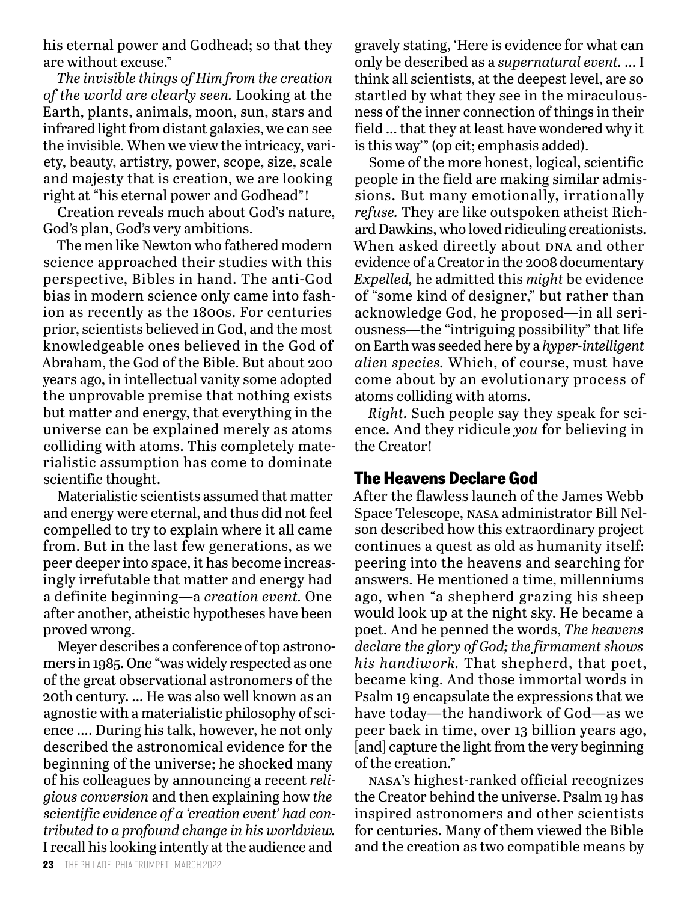his eternal power and Godhead; so that they are without excuse."

*The invisible things of Him from the creation of the world are clearly seen.* Looking at the Earth, plants, animals, moon, sun, stars and infrared light from distant galaxies, we can see the invisible. When we view the intricacy, variety, beauty, artistry, power, scope, size, scale and majesty that is creation, we are looking right at "his eternal power and Godhead"!

Creation reveals much about God's nature, God's plan, God's very ambitions.

The men like Newton who fathered modern science approached their studies with this perspective, Bibles in hand. The anti-God bias in modern science only came into fashion as recently as the 1800s. For centuries prior, scientists believed in God, and the most knowledgeable ones believed in the God of Abraham, the God of the Bible. But about 200 years ago, in intellectual vanity some adopted the unprovable premise that nothing exists but matter and energy, that everything in the universe can be explained merely as atoms colliding with atoms. This completely materialistic assumption has come to dominate scientific thought.

Materialistic scientists assumed that matter and energy were eternal, and thus did not feel compelled to try to explain where it all came from. But in the last few generations, as we peer deeper into space, it has become increasingly irrefutable that matter and energy had a definite beginning—a *creation event.* One after another, atheistic hypotheses have been proved wrong.

Meyer describes a conference of top astronomers in 1985. One "was widely respected as one of the great observational astronomers of the 20th century. … He was also well known as an agnostic with a materialistic philosophy of science …. During his talk, however, he not only described the astronomical evidence for the beginning of the universe; he shocked many of his colleagues by announcing a recent *religious conversion* and then explaining how *the scientific evidence of a 'creation event' had contributed to a profound change in his worldview.* I recall his looking intently at the audience and

gravely stating, 'Here is evidence for what can only be described as a *supernatural event.* … I think all scientists, at the deepest level, are so startled by what they see in the miraculousness of the inner connection of things in their field … that they at least have wondered why it is this way'" (op cit; emphasis added).

Some of the more honest, logical, scientific people in the field are making similar admissions. But many emotionally, irrationally *refuse.* They are like outspoken atheist Richard Dawkins, who loved ridiculing creationists. When asked directly about DNA and other evidence of a Creator in the 2008 documentary *Expelled,* he admitted this *might* be evidence of "some kind of designer," but rather than acknowledge God, he proposed—in all seriousness—the "intriguing possibility" that life on Earth was seeded here by a *hyper-intelligent alien species.* Which, of course, must have come about by an evolutionary process of atoms colliding with atoms.

*Right.* Such people say they speak for science. And they ridicule *you* for believing in the Creator!

# **The Heavens Declare God**

After the flawless launch of the James Webb Space Telescope, nasa administrator Bill Nelson described how this extraordinary project continues a quest as old as humanity itself: peering into the heavens and searching for answers. He mentioned a time, millenniums ago, when "a shepherd grazing his sheep would look up at the night sky. He became a poet. And he penned the words, *The heavens declare the glory of God; the firmament shows his handiwork.* That shepherd, that poet, became king. And those immortal words in Psalm 19 encapsulate the expressions that we have today—the handiwork of God—as we peer back in time, over 13 billion years ago, [and] capture the light from the very beginning of the creation."

nasa's highest-ranked official recognizes the Creator behind the universe. Psalm 19 has inspired astronomers and other scientists for centuries. Many of them viewed the Bible and the creation as two compatible means by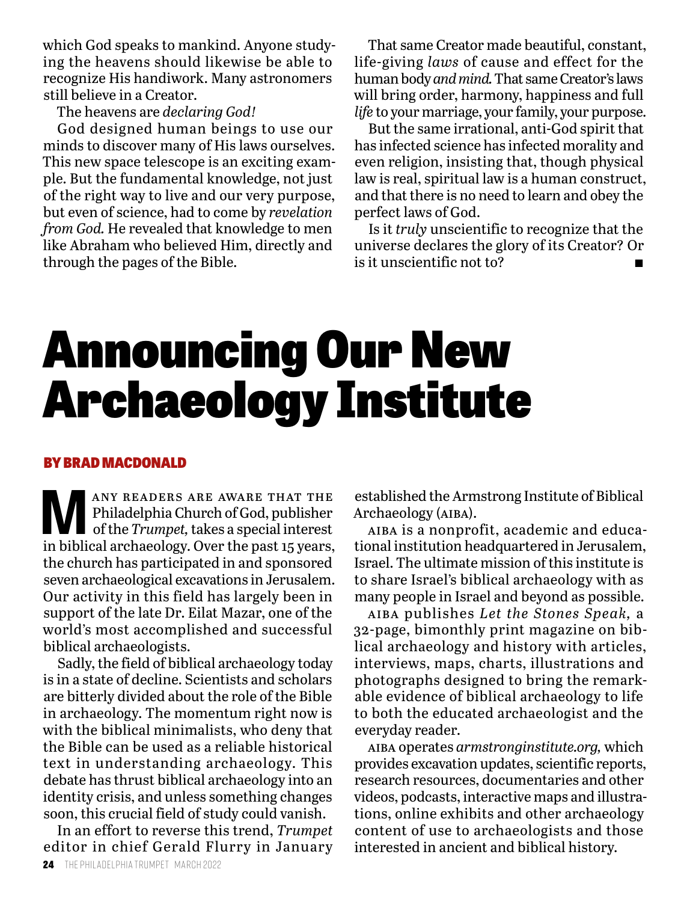which God speaks to mankind. Anyone studying the heavens should likewise be able to recognize His handiwork. Many astronomers still believe in a Creator.

The heavens are *declaring God!*

God designed human beings to use our minds to discover many of His laws ourselves. This new space telescope is an exciting example. But the fundamental knowledge, not just of the right way to live and our very purpose, but even of science, had to come by *revelation from God.* He revealed that knowledge to men like Abraham who believed Him, directly and through the pages of the Bible.

That same Creator made beautiful, constant, life-giving *laws* of cause and effect for the human body *and mind.* That same Creator's laws will bring order, harmony, happiness and full *life* to your marriage, your family, your purpose.

But the same irrational, anti-God spirit that has infected science has infected morality and even religion, insisting that, though physical law is real, spiritual law is a human construct, and that there is no need to learn and obey the perfect laws of God.

Is it *truly* unscientific to recognize that the universe declares the glory of its Creator? Or is it unscientific not to?

# Announcing Our New Archaeology Institute

#### BY BRAD MACDONALD

**MANY READERS ARE AWARE THAT THE Philadelphia Church of God, publisher of the Trumpet, takes a special interest in hibital angle of low the past 17 years** Philadelphia Church of God, publisher of the *Trumpet,* takes a special interest in biblical archaeology. Over the past 15 years, the church has participated in and sponsored seven archaeological excavations in Jerusalem. Our activity in this field has largely been in support of the late Dr. Eilat Mazar, one of the world's most accomplished and successful biblical archaeologists.

Sadly, the field of biblical archaeology today is in a state of decline. Scientists and scholars are bitterly divided about the role of the Bible in archaeology. The momentum right now is with the biblical minimalists, who deny that the Bible can be used as a reliable historical text in understanding archaeology. This debate has thrust biblical archaeology into an identity crisis, and unless something changes soon, this crucial field of study could vanish.

In an effort to reverse this trend, *Trumpet* editor in chief Gerald Flurry in January

established the Armstrong Institute of Biblical Archaeology (aiba).

aiba is a nonprofit, academic and educational institution headquartered in Jerusalem, Israel. The ultimate mission of this institute is to share Israel's biblical archaeology with as many people in Israel and beyond as possible.

aiba publishes *Let the Stones Speak,* a 32-page, bimonthly print magazine on biblical archaeology and history with articles, interviews, maps, charts, illustrations and photographs designed to bring the remarkable evidence of biblical archaeology to life to both the educated archaeologist and the everyday reader.

aiba operates *armstronginstitute.org,* which provides excavation updates, scientific reports, research resources, documentaries and other videos, podcasts, interactive maps and illustrations, online exhibits and other archaeology content of use to archaeologists and those interested in ancient and biblical history.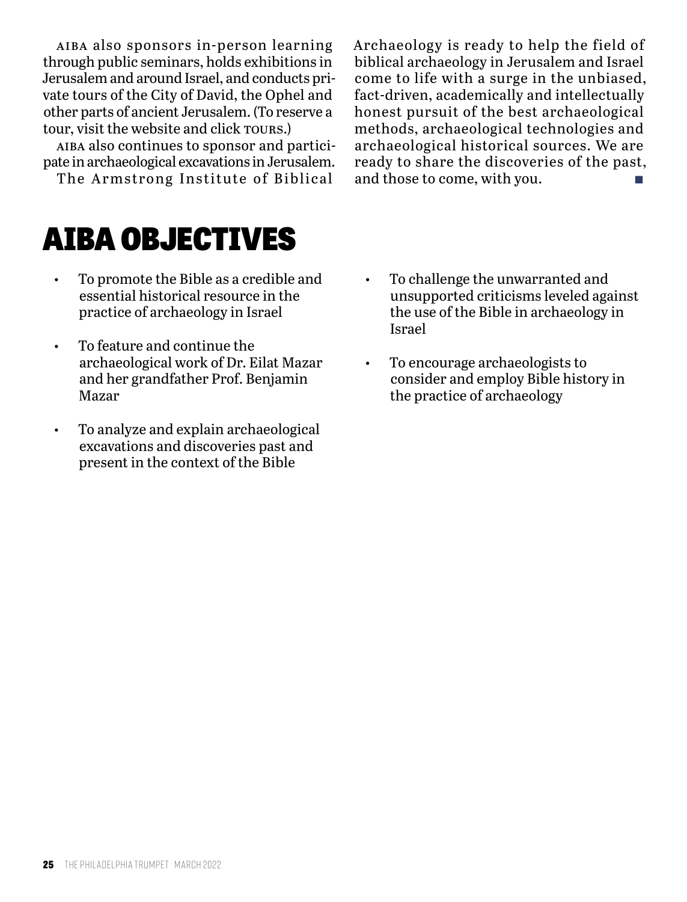aiba also sponsors in-person learning through public seminars, holds exhibitions in Jerusalem and around Israel, and conducts private tours of the City of David, the Ophel and other parts of ancient Jerusalem. (To reserve a tour, visit the website and click rours.)

aiba also continues to sponsor and participate in archaeological excavations in Jerusalem.

The Armstrong Institute of Biblical

Archaeology is ready to help the field of biblical archaeology in Jerusalem and Israel come to life with a surge in the unbiased, fact-driven, academically and intellectually honest pursuit of the best archaeological methods, archaeological technologies and archaeological historical sources. We are ready to share the discoveries of the past, and those to come, with you.

# AIBA OBJECTIVES

- To promote the Bible as a credible and essential historical resource in the practice of archaeology in Israel
- To feature and continue the archaeological work of Dr. Eilat Mazar and her grandfather Prof. Benjamin Mazar
- To analyze and explain archaeological excavations and discoveries past and present in the context of the Bible
- To challenge the unwarranted and unsupported criticisms leveled against the use of the Bible in archaeology in Israel
- To encourage archaeologists to consider and employ Bible history in the practice of archaeology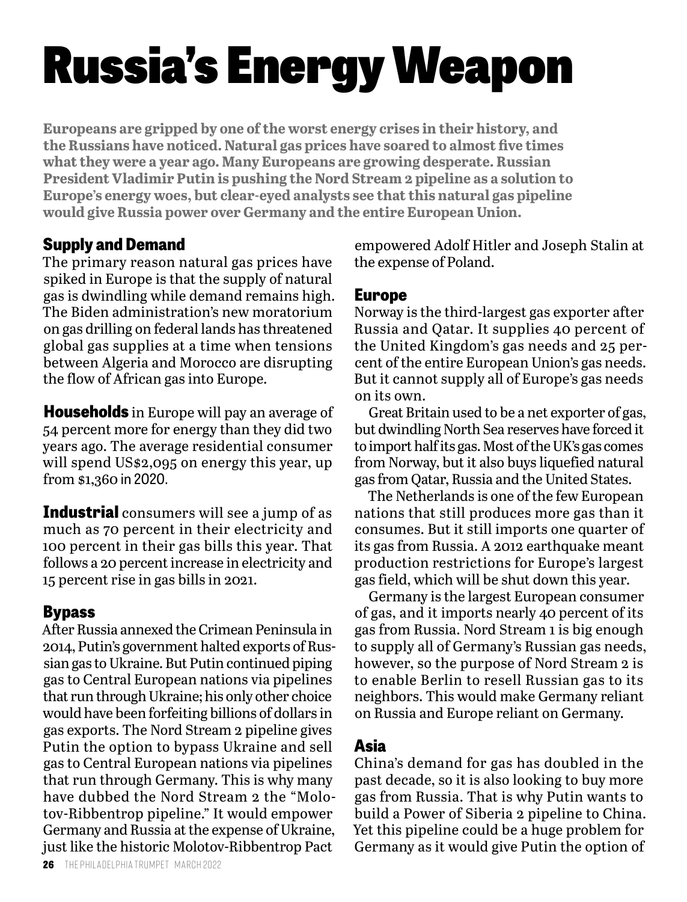# Russia's Energy Weapon

**Europeans are gripped by one of the worst energy crises in their history, and the Russians have noticed. Natural gas prices have soared to almost five times what they were a year ago. Many Europeans are growing desperate. Russian President Vladimir Putin is pushing the Nord Stream 2 pipeline as a solution to Europe's energy woes, but clear-eyed analysts see that this natural gas pipeline would give Russia power over Germany and the entire European Union.**

# **Supply and Demand**

The primary reason natural gas prices have spiked in Europe is that the supply of natural gas is dwindling while demand remains high. The Biden administration's new moratorium on gas drilling on federal lands has threatened global gas supplies at a time when tensions between Algeria and Morocco are disrupting the flow of African gas into Europe.

**Households** in Europe will pay an average of 54 percent more for energy than they did two years ago. The average residential consumer will spend US\$2,095 on energy this year, up from \$1,360 in 2020.

**Industrial** consumers will see a jump of as much as 70 percent in their electricity and 100 percent in their gas bills this year. That follows a 20 percent increase in electricity and 15 percent rise in gas bills in 2021.

# **Bypass**

After Russia annexed the Crimean Peninsula in 2014, Putin's government halted exports of Russian gas to Ukraine. But Putin continued piping gas to Central European nations via pipelines that run through Ukraine; his only other choice would have been forfeiting billions of dollars in gas exports. The Nord Stream 2 pipeline gives Putin the option to bypass Ukraine and sell gas to Central European nations via pipelines that run through Germany. This is why many have dubbed the Nord Stream 2 the "Molotov-Ribbentrop pipeline." It would empower Germany and Russia at the expense of Ukraine, just like the historic Molotov-Ribbentrop Pact

empowered Adolf Hitler and Joseph Stalin at the expense of Poland.

# **Europe**

Norway is the third-largest gas exporter after Russia and Qatar. It supplies 40 percent of the United Kingdom's gas needs and 25 percent of the entire European Union's gas needs. But it cannot supply all of Europe's gas needs on its own.

Great Britain used to be a net exporter of gas, but dwindling North Sea reserves have forced it to import half its gas. Most of the UK's gas comes from Norway, but it also buys liquefied natural gas from Qatar, Russia and the United States.

The Netherlands is one of the few European nations that still produces more gas than it consumes. But it still imports one quarter of its gas from Russia. A 2012 earthquake meant production restrictions for Europe's largest gas field, which will be shut down this year.

Germany is the largest European consumer of gas, and it imports nearly 40 percent of its gas from Russia. Nord Stream 1 is big enough to supply all of Germany's Russian gas needs, however, so the purpose of Nord Stream 2 is to enable Berlin to resell Russian gas to its neighbors. This would make Germany reliant on Russia and Europe reliant on Germany.

# **Asia**

China's demand for gas has doubled in the past decade, so it is also looking to buy more gas from Russia. That is why Putin wants to build a Power of Siberia 2 pipeline to China. Yet this pipeline could be a huge problem for Germany as it would give Putin the option of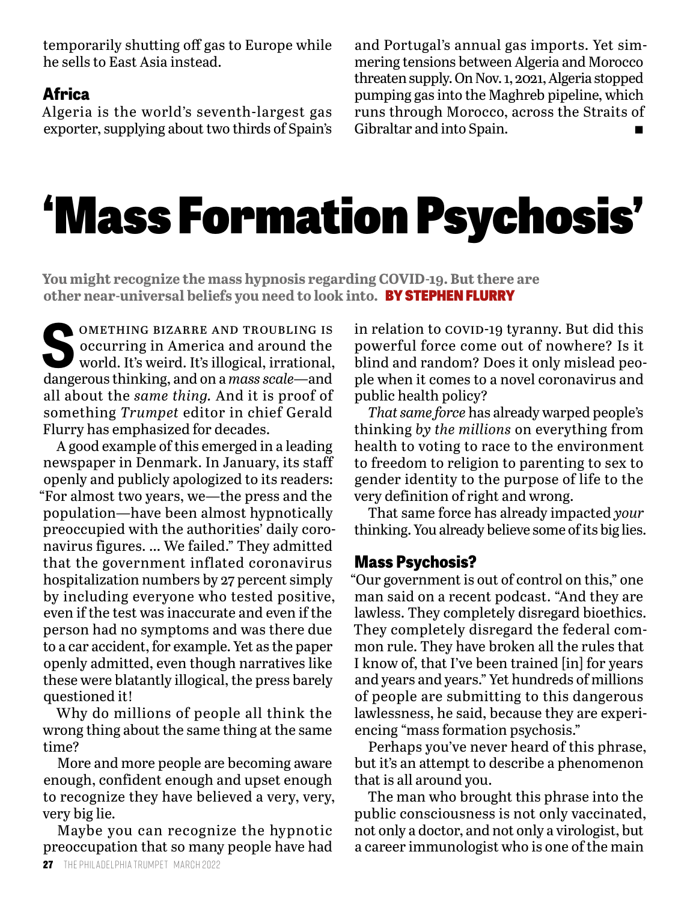temporarily shutting off gas to Europe while he sells to East Asia instead.

### **Africa**

Algeria is the world's seventh-largest gas exporter, supplying about two thirds of Spain's

and Portugal's annual gas imports. Yet simmering tensions between Algeria and Morocco threaten supply. On Nov. 1, 2021, Algeria stopped pumping gas into the Maghreb pipeline, which runs through Morocco, across the Straits of Gibraltar and into Spain.

# 'Mass Formation Psychosis'

**You might recognize the mass hypnosis regarding COVID-19. But there are other near-universal beliefs you need to look into.** BY STEPHEN FLURRY

**SPONETHING BIZARRE AND TROUBLING IS<br>
soccurring in America and around the<br>
world. It's weird. It's illogical, irrational,** occurring in America and around the world. It's weird. It's illogical, irrational, dangerous thinking, and on a *mass scale—*and all about the *same thing.* And it is proof of something *Trumpet* editor in chief Gerald Flurry has emphasized for decades.

A good example of this emerged in a leading newspaper in Denmark. In January, its staff openly and publicly apologized to its readers: "For almost two years, we—the press and the population—have been almost hypnotically preoccupied with the authorities' daily coronavirus figures. … We failed." They admitted that the government inflated coronavirus hospitalization numbers by 27 percent simply by including everyone who tested positive, even if the test was inaccurate and even if the person had no symptoms and was there due to a car accident, for example. Yet as the paper openly admitted, even though narratives like these were blatantly illogical, the press barely questioned it!

Why do millions of people all think the wrong thing about the same thing at the same time?

More and more people are becoming aware enough, confident enough and upset enough to recognize they have believed a very, very, very big lie.

Maybe you can recognize the hypnotic preoccupation that so many people have had

in relation to covip-19 tyranny. But did this powerful force come out of nowhere? Is it blind and random? Does it only mislead people when it comes to a novel coronavirus and public health policy?

*That same force* has already warped people's thinking *by the millions* on everything from health to voting to race to the environment to freedom to religion to parenting to sex to gender identity to the purpose of life to the very definition of right and wrong.

That same force has already impacted *your*  thinking. You already believe some of its big lies.

#### **Mass Psychosis?**

"Our government is out of control on this," one man said on a recent podcast. "And they are lawless. They completely disregard bioethics. They completely disregard the federal common rule. They have broken all the rules that I know of, that I've been trained [in] for years and years and years." Yet hundreds of millions of people are submitting to this dangerous lawlessness, he said, because they are experiencing "mass formation psychosis."

Perhaps you've never heard of this phrase, but it's an attempt to describe a phenomenon that is all around you.

The man who brought this phrase into the public consciousness is not only vaccinated, not only a doctor, and not only a virologist, but a career immunologist who is one of the main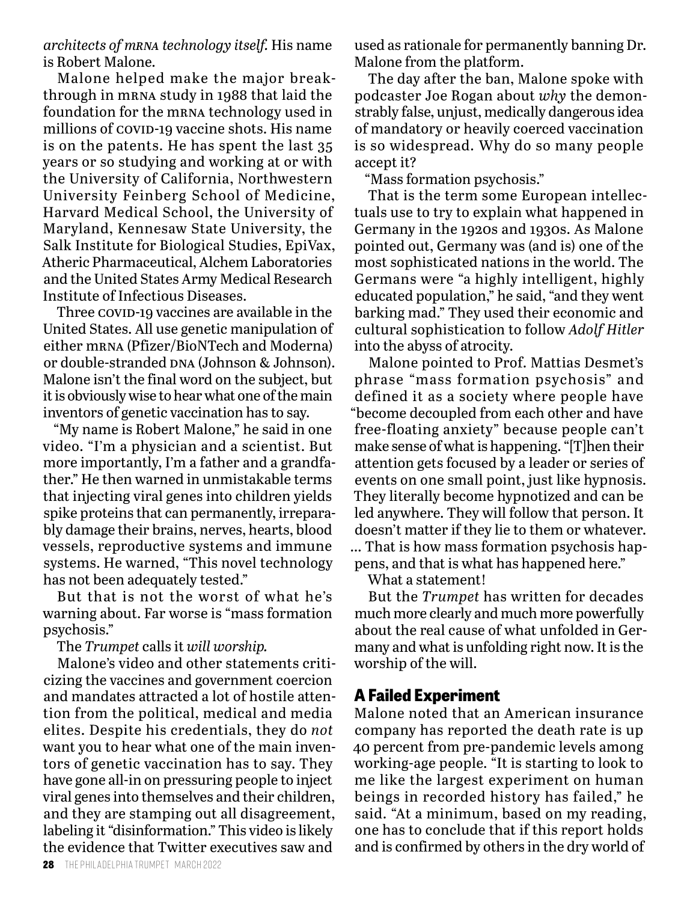*architects of mrna technology itself.* His name is Robert Malone.

Malone helped make the major breakthrough in mrna study in 1988 that laid the foundation for the mrna technology used in millions of covip-19 vaccine shots. His name is on the patents. He has spent the last 35 years or so studying and working at or with the University of California, Northwestern University Feinberg School of Medicine, Harvard Medical School, the University of Maryland, Kennesaw State University, the Salk Institute for Biological Studies, EpiVax, Atheric Pharmaceutical, Alchem Laboratories and the United States Army Medical Research Institute of Infectious Diseases.

Three covip-19 vaccines are available in the United States. All use genetic manipulation of either mrna (Pfizer/BioNTech and Moderna) or double-stranded DNA (Johnson & Johnson). Malone isn't the final word on the subject, but it is obviously wise to hear what one of the main inventors of genetic vaccination has to say.

"My name is Robert Malone," he said in one video. "I'm a physician and a scientist. But more importantly, I'm a father and a grandfather." He then warned in unmistakable terms that injecting viral genes into children yields spike proteins that can permanently, irreparably damage their brains, nerves, hearts, blood vessels, reproductive systems and immune systems. He warned, "This novel technology has not been adequately tested."

But that is not the worst of what he's warning about. Far worse is "mass formation psychosis."

The *Trumpet* calls it *will worship.*

Malone's video and other statements criticizing the vaccines and government coercion and mandates attracted a lot of hostile attention from the political, medical and media elites. Despite his credentials, they do *not* want you to hear what one of the main inventors of genetic vaccination has to say. They have gone all-in on pressuring people to inject viral genes into themselves and their children, and they are stamping out all disagreement, labeling it "disinformation." This video is likely the evidence that Twitter executives saw and

used as rationale for permanently banning Dr. Malone from the platform.

The day after the ban, Malone spoke with podcaster Joe Rogan about *why* the demonstrably false, unjust, medically dangerous idea of mandatory or heavily coerced vaccination is so widespread. Why do so many people accept it?

"Mass formation psychosis."

That is the term some European intellectuals use to try to explain what happened in Germany in the 1920s and 1930s. As Malone pointed out, Germany was (and is) one of the most sophisticated nations in the world. The Germans were "a highly intelligent, highly educated population," he said, "and they went barking mad." They used their economic and cultural sophistication to follow *Adolf Hitler* into the abyss of atrocity.

Malone pointed to Prof. Mattias Desmet's phrase "mass formation psychosis" and defined it as a society where people have "become decoupled from each other and have free-floating anxiety" because people can't make sense of what is happening. "[T]hen their attention gets focused by a leader or series of events on one small point, just like hypnosis. They literally become hypnotized and can be led anywhere. They will follow that person. It doesn't matter if they lie to them or whatever. … That is how mass formation psychosis happens, and that is what has happened here."

What a statement!

But the *Trumpet* has written for decades much more clearly and much more powerfully about the real cause of what unfolded in Germany and what is unfolding right now. It is the worship of the will.

# **A Failed Experiment**

Malone noted that an American insurance company has reported the death rate is up 40 percent from pre-pandemic levels among working-age people. "It is starting to look to me like the largest experiment on human beings in recorded history has failed," he said. "At a minimum, based on my reading, one has to conclude that if this report holds and is confirmed by others in the dry world of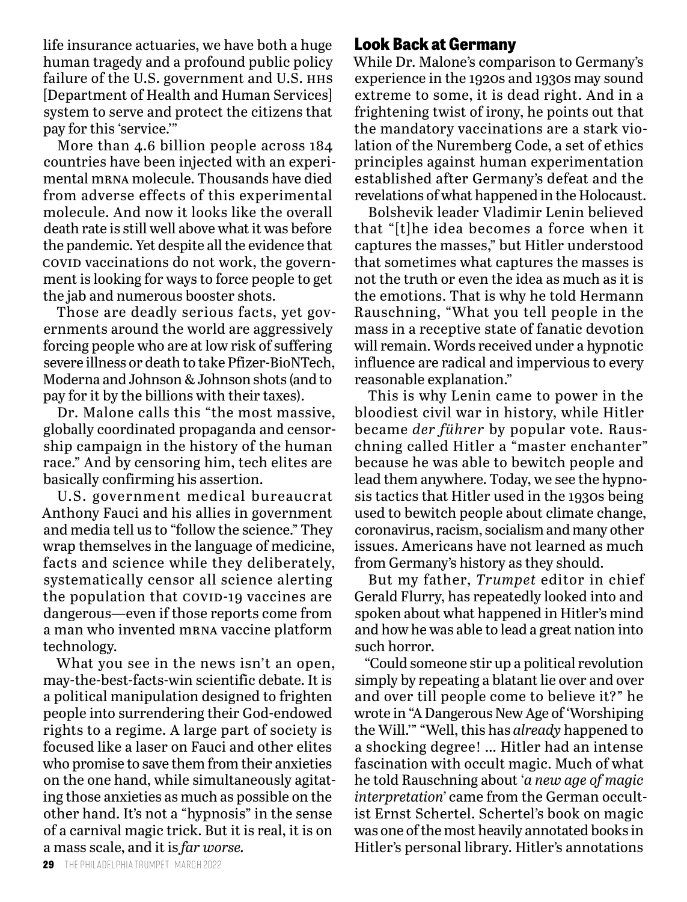life insurance actuaries, we have both a huge human tragedy and a profound public policy failure of the U.S. government and U.S. HHS [Department of Health and Human Services] system to serve and protect the citizens that pay for this 'service.'"

More than 4.6 billion people across 184 countries have been injected with an experimental mrna molecule. Thousands have died from adverse effects of this experimental molecule. And now it looks like the overall death rate is still well above what it was before the pandemic. Yet despite all the evidence that covid vaccinations do not work, the government is looking for ways to force people to get the jab and numerous booster shots.

Those are deadly serious facts, yet governments around the world are aggressively forcing people who are at low risk of suffering severe illness or death to take Pfizer-BioNTech, Moderna and Johnson & Johnson shots (and to pay for it by the billions with their taxes).

Dr. Malone calls this "the most massive, globally coordinated propaganda and censorship campaign in the history of the human race." And by censoring him, tech elites are basically confirming his assertion.

U.S. government medical bureaucrat Anthony Fauci and his allies in government and media tell us to "follow the science." They wrap themselves in the language of medicine, facts and science while they deliberately, systematically censor all science alerting the population that covid-19 vaccines are dangerous—even if those reports come from a man who invented mrna vaccine platform technology.

What you see in the news isn't an open, may-the-best-facts-win scientific debate. It is a political manipulation designed to frighten people into surrendering their God-endowed rights to a regime. A large part of society is focused like a laser on Fauci and other elites who promise to save them from their anxieties on the one hand, while simultaneously agitating those anxieties as much as possible on the other hand. It's not a "hypnosis" in the sense of a carnival magic trick. But it is real, it is on a mass scale, and it is *far worse.*

### **Look Back at Germany**

While Dr. Malone's comparison to Germany's experience in the 1920s and 1930s may sound extreme to some, it is dead right. And in a frightening twist of irony, he points out that the mandatory vaccinations are a stark violation of the Nuremberg Code, a set of ethics principles against human experimentation established after Germany's defeat and the revelations of what happened in the Holocaust.

Bolshevik leader Vladimir Lenin believed that "[t]he idea becomes a force when it captures the masses," but Hitler understood that sometimes what captures the masses is not the truth or even the idea as much as it is the emotions. That is why he told Hermann Rauschning, "What you tell people in the mass in a receptive state of fanatic devotion will remain. Words received under a hypnotic influence are radical and impervious to every reasonable explanation."

This is why Lenin came to power in the bloodiest civil war in history, while Hitler became *der führer* by popular vote. Rauschning called Hitler a "master enchanter" because he was able to bewitch people and lead them anywhere. Today, we see the hypnosis tactics that Hitler used in the 1930s being used to bewitch people about climate change, coronavirus, racism, socialism and many other issues. Americans have not learned as much from Germany's history as they should.

But my father, *Trumpet* editor in chief Gerald Flurry, has repeatedly looked into and spoken about what happened in Hitler's mind and how he was able to lead a great nation into such horror.

"Could someone stir up a political revolution simply by repeating a blatant lie over and over and over till people come to believe it?" he wrote in "A Dangerous New Age of 'Worshiping the Will.'" "Well, this has *already* happened to a shocking degree! … Hitler had an intense fascination with occult magic. Much of what he told Rauschning about '*a new age of magic interpretation'* came from the German occultist Ernst Schertel. Schertel's book on magic was one of the most heavily annotated books in Hitler's personal library. Hitler's annotations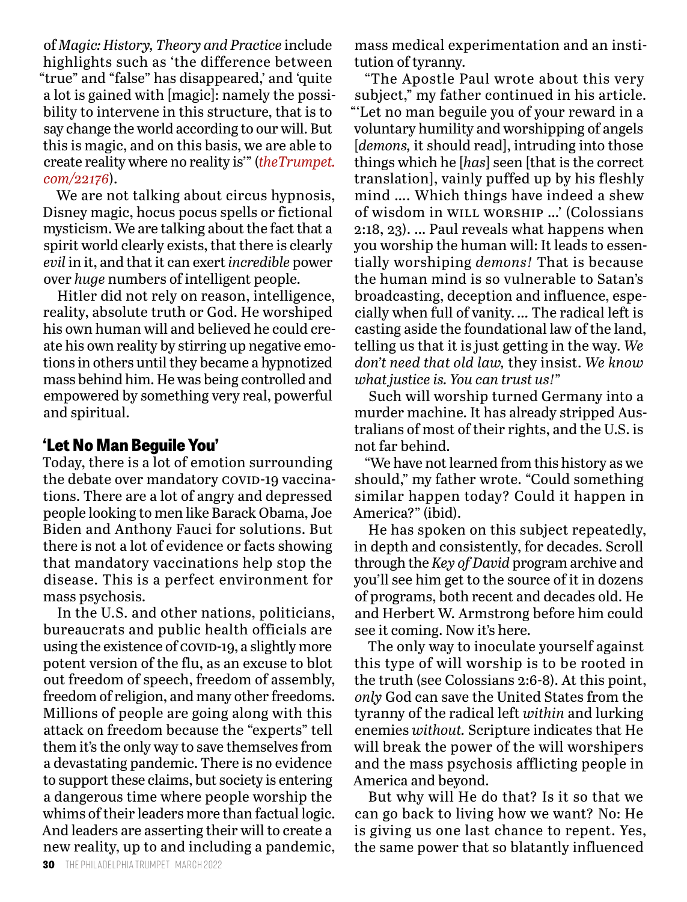of *Magic: History, Theory and Practice* include highlights such as 'the difference between "true" and "false" has disappeared,' and 'quite a lot is gained with [magic]: namely the possibility to intervene in this structure, that is to say change the world according to our will. But this is magic, and on this basis, we are able to create reality where no reality is'" (*theTrumpet. com/22176*).

We are not talking about circus hypnosis, Disney magic, hocus pocus spells or fictional mysticism. We are talking about the fact that a spirit world clearly exists, that there is clearly *evil* in it, and that it can exert *incredible* power over *huge* numbers of intelligent people.

Hitler did not rely on reason, intelligence, reality, absolute truth or God. He worshiped his own human will and believed he could create his own reality by stirring up negative emotions in others until they became a hypnotized mass behind him. He was being controlled and empowered by something very real, powerful and spiritual.

## **'Let No Man Beguile You'**

Today, there is a lot of emotion surrounding the debate over mandatory covid-19 vaccinations. There are a lot of angry and depressed people looking to men like Barack Obama, Joe Biden and Anthony Fauci for solutions. But there is not a lot of evidence or facts showing that mandatory vaccinations help stop the disease. This is a perfect environment for mass psychosis.

In the U.S. and other nations, politicians, bureaucrats and public health officials are using the existence of covid-19, a slightly more potent version of the flu, as an excuse to blot out freedom of speech, freedom of assembly, freedom of religion, and many other freedoms. Millions of people are going along with this attack on freedom because the "experts" tell them it's the only way to save themselves from a devastating pandemic. There is no evidence to support these claims, but society is entering a dangerous time where people worship the whims of their leaders more than factual logic. And leaders are asserting their will to create a new reality, up to and including a pandemic, mass medical experimentation and an institution of tyranny.

"The Apostle Paul wrote about this very subject," my father continued in his article. "'Let no man beguile you of your reward in a voluntary humility and worshipping of angels [*demons,* it should read], intruding into those things which he [*has*] seen [that is the correct translation], vainly puffed up by his fleshly mind …. Which things have indeed a shew of wisdom in will worship …' (Colossians 2:18, 23). … Paul reveals what happens when you worship the human will: It leads to essentially worshiping *demons!* That is because the human mind is so vulnerable to Satan's broadcasting, deception and influence, especially when full of vanity. *…* The radical left is casting aside the foundational law of the land, telling us that it is just getting in the way. *We don't need that old law,* they insist. *We know what justice is. You can trust us!*"

Such will worship turned Germany into a murder machine. It has already stripped Australians of most of their rights, and the U.S. is not far behind.

"We have not learned from this history as we should," my father wrote. "Could something similar happen today? Could it happen in America?" (ibid).

He has spoken on this subject repeatedly, in depth and consistently, for decades. Scroll through the *Key of David* program archive and you'll see him get to the source of it in dozens of programs, both recent and decades old. He and Herbert W. Armstrong before him could see it coming. Now it's here.

The only way to inoculate yourself against this type of will worship is to be rooted in the truth (see Colossians 2:6-8). At this point, *only* God can save the United States from the tyranny of the radical left *within* and lurking enemies *without.* Scripture indicates that He will break the power of the will worshipers and the mass psychosis afflicting people in America and beyond.

But why will He do that? Is it so that we can go back to living how we want? No: He is giving us one last chance to repent. Yes, the same power that so blatantly influenced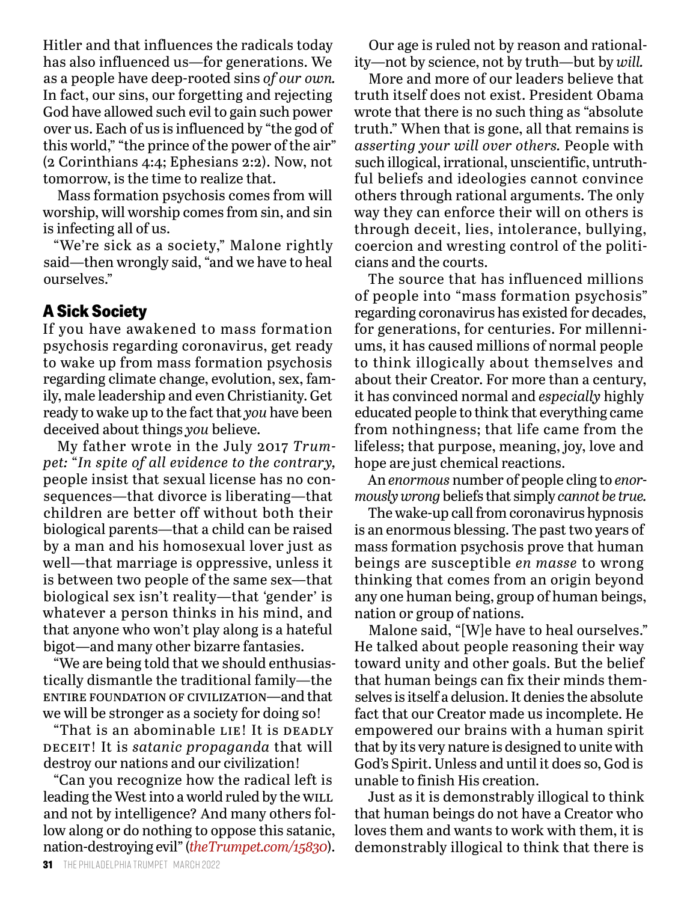Hitler and that influences the radicals today has also influenced us—for generations. We as a people have deep-rooted sins *of our own.* In fact, our sins, our forgetting and rejecting God have allowed such evil to gain such power over us. Each of us is influenced by "the god of this world," "the prince of the power of the air" (2 Corinthians 4:4; Ephesians 2:2). Now, not tomorrow, is the time to realize that.

Mass formation psychosis comes from will worship, will worship comes from sin, and sin is infecting all of us.

"We're sick as a society," Malone rightly said—then wrongly said, "and we have to heal ourselves."

# **A Sick Society**

If you have awakened to mass formation psychosis regarding coronavirus, get ready to wake up from mass formation psychosis regarding climate change, evolution, sex, family, male leadership and even Christianity. Get ready to wake up to the fact that *you* have been deceived about things *you* believe.

My father wrote in the July 2017 *Trumpet:* "*In spite of all evidence to the contrary,* people insist that sexual license has no consequences—that divorce is liberating—that children are better off without both their biological parents—that a child can be raised by a man and his homosexual lover just as well—that marriage is oppressive, unless it is between two people of the same sex—that biological sex isn't reality—that 'gender' is whatever a person thinks in his mind, and that anyone who won't play along is a hateful bigot—and many other bizarre fantasies.

"We are being told that we should enthusiastically dismantle the traditional family—the entire foundation of civilization—and that we will be stronger as a society for doing so!

"That is an abominable LIE! It is DEADLY deceit! It is *satanic propaganda* that will destroy our nations and our civilization!

"Can you recognize how the radical left is leading the West into a world ruled by the WILL and not by intelligence? And many others follow along or do nothing to oppose this satanic, nation-destroying evil" (*theTrumpet.com/15830*).

Our age is ruled not by reason and rationality—not by science, not by truth—but by *will.*

More and more of our leaders believe that truth itself does not exist. President Obama wrote that there is no such thing as "absolute truth." When that is gone, all that remains is *asserting your will over others.* People with such illogical, irrational, unscientific, untruthful beliefs and ideologies cannot convince others through rational arguments. The only way they can enforce their will on others is through deceit, lies, intolerance, bullying, coercion and wresting control of the politicians and the courts.

The source that has influenced millions of people into "mass formation psychosis" regarding coronavirus has existed for decades, for generations, for centuries. For millenniums, it has caused millions of normal people to think illogically about themselves and about their Creator. For more than a century, it has convinced normal and *especially* highly educated people to think that everything came from nothingness; that life came from the lifeless; that purpose, meaning, joy, love and hope are just chemical reactions.

An *enormous* number of people cling to *enormously wrong* beliefs that simply *cannot be true.*

The wake-up call from coronavirus hypnosis is an enormous blessing. The past two years of mass formation psychosis prove that human beings are susceptible *en masse* to wrong thinking that comes from an origin beyond any one human being, group of human beings, nation or group of nations.

Malone said, "[W]e have to heal ourselves." He talked about people reasoning their way toward unity and other goals. But the belief that human beings can fix their minds themselves is itself a delusion. It denies the absolute fact that our Creator made us incomplete. He empowered our brains with a human spirit that by its very nature is designed to unite with God's Spirit. Unless and until it does so, God is unable to finish His creation.

Just as it is demonstrably illogical to think that human beings do not have a Creator who loves them and wants to work with them, it is demonstrably illogical to think that there is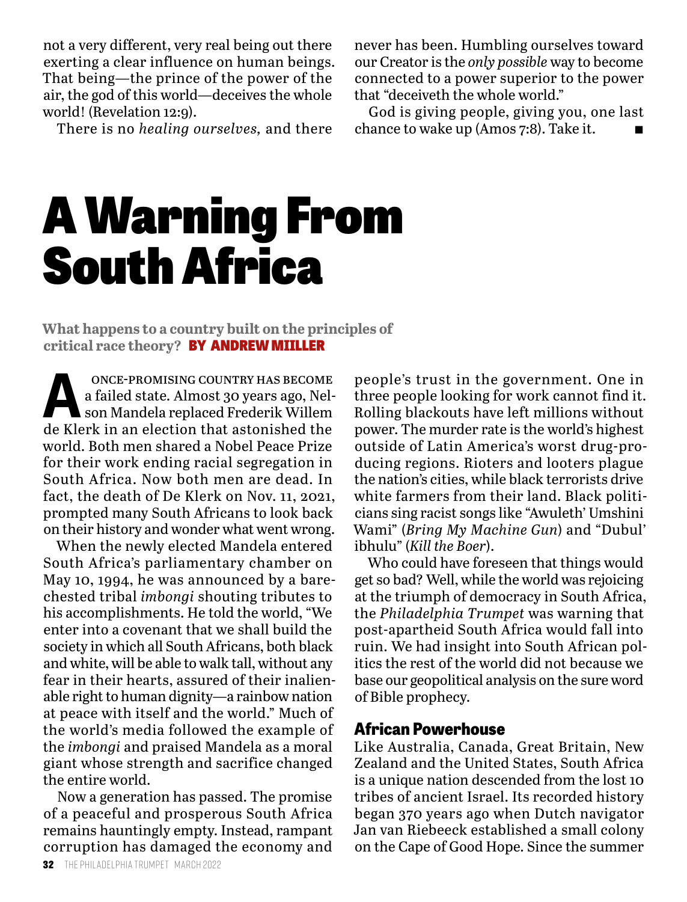not a very different, very real being out there exerting a clear influence on human beings. That being—the prince of the power of the air, the god of this world—deceives the whole world! (Revelation 12:9).

There is no *healing ourselves,* and there

never has been. Humbling ourselves toward our Creator is the *only possible* way to become connected to a power superior to the power that "deceiveth the whole world."

God is giving people, giving you, one last chance to wake up (Amos 7:8). Take it.

# A Warning From South Africa

**What happens to a country built on the principles of critical race theory?** BY ANDREW MIILLER

**A** once-promising country has become a failed state. Almost 30 years ago, Nelson Mandela replaced Frederik Willem a failed state. Almost 30 years ago, Nelson Mandela replaced Frederik Willem de Klerk in an election that astonished the world. Both men shared a Nobel Peace Prize for their work ending racial segregation in South Africa. Now both men are dead. In fact, the death of De Klerk on Nov. 11, 2021, prompted many South Africans to look back on their history and wonder what went wrong.

When the newly elected Mandela entered South Africa's parliamentary chamber on May 10, 1994, he was announced by a barechested tribal *imbongi* shouting tributes to his accomplishments. He told the world, "We enter into a covenant that we shall build the society in which all South Africans, both black and white, will be able to walk tall, without any fear in their hearts, assured of their inalienable right to human dignity—a rainbow nation at peace with itself and the world." Much of the world's media followed the example of the *imbongi* and praised Mandela as a moral giant whose strength and sacrifice changed the entire world.

Now a generation has passed. The promise of a peaceful and prosperous South Africa remains hauntingly empty. Instead, rampant corruption has damaged the economy and

people's trust in the government. One in three people looking for work cannot find it. Rolling blackouts have left millions without power. The murder rate is the world's highest outside of Latin America's worst drug-producing regions. Rioters and looters plague the nation's cities, while black terrorists drive white farmers from their land. Black politicians sing racist songs like "Awuleth' Umshini Wami" (*Bring My Machine Gun*) and "Dubul' ibhulu" (*Kill the Boer*).

Who could have foreseen that things would get so bad? Well, while the world was rejoicing at the triumph of democracy in South Africa, the *Philadelphia Trumpet* was warning that post-apartheid South Africa would fall into ruin. We had insight into South African politics the rest of the world did not because we base our geopolitical analysis on the sure word of Bible prophecy.

#### **African Powerhouse**

Like Australia, Canada, Great Britain, New Zealand and the United States, South Africa is a unique nation descended from the lost 10 tribes of ancient Israel. Its recorded history began 370 years ago when Dutch navigator Jan van Riebeeck established a small colony on the Cape of Good Hope. Since the summer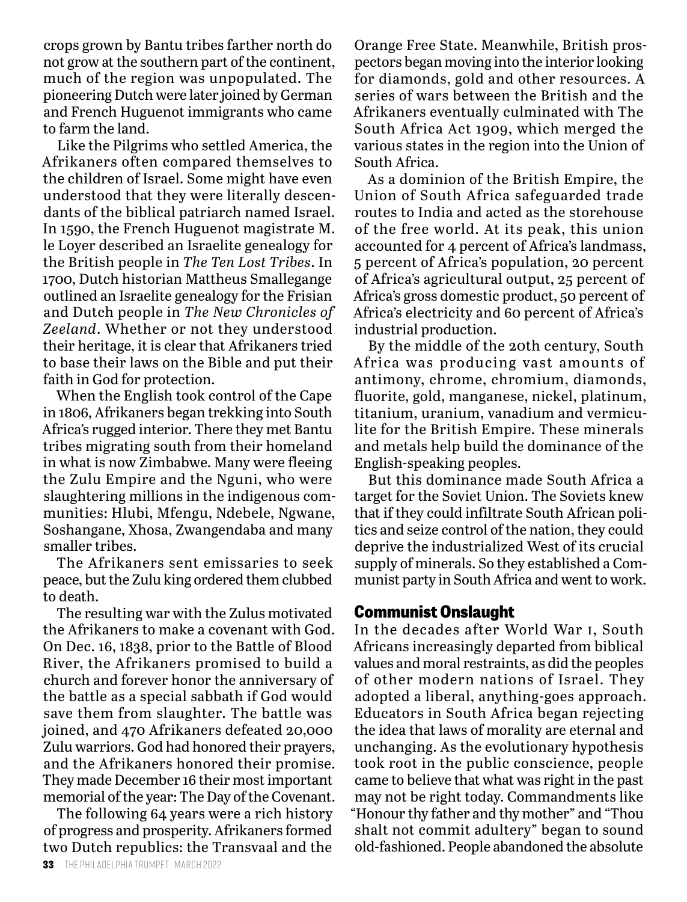crops grown by Bantu tribes farther north do not grow at the southern part of the continent, much of the region was unpopulated. The pioneering Dutch were later joined by German and French Huguenot immigrants who came to farm the land.

Like the Pilgrims who settled America, the Afrikaners often compared themselves to the children of Israel. Some might have even understood that they were literally descendants of the biblical patriarch named Israel. In 1590, the French Huguenot magistrate M. le Loyer described an Israelite genealogy for the British people in *The Ten Lost Tribes*. In 1700, Dutch historian Mattheus Smallegange outlined an Israelite genealogy for the Frisian and Dutch people in *The New Chronicles of Zeeland*. Whether or not they understood their heritage, it is clear that Afrikaners tried to base their laws on the Bible and put their faith in God for protection.

When the English took control of the Cape in 1806, Afrikaners began trekking into South Africa's rugged interior. There they met Bantu tribes migrating south from their homeland in what is now Zimbabwe. Many were fleeing the Zulu Empire and the Nguni, who were slaughtering millions in the indigenous communities: Hlubi, Mfengu, Ndebele, Ngwane, Soshangane, Xhosa, Zwangendaba and many smaller tribes.

The Afrikaners sent emissaries to seek peace, but the Zulu king ordered them clubbed to death.

The resulting war with the Zulus motivated the Afrikaners to make a covenant with God. On Dec. 16, 1838, prior to the Battle of Blood River, the Afrikaners promised to build a church and forever honor the anniversary of the battle as a special sabbath if God would save them from slaughter. The battle was joined, and 470 Afrikaners defeated 20,000 Zulu warriors. God had honored their prayers, and the Afrikaners honored their promise. They made December 16 their most important memorial of the year: The Day of the Covenant.

The following 64 years were a rich history of progress and prosperity. Afrikaners formed two Dutch republics: the Transvaal and the

Orange Free State. Meanwhile, British prospectors began moving into the interior looking for diamonds, gold and other resources. A series of wars between the British and the Afrikaners eventually culminated with The South Africa Act 1909, which merged the various states in the region into the Union of South Africa.

As a dominion of the British Empire, the Union of South Africa safeguarded trade routes to India and acted as the storehouse of the free world. At its peak, this union accounted for 4 percent of Africa's landmass, 5 percent of Africa's population, 20 percent of Africa's agricultural output, 25 percent of Africa's gross domestic product, 50 percent of Africa's electricity and 60 percent of Africa's industrial production.

By the middle of the 20th century, South Africa was producing vast amounts of antimony, chrome, chromium, diamonds, fluorite, gold, manganese, nickel, platinum, titanium, uranium, vanadium and vermiculite for the British Empire. These minerals and metals help build the dominance of the English-speaking peoples.

But this dominance made South Africa a target for the Soviet Union. The Soviets knew that if they could infiltrate South African politics and seize control of the nation, they could deprive the industrialized West of its crucial supply of minerals. So they established a Communist party in South Africa and went to work.

#### **Communist Onslaught**

In the decades after World War i, South Africans increasingly departed from biblical values and moral restraints, as did the peoples of other modern nations of Israel. They adopted a liberal, anything-goes approach. Educators in South Africa began rejecting the idea that laws of morality are eternal and unchanging. As the evolutionary hypothesis took root in the public conscience, people came to believe that what was right in the past may not be right today. Commandments like "Honour thy father and thy mother" and "Thou shalt not commit adultery" began to sound old-fashioned. People abandoned the absolute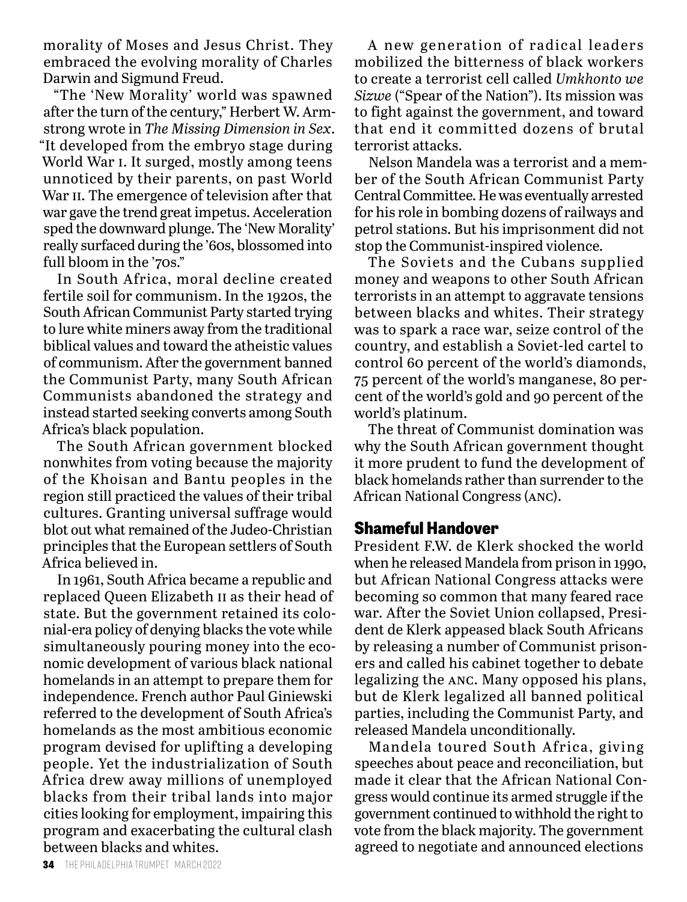morality of Moses and Jesus Christ. They embraced the evolving morality of Charles Darwin and Sigmund Freud.

"The 'New Morality' world was spawned after the turn of the century," Herbert W. Armstrong wrote in *The Missing Dimension in Sex*. "It developed from the embryo stage during World War i. It surged, mostly among teens unnoticed by their parents, on past World War II. The emergence of television after that war gave the trend great impetus. Acceleration sped the downward plunge. The 'New Morality' really surfaced during the '60s, blossomed into full bloom in the '70s."

In South Africa, moral decline created fertile soil for communism. In the 1920s, the South African Communist Party started trying to lure white miners away from the traditional biblical values and toward the atheistic values of communism. After the government banned the Communist Party, many South African Communists abandoned the strategy and instead started seeking converts among South Africa's black population.

The South African government blocked nonwhites from voting because the majority of the Khoisan and Bantu peoples in the region still practiced the values of their tribal cultures. Granting universal suffrage would blot out what remained of the Judeo-Christian principles that the European settlers of South Africa believed in.

In 1961, South Africa became a republic and replaced Queen Elizabeth ii as their head of state. But the government retained its colonial-era policy of denying blacks the vote while simultaneously pouring money into the economic development of various black national homelands in an attempt to prepare them for independence. French author Paul Giniewski referred to the development of South Africa's homelands as the most ambitious economic program devised for uplifting a developing people. Yet the industrialization of South Africa drew away millions of unemployed blacks from their tribal lands into major cities looking for employment, impairing this program and exacerbating the cultural clash between blacks and whites.

A new generation of radical leaders mobilized the bitterness of black workers to create a terrorist cell called *Umkhonto we Sizwe* ("Spear of the Nation"). Its mission was to fight against the government, and toward that end it committed dozens of brutal terrorist attacks.

Nelson Mandela was a terrorist and a member of the South African Communist Party Central Committee. He was eventually arrested for his role in bombing dozens of railways and petrol stations. But his imprisonment did not stop the Communist-inspired violence.

The Soviets and the Cubans supplied money and weapons to other South African terrorists in an attempt to aggravate tensions between blacks and whites. Their strategy was to spark a race war, seize control of the country, and establish a Soviet-led cartel to control 60 percent of the world's diamonds, 75 percent of the world's manganese, 80 percent of the world's gold and 90 percent of the world's platinum.

The threat of Communist domination was why the South African government thought it more prudent to fund the development of black homelands rather than surrender to the African National Congress (anc).

#### **Shameful Handover**

President F.W. de Klerk shocked the world when he released Mandela from prison in 1990, but African National Congress attacks were becoming so common that many feared race war. After the Soviet Union collapsed, President de Klerk appeased black South Africans by releasing a number of Communist prisoners and called his cabinet together to debate legalizing the anc. Many opposed his plans, but de Klerk legalized all banned political parties, including the Communist Party, and released Mandela unconditionally.

Mandela toured South Africa, giving speeches about peace and reconciliation, but made it clear that the African National Congress would continue its armed struggle if the government continued to withhold the right to vote from the black majority. The government agreed to negotiate and announced elections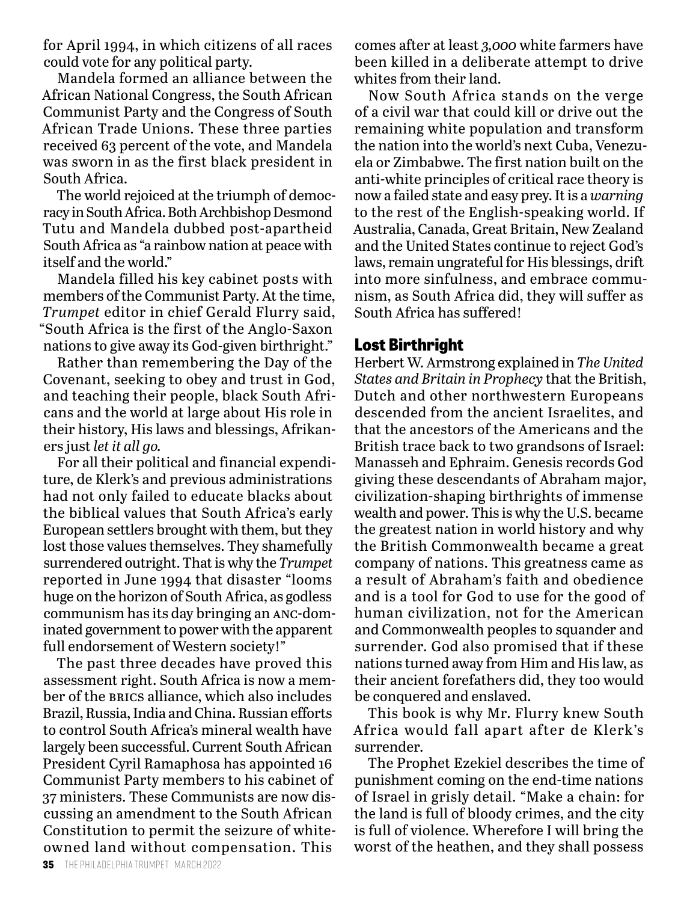for April 1994, in which citizens of all races could vote for any political party.

Mandela formed an alliance between the African National Congress, the South African Communist Party and the Congress of South African Trade Unions. These three parties received 63 percent of the vote, and Mandela was sworn in as the first black president in South Africa.

The world rejoiced at the triumph of democracy in South Africa. Both Archbishop Desmond Tutu and Mandela dubbed post-apartheid South Africa as "a rainbow nation at peace with itself and the world."

Mandela filled his key cabinet posts with members of the Communist Party. At the time, *Trumpet* editor in chief Gerald Flurry said, "South Africa is the first of the Anglo-Saxon nations to give away its God-given birthright."

Rather than remembering the Day of the Covenant, seeking to obey and trust in God, and teaching their people, black South Africans and the world at large about His role in their history, His laws and blessings, Afrikaners just *let it all go.*

For all their political and financial expenditure, de Klerk's and previous administrations had not only failed to educate blacks about the biblical values that South Africa's early European settlers brought with them, but they lost those values themselves. They shamefully surrendered outright. That is why the *Trumpet* reported in June 1994 that disaster "looms huge on the horizon of South Africa, as godless communism has its day bringing an anc-dominated government to power with the apparent full endorsement of Western society!"

The past three decades have proved this assessment right. South Africa is now a member of the BRICS alliance, which also includes Brazil, Russia, India and China. Russian efforts to control South Africa's mineral wealth have largely been successful. Current South African President Cyril Ramaphosa has appointed 16 Communist Party members to his cabinet of 37 ministers. These Communists are now discussing an amendment to the South African Constitution to permit the seizure of whiteowned land without compensation. This

comes after at least *3,000* white farmers have been killed in a deliberate attempt to drive whites from their land.

Now South Africa stands on the verge of a civil war that could kill or drive out the remaining white population and transform the nation into the world's next Cuba, Venezuela or Zimbabwe. The first nation built on the anti-white principles of critical race theory is now a failed state and easy prey. It is a *warning* to the rest of the English-speaking world. If Australia, Canada, Great Britain, New Zealand and the United States continue to reject God's laws, remain ungrateful for His blessings, drift into more sinfulness, and embrace communism, as South Africa did, they will suffer as South Africa has suffered!

## **Lost Birthright**

Herbert W. Armstrong explained in *The United States and Britain in Prophecy* that the British, Dutch and other northwestern Europeans descended from the ancient Israelites, and that the ancestors of the Americans and the British trace back to two grandsons of Israel: Manasseh and Ephraim. Genesis records God giving these descendants of Abraham major, civilization-shaping birthrights of immense wealth and power. This is why the U.S. became the greatest nation in world history and why the British Commonwealth became a great company of nations. This greatness came as a result of Abraham's faith and obedience and is a tool for God to use for the good of human civilization, not for the American and Commonwealth peoples to squander and surrender. God also promised that if these nations turned away from Him and His law, as their ancient forefathers did, they too would be conquered and enslaved.

This book is why Mr. Flurry knew South Africa would fall apart after de Klerk's surrender.

The Prophet Ezekiel describes the time of punishment coming on the end-time nations of Israel in grisly detail. "Make a chain: for the land is full of bloody crimes, and the city is full of violence. Wherefore I will bring the worst of the heathen, and they shall possess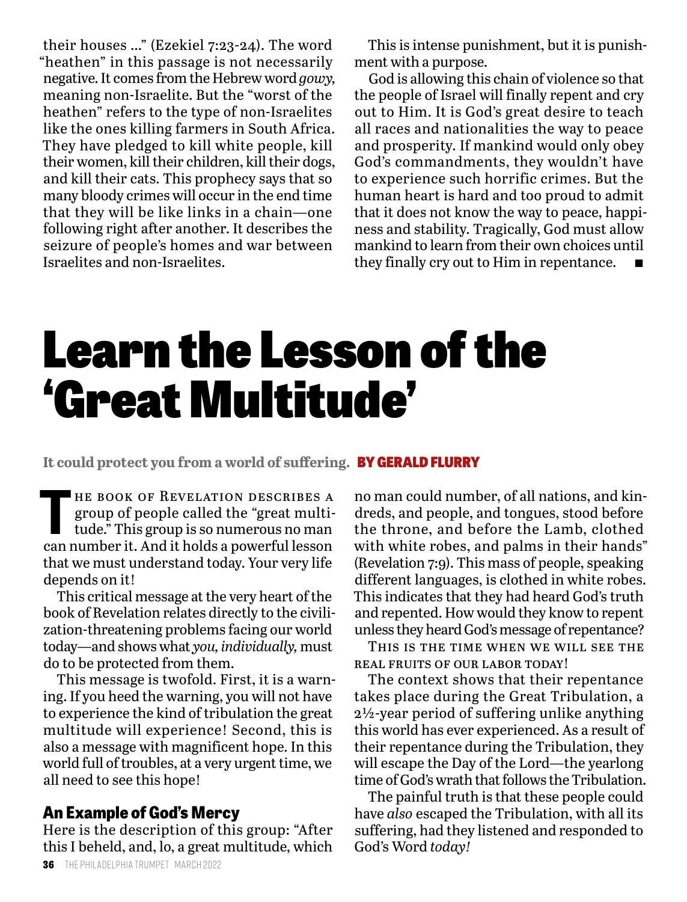their houses …" (Ezekiel 7:23-24). The word "heathen" in this passage is not necessarily negative. It comes from the Hebrew word *gowy,* meaning non-Israelite. But the "worst of the heathen" refers to the type of non-Israelites like the ones killing farmers in South Africa. They have pledged to kill white people, kill their women, kill their children, kill their dogs, and kill their cats. This prophecy says that so many bloody crimes will occur in the end time that they will be like links in a chain—one following right after another. It describes the seizure of people's homes and war between Israelites and non-Israelites.

This is intense punishment, but it is punishment with a purpose.

God is allowing this chain of violence so that the people of Israel will finally repent and cry out to Him. It is God's great desire to teach all races and nationalities the way to peace and prosperity. If mankind would only obey God's commandments, they wouldn't have to experience such horrific crimes. But the human heart is hard and too proud to admit that it does not know the way to peace, happiness and stability. Tragically, God must allow mankind to learn from their own choices until they finally cry out to Him in repentance.

# Learn the Lesson of the 'Great Multitude'

**It could protect you from a world of suffering.** BY GERALD FLURRY

THE BOOK OF REVELATION DESCRIBES A group of people called the "great multitude." This group is so numerous no man group of people called the "great multican number it. And it holds a powerful lesson that we must understand today. Your very life depends on it!

This critical message at the very heart of the book of Revelation relates directly to the civilization-threatening problems facing our world today—and shows what *you, individually,* must do to be protected from them.

This message is twofold. First, it is a warning. If you heed the warning, you will not have to experience the kind of tribulation the great multitude will experience! Second, this is also a message with magnificent hope. In this world full of troubles, at a very urgent time, we all need to see this hope!

### **An Example of God's Mercy**

Here is the description of this group: "After this I beheld, and, lo, a great multitude, which no man could number, of all nations, and kindreds, and people, and tongues, stood before the throne, and before the Lamb, clothed with white robes, and palms in their hands" (Revelation 7:9). This mass of people, speaking different languages, is clothed in white robes. This indicates that they had heard God's truth and repented. How would they know to repent unless they heard God's message of repentance?

This is the time when we will see the real fruits of our labor today!

The context shows that their repentance takes place during the Great Tribulation, a 2½-year period of suffering unlike anything this world has ever experienced. As a result of their repentance during the Tribulation, they will escape the Day of the Lord—the yearlong time of God's wrath that follows the Tribulation.

The painful truth is that these people could have *also* escaped the Tribulation, with all its suffering, had they listened and responded to God's Word *today!*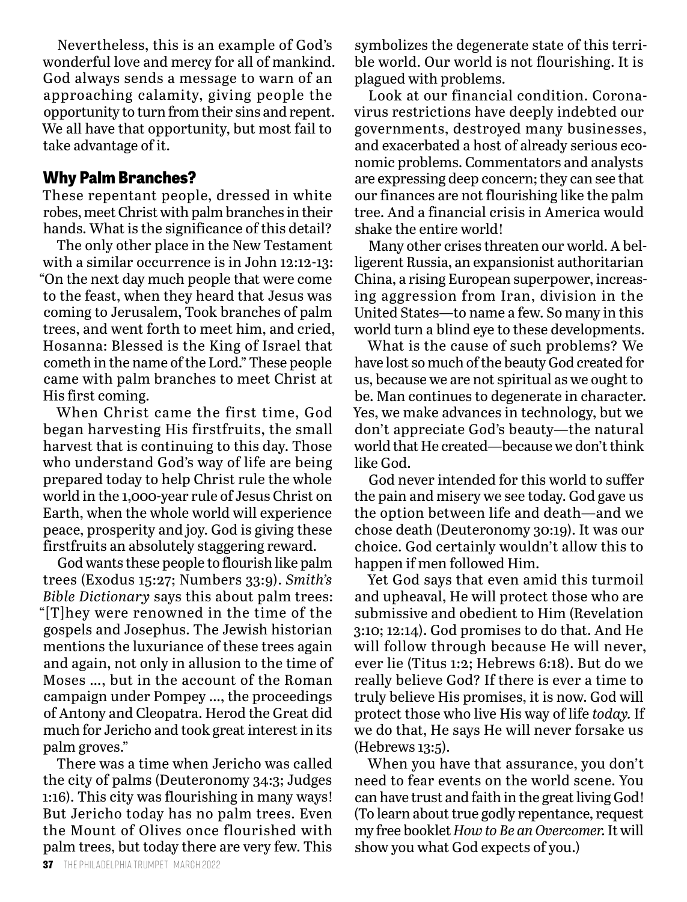Nevertheless, this is an example of God's wonderful love and mercy for all of mankind. God always sends a message to warn of an approaching calamity, giving people the opportunity to turn from their sins and repent. We all have that opportunity, but most fail to take advantage of it.

#### **Why Palm Branches?**

These repentant people, dressed in white robes, meet Christ with palm branches in their hands. What is the significance of this detail?

The only other place in the New Testament with a similar occurrence is in John 12:12-13: "On the next day much people that were come to the feast, when they heard that Jesus was coming to Jerusalem, Took branches of palm trees, and went forth to meet him, and cried, Hosanna: Blessed is the King of Israel that cometh in the name of the Lord." These people came with palm branches to meet Christ at His first coming.

When Christ came the first time, God began harvesting His firstfruits, the small harvest that is continuing to this day. Those who understand God's way of life are being prepared today to help Christ rule the whole world in the 1,000-year rule of Jesus Christ on Earth, when the whole world will experience peace, prosperity and joy. God is giving these firstfruits an absolutely staggering reward.

God wants these people to flourish like palm trees (Exodus 15:27; Numbers 33:9). *Smith's Bible Dictionary* says this about palm trees: "[T]hey were renowned in the time of the gospels and Josephus. The Jewish historian mentions the luxuriance of these trees again and again, not only in allusion to the time of Moses …, but in the account of the Roman campaign under Pompey …, the proceedings of Antony and Cleopatra. Herod the Great did much for Jericho and took great interest in its palm groves."

There was a time when Jericho was called the city of palms (Deuteronomy 34:3; Judges 1:16). This city was flourishing in many ways! But Jericho today has no palm trees. Even the Mount of Olives once flourished with palm trees, but today there are very few. This

symbolizes the degenerate state of this terrible world. Our world is not flourishing. It is plagued with problems.

Look at our financial condition. Coronavirus restrictions have deeply indebted our governments, destroyed many businesses, and exacerbated a host of already serious economic problems. Commentators and analysts are expressing deep concern; they can see that our finances are not flourishing like the palm tree. And a financial crisis in America would shake the entire world!

Many other crises threaten our world. A belligerent Russia, an expansionist authoritarian China, a rising European superpower, increasing aggression from Iran, division in the United States—to name a few. So many in this world turn a blind eye to these developments.

What is the cause of such problems? We have lost so much of the beauty God created for us, because we are not spiritual as we ought to be. Man continues to degenerate in character. Yes, we make advances in technology, but we don't appreciate God's beauty—the natural world that He created—because we don't think like God.

God never intended for this world to suffer the pain and misery we see today. God gave us the option between life and death—and we chose death (Deuteronomy 30:19). It was our choice. God certainly wouldn't allow this to happen if men followed Him.

Yet God says that even amid this turmoil and upheaval, He will protect those who are submissive and obedient to Him (Revelation 3:10; 12:14). God promises to do that. And He will follow through because He will never, ever lie (Titus 1:2; Hebrews 6:18). But do we really believe God? If there is ever a time to truly believe His promises, it is now. God will protect those who live His way of life *today.* If we do that, He says He will never forsake us (Hebrews 13:5).

When you have that assurance, you don't need to fear events on the world scene. You can have trust and faith in the great living God! (To learn about true godly repentance, request my free booklet *How to Be an Overcomer.* It will show you what God expects of you.)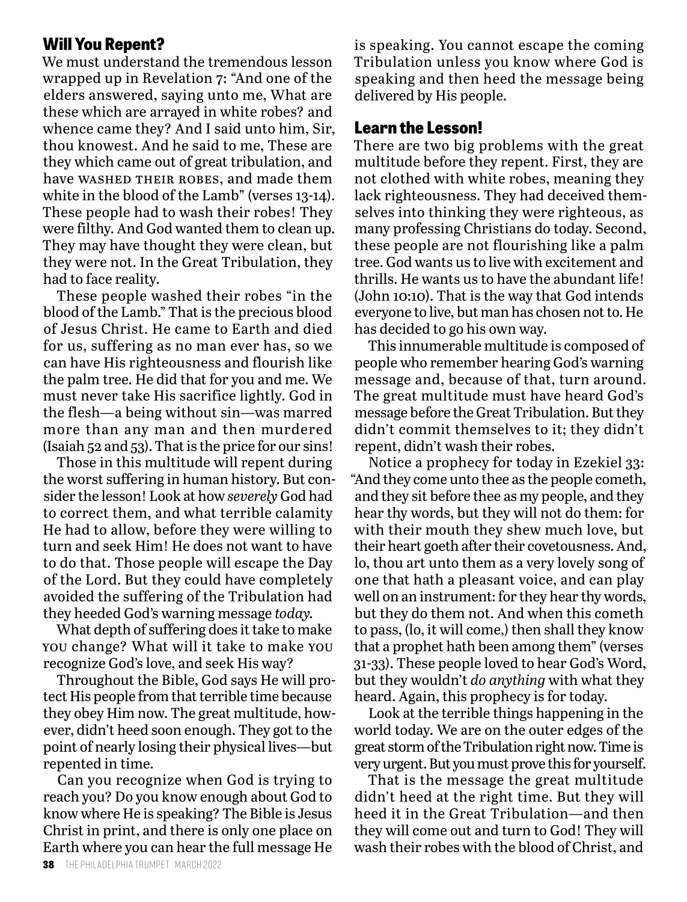### **Will You Repent?**

We must understand the tremendous lesson wrapped up in Revelation 7: "And one of the elders answered, saying unto me, What are these which are arrayed in white robes? and whence came they? And I said unto him, Sir, thou knowest. And he said to me, These are they which came out of great tribulation, and have WASHED THEIR ROBES, and made them white in the blood of the Lamb" (verses 13-14). These people had to wash their robes! They were filthy. And God wanted them to clean up. They may have thought they were clean, but they were not. In the Great Tribulation, they had to face reality.

These people washed their robes "in the blood of the Lamb." That is the precious blood of Jesus Christ. He came to Earth and died for us, suffering as no man ever has, so we can have His righteousness and flourish like the palm tree. He did that for you and me. We must never take His sacrifice lightly. God in the flesh—a being without sin—was marred more than any man and then murdered (Isaiah 52 and 53). That is the price for our sins!

Those in this multitude will repent during the worst suffering in human history. But consider the lesson! Look at how *severely* God had to correct them, and what terrible calamity He had to allow, before they were willing to turn and seek Him! He does not want to have to do that. Those people will escape the Day of the Lord. But they could have completely avoided the suffering of the Tribulation had they heeded God's warning message *today.*

What depth of suffering does it take to make you change? What will it take to make you recognize God's love, and seek His way?

Throughout the Bible, God says He will protect His people from that terrible time because they obey Him now. The great multitude, however, didn't heed soon enough. They got to the point of nearly losing their physical lives—but repented in time.

Can you recognize when God is trying to reach you? Do you know enough about God to know where He is speaking? The Bible is Jesus Christ in print, and there is only one place on Earth where you can hear the full message He is speaking. You cannot escape the coming Tribulation unless you know where God is speaking and then heed the message being delivered by His people.

#### **Learn the Lesson!**

There are two big problems with the great multitude before they repent. First, they are not clothed with white robes, meaning they lack righteousness. They had deceived themselves into thinking they were righteous, as many professing Christians do today. Second, these people are not flourishing like a palm tree. God wants us to live with excitement and thrills. He wants us to have the abundant life! (John 10:10). That is the way that God intends everyone to live, but man has chosen not to. He has decided to go his own way.

This innumerable multitude is composed of people who remember hearing God's warning message and, because of that, turn around. The great multitude must have heard God's message before the Great Tribulation. But they didn't commit themselves to it; they didn't repent, didn't wash their robes.

Notice a prophecy for today in Ezekiel 33: "And they come unto thee as the people cometh, and they sit before thee as my people, and they hear thy words, but they will not do them: for with their mouth they shew much love, but their heart goeth after their covetousness. And, lo, thou art unto them as a very lovely song of one that hath a pleasant voice, and can play well on an instrument: for they hear thy words, but they do them not. And when this cometh to pass, (lo, it will come,) then shall they know that a prophet hath been among them" (verses 31-33). These people loved to hear God's Word, but they wouldn't *do anything* with what they heard. Again, this prophecy is for today.

Look at the terrible things happening in the world today. We are on the outer edges of the great storm of the Tribulation right now. Time is very urgent. But you must prove this for yourself.

That is the message the great multitude didn't heed at the right time. But they will heed it in the Great Tribulation—and then they will come out and turn to God! They will wash their robes with the blood of Christ, and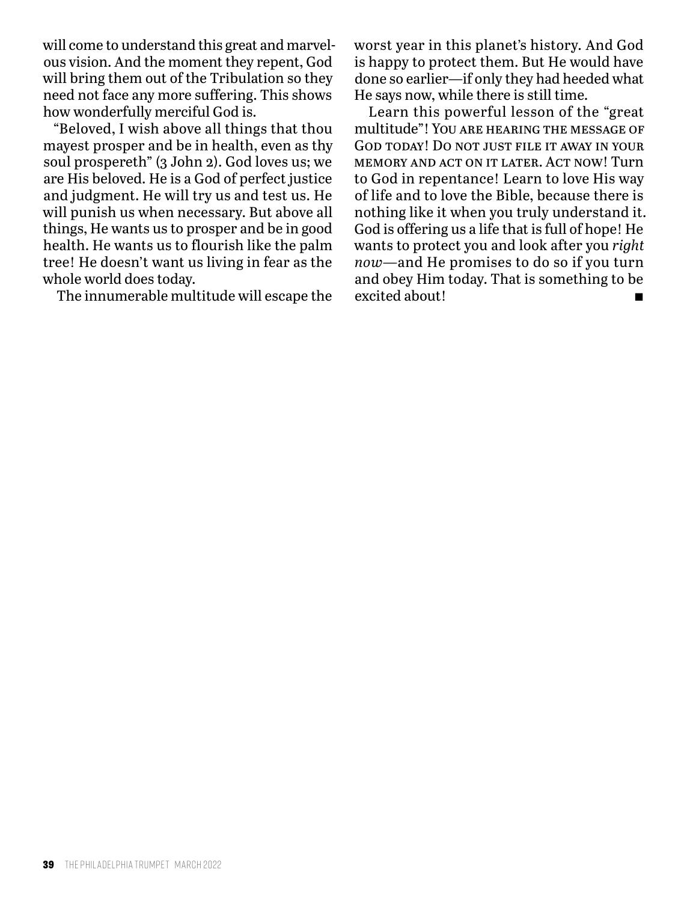will come to understand this great and marvelous vision. And the moment they repent, God will bring them out of the Tribulation so they need not face any more suffering. This shows how wonderfully merciful God is.

"Beloved, I wish above all things that thou mayest prosper and be in health, even as thy soul prospereth" (3 John 2). God loves us; we are His beloved. He is a God of perfect justice and judgment. He will try us and test us. He will punish us when necessary. But above all things, He wants us to prosper and be in good health. He wants us to flourish like the palm tree! He doesn't want us living in fear as the whole world does today.

The innumerable multitude will escape the

worst year in this planet's history. And God is happy to protect them. But He would have done so earlier—if only they had heeded what He says now, while there is still time.

Learn this powerful lesson of the "great multitude"! You are hearing the message of God today! Do not just file it away in your memory and act on it later. Act now! Turn to God in repentance! Learn to love His way of life and to love the Bible, because there is nothing like it when you truly understand it. God is offering us a life that is full of hope! He wants to protect you and look after you *right now—*and He promises to do so if you turn and obey Him today. That is something to be excited about!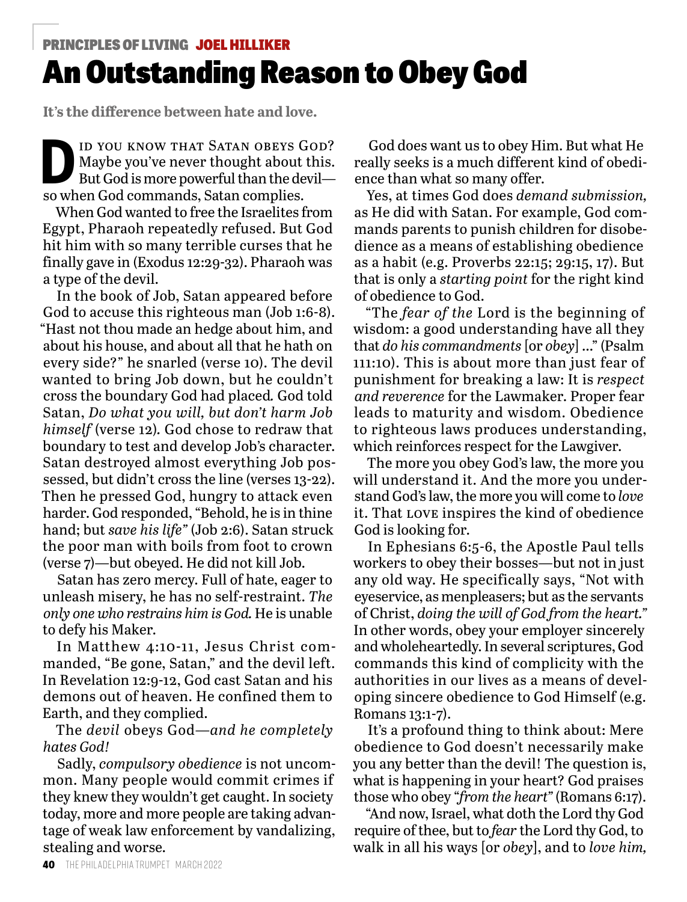# PRINCIPLES OF LIVING JOEL HILLIKER

# An Outstanding Reason to Obey God

**It's the difference between hate and love.**

ID YOU KNOW THAT SATAN OBEYS GOD?<br>Maybe you've never thought about this.<br>But God is more powerful than the devil— Maybe you've never thought about this. But God is more powerful than the devil so when God commands, Satan complies.

When God wanted to free the Israelites from Egypt, Pharaoh repeatedly refused. But God hit him with so many terrible curses that he finally gave in (Exodus 12:29-32). Pharaoh was a type of the devil.

In the book of Job, Satan appeared before God to accuse this righteous man (Job 1:6-8). "Hast not thou made an hedge about him, and about his house, and about all that he hath on every side?" he snarled (verse 10). The devil wanted to bring Job down, but he couldn't cross the boundary God had placed*.* God told Satan, *Do what you will, but don't harm Job himself* (verse 12)*.* God chose to redraw that boundary to test and develop Job's character. Satan destroyed almost everything Job possessed, but didn't cross the line (verses 13-22). Then he pressed God, hungry to attack even harder. God responded, "Behold, he is in thine hand; but *save his life"* (Job 2:6). Satan struck the poor man with boils from foot to crown (verse 7)—but obeyed. He did not kill Job.

Satan has zero mercy. Full of hate, eager to unleash misery, he has no self-restraint. *The only one who restrains him is God.* He is unable to defy his Maker.

In Matthew 4:10-11, Jesus Christ commanded, "Be gone, Satan," and the devil left. In Revelation 12:9-12, God cast Satan and his demons out of heaven. He confined them to Earth, and they complied.

The *devil* obeys God—*and he completely hates God!* 

Sadly, *compulsory obedience* is not uncommon. Many people would commit crimes if they knew they wouldn't get caught. In society today, more and more people are taking advantage of weak law enforcement by vandalizing, stealing and worse.

God does want us to obey Him. But what He really seeks is a much different kind of obedience than what so many offer.

Yes, at times God does *demand submission,*  as He did with Satan. For example, God commands parents to punish children for disobedience as a means of establishing obedience as a habit (e.g. Proverbs 22:15; 29:15, 17). But that is only a *starting point* for the right kind of obedience to God.

"The *fear of the* Lord is the beginning of wisdom: a good understanding have all they that *do his commandments* [or *obey*] …" (Psalm 111:10). This is about more than just fear of punishment for breaking a law: It is *respect and reverence* for the Lawmaker. Proper fear leads to maturity and wisdom. Obedience to righteous laws produces understanding, which reinforces respect for the Lawgiver.

The more you obey God's law, the more you will understand it. And the more you understand God's law, the more you will come to *love* it. That love inspires the kind of obedience God is looking for.

In Ephesians 6:5-6, the Apostle Paul tells workers to obey their bosses—but not in just any old way. He specifically says, "Not with eyeservice, as menpleasers; but as the servants of Christ, *doing the will of God from the heart."*  In other words, obey your employer sincerely and wholeheartedly. In several scriptures, God commands this kind of complicity with the authorities in our lives as a means of developing sincere obedience to God Himself (e.g. Romans 13:1-7).

It's a profound thing to think about: Mere obedience to God doesn't necessarily make you any better than the devil! The question is, what is happening in your heart? God praises those who obey "*from the heart"* (Romans 6:17).

"And now, Israel, what doth the Lord thy God require of thee, but to *fear* the Lord thy God, to walk in all his ways [or *obey*], and to *love him,*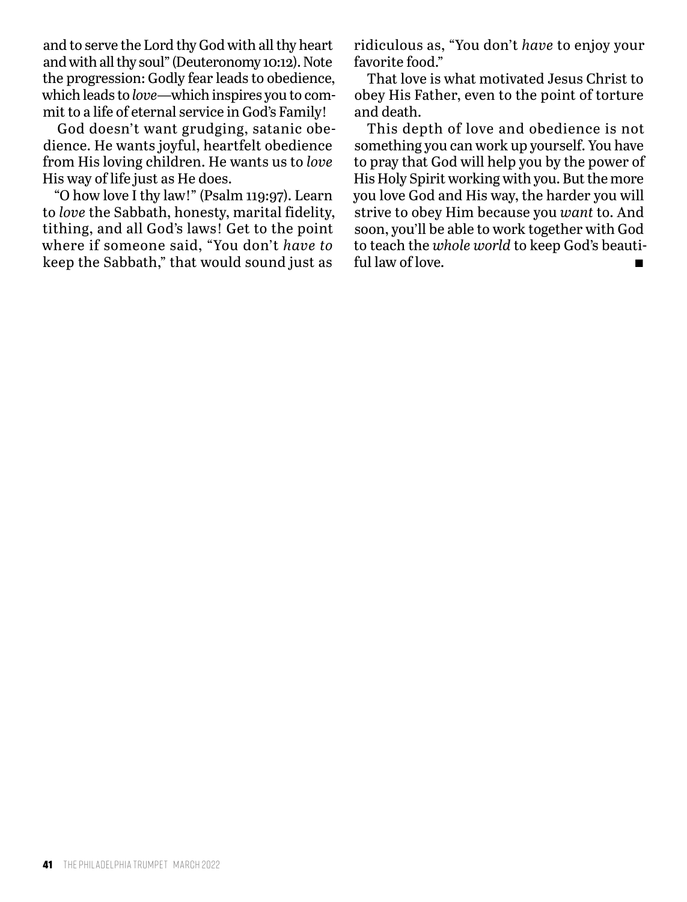and to serve the Lord thy God with all thy heart and with all thy soul" (Deuteronomy 10:12). Note the progression: Godly fear leads to obedience, which leads to *love*—which inspires you to commit to a life of eternal service in God's Family!

God doesn't want grudging, satanic obedience. He wants joyful, heartfelt obedience from His loving children. He wants us to *love* His way of life just as He does.

"O how love I thy law!" (Psalm 119:97). Learn to *love* the Sabbath, honesty, marital fidelity, tithing, and all God's laws! Get to the point where if someone said, "You don't *have to* keep the Sabbath," that would sound just as

ridiculous as, "You don't *have* to enjoy your favorite food."

That love is what motivated Jesus Christ to obey His Father, even to the point of torture and death.

This depth of love and obedience is not something you can work up yourself. You have to pray that God will help you by the power of His Holy Spirit working with you. But the more you love God and His way, the harder you will strive to obey Him because you *want* to. And soon, you'll be able to work together with God to teach the *whole world* to keep God's beautiful law of love.  $\blacksquare$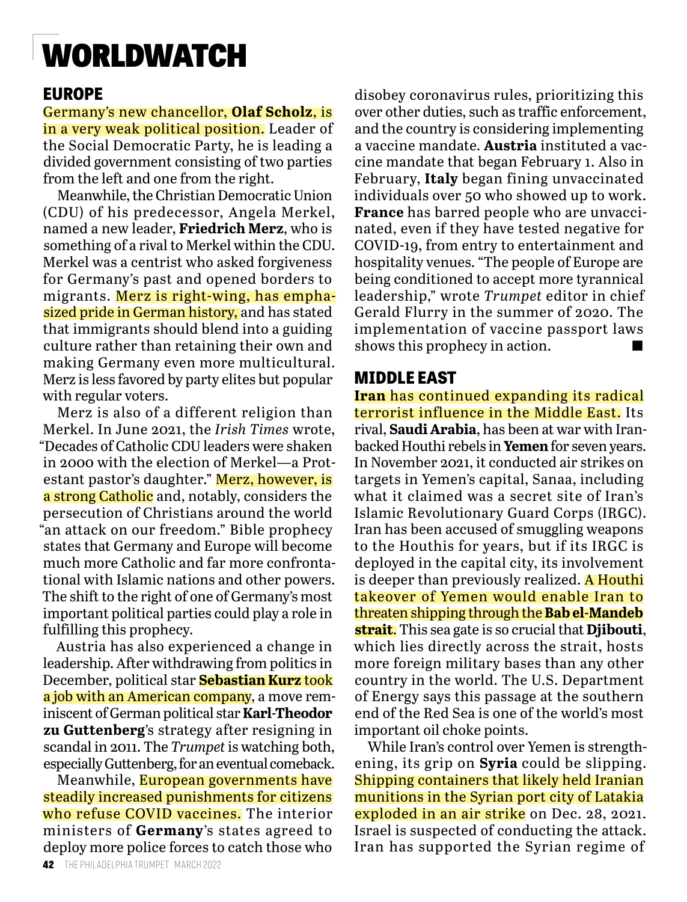# WORLDWATCH

# **EUROPE**

Germany's new chancellor, **Olaf Scholz**, is in a very weak political position. Leader of the Social Democratic Party, he is leading a divided government consisting of two parties from the left and one from the right.

Meanwhile, the Christian Democratic Union (CDU) of his predecessor, Angela Merkel, named a new leader, **Friedrich Merz**, who is something of a rival to Merkel within the CDU. Merkel was a centrist who asked forgiveness for Germany's past and opened borders to migrants. Merz is right-wing, has emphasized pride in German history, and has stated that immigrants should blend into a guiding culture rather than retaining their own and making Germany even more multicultural. Merz is less favored by party elites but popular with regular voters.

Merz is also of a different religion than Merkel. In June 2021, the *Irish Times* wrote, "Decades of Catholic CDU leaders were shaken in 2000 with the election of Merkel—a Protestant pastor's daughter." Merz, however, is a strong Catholic and, notably, considers the persecution of Christians around the world "an attack on our freedom." Bible prophecy states that Germany and Europe will become much more Catholic and far more confrontational with Islamic nations and other powers. The shift to the right of one of Germany's most important political parties could play a role in fulfilling this prophecy.

Austria has also experienced a change in leadership. After withdrawing from politics in December, political star **Sebastian Kurz** took a job with an American company, a move reminiscent of German political star **Karl-Theodor zu Guttenberg**'s strategy after resigning in scandal in 2011. The *Trumpet* is watching both, especially Guttenberg, for an eventual comeback.

Meanwhile, European governments have steadily increased punishments for citizens who refuse COVID vaccines. The interior ministers of **Germany**'s states agreed to deploy more police forces to catch those who

disobey coronavirus rules, prioritizing this over other duties, such as traffic enforcement, and the country is considering implementing a vaccine mandate. **Austria** instituted a vaccine mandate that began February 1. Also in February, **Italy** began fining unvaccinated individuals over 50 who showed up to work. **France** has barred people who are unvaccinated, even if they have tested negative for COVID-19, from entry to entertainment and hospitality venues. "The people of Europe are being conditioned to accept more tyrannical leadership," wrote *Trumpet* editor in chief Gerald Flurry in the summer of 2020. The implementation of vaccine passport laws shows this prophecy in action.

## **MIDDLE EAST**

**Iran** has continued expanding its radical terrorist influence in the Middle East. Its rival, **Saudi Arabia**, has been at war with Iranbacked Houthi rebels in **Yemen** for seven years. In November 2021, it conducted air strikes on targets in Yemen's capital, Sanaa, including what it claimed was a secret site of Iran's Islamic Revolutionary Guard Corps (IRGC). Iran has been accused of smuggling weapons to the Houthis for years, but if its IRGC is deployed in the capital city, its involvement is deeper than previously realized. A Houthi takeover of Yemen would enable Iran to threaten shipping through the **Bab el-Mandeb strait**. This sea gate is so crucial that **Djibouti**, which lies directly across the strait, hosts more foreign military bases than any other country in the world. The U.S. Department of Energy says this passage at the southern end of the Red Sea is one of the world's most important oil choke points.

While Iran's control over Yemen is strengthening, its grip on **Syria** could be slipping. Shipping containers that likely held Iranian munitions in the Syrian port city of Latakia exploded in an air strike on Dec. 28, 2021. Israel is suspected of conducting the attack. Iran has supported the Syrian regime of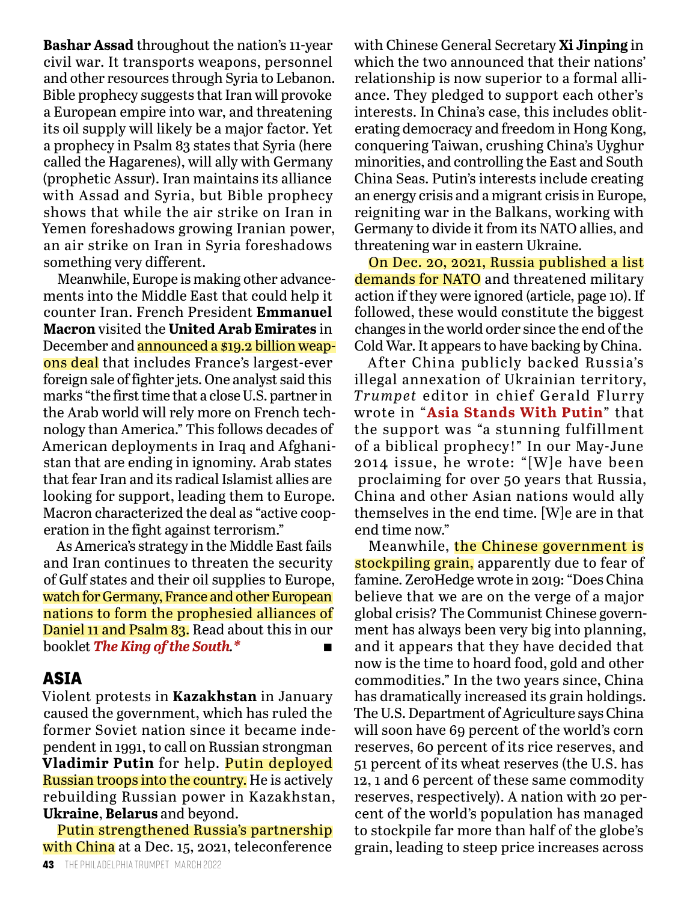**Bashar Assad** throughout the nation's 11-year civil war. It transports weapons, personnel and other resources through Syria to Lebanon. Bible prophecy suggests that Iran will provoke a European empire into war, and threatening its oil supply will likely be a major factor. Yet a prophecy in Psalm 83 states that Syria (here called the Hagarenes), will ally with Germany (prophetic Assur). Iran maintains its alliance with Assad and Syria, but Bible prophecy shows that while the air strike on Iran in Yemen foreshadows growing Iranian power, an air strike on Iran in Syria foreshadows something very different.

Meanwhile, Europe is making other advancements into the Middle East that could help it counter Iran. French President **Emmanuel Macron** visited the **United Arab Emirates** in December and announced a \$19.2 billion weapons deal that includes France's largest-ever foreign sale of fighter jets. One analyst said this marks "the first time that a close U.S. partner in the Arab world will rely more on French technology than America." This follows decades of American deployments in Iraq and Afghanistan that are ending in ignominy. Arab states that fear Iran and its radical Islamist allies are looking for support, leading them to Europe. Macron characterized the deal as "active cooperation in the fight against terrorism."

As America's strategy in the Middle East fails and Iran continues to threaten the security of Gulf states and their oil supplies to Europe, watch for Germany, France and other European nations to form the prophesied alliances of Daniel 11 and Psalm 83. Read about this in our booklet *The King of the South.\** n

### **ASIA**

Violent protests in **Kazakhstan** in January caused the government, which has ruled the former Soviet nation since it became independent in 1991, to call on Russian strongman **Vladimir Putin** for help. Putin deployed Russian troops into the country. He is actively rebuilding Russian power in Kazakhstan, **Ukraine**, **Belarus** and beyond.

Putin strengthened Russia's partnership with China at a Dec. 15, 2021, teleconference with Chinese General Secretary **Xi Jinping** in which the two announced that their nations' relationship is now superior to a formal alliance. They pledged to support each other's interests. In China's case, this includes obliterating democracy and freedom in Hong Kong, conquering Taiwan, crushing China's Uyghur minorities, and controlling the East and South China Seas. Putin's interests include creating an energy crisis and a migrant crisis in Europe, reigniting war in the Balkans, working with Germany to divide it from its NATO allies, and threatening war in eastern Ukraine.

On Dec. 20, 2021, Russia published a list demands for NATO and threatened military action if they were ignored (article, page 10). If followed, these would constitute the biggest changes in the world order since the end of the Cold War. It appears to have backing by China.

After China publicly backed Russia's illegal annexation of Ukrainian territory, *Trumpet* editor in chief Gerald Flurry wrote in "**Asia Stands With Putin**" that the support was "a stunning fulfillment of a biblical prophecy!" In our May-June 2014 issue, he wrote: "[W]e have been proclaiming for over 50 years that Russia, China and other Asian nations would ally themselves in the end time. [W]e are in that end time now."

Meanwhile, the Chinese government is stockpiling grain, apparently due to fear of famine. ZeroHedge wrote in 2019: "Does China believe that we are on the verge of a major global crisis? The Communist Chinese government has always been very big into planning, and it appears that they have decided that now is the time to hoard food, gold and other commodities." In the two years since, China has dramatically increased its grain holdings. The U.S. Department of Agriculture says China will soon have 69 percent of the world's corn reserves, 60 percent of its rice reserves, and 51 percent of its wheat reserves (the U.S. has 12, 1 and 6 percent of these same commodity reserves, respectively). A nation with 20 percent of the world's population has managed to stockpile far more than half of the globe's grain, leading to steep price increases across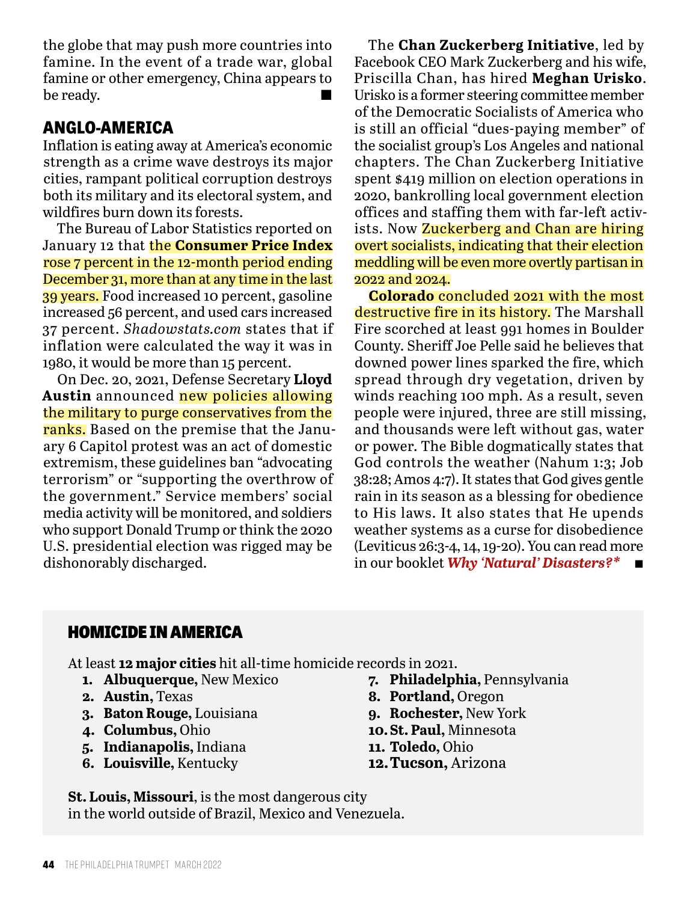the globe that may push more countries into famine. In the event of a trade war, global famine or other emergency, China appears to be ready.  $\blacksquare$ 

# **ANGLO-AMERICA**

Inflation is eating away at America's economic strength as a crime wave destroys its major cities, rampant political corruption destroys both its military and its electoral system, and wildfires burn down its forests.

The Bureau of Labor Statistics reported on January 12 that the **Consumer Price Index**  rose 7 percent in the 12-month period ending December 31, more than at any time in the last 39 years. Food increased 10 percent, gasoline increased 56 percent, and used cars increased 37 percent. *Shadowstats.com* states that if inflation were calculated the way it was in 1980, it would be more than 15 percent.

On Dec. 20, 2021, Defense Secretary **Lloyd Austin** announced new policies allowing the military to purge conservatives from the ranks. Based on the premise that the January 6 Capitol protest was an act of domestic extremism, these guidelines ban "advocating terrorism" or "supporting the overthrow of the government." Service members' social media activity will be monitored, and soldiers who support Donald Trump or think the 2020 U.S. presidential election was rigged may be dishonorably discharged.

The **Chan Zuckerberg Initiative**, led by Facebook CEO Mark Zuckerberg and his wife, Priscilla Chan, has hired **Meghan Urisko**. Urisko is a former steering committee member of the Democratic Socialists of America who is still an official "dues-paying member" of the socialist group's Los Angeles and national chapters. The Chan Zuckerberg Initiative spent \$419 million on election operations in 2020, bankrolling local government election offices and staffing them with far-left activists. Now **Zuckerberg and Chan are hiring** overt socialists, indicating that their election meddling will be even more overtly partisan in 2022 and 2024.

**Colorado** concluded 2021 with the most destructive fire in its history. The Marshall Fire scorched at least 991 homes in Boulder County. Sheriff Joe Pelle said he believes that downed power lines sparked the fire, which spread through dry vegetation, driven by winds reaching 100 mph. As a result, seven people were injured, three are still missing, and thousands were left without gas, water or power. The Bible dogmatically states that God controls the weather (Nahum 1:3; Job 38:28; Amos 4:7). It states that God gives gentle rain in its season as a blessing for obedience to His laws. It also states that He upends weather systems as a curse for disobedience (Leviticus 26:3-4, 14, 19-20). You can read more in our booklet *Why 'Natural' Disasters?\** n

### HOMICIDE IN AMERICA

At least **12 major cities** hit all-time homicide records in 2021.

- **1. Albuquerque,** New Mexico
- **2. Austin,** Texas
- **3. Baton Rouge,** Louisiana
- **4. Columbus,** Ohio
- **5. Indianapolis,** Indiana
- **6. Louisville,** Kentucky
- **7. Philadelphia,** Pennsylvania
- **8. Portland,** Oregon
- **9. Rochester,** New York
- **10.St. Paul,** Minnesota
- **11. Toledo,** Ohio
- **12.Tucson,** Arizona

**St. Louis, Missouri**, is the most dangerous city in the world outside of Brazil, Mexico and Venezuela.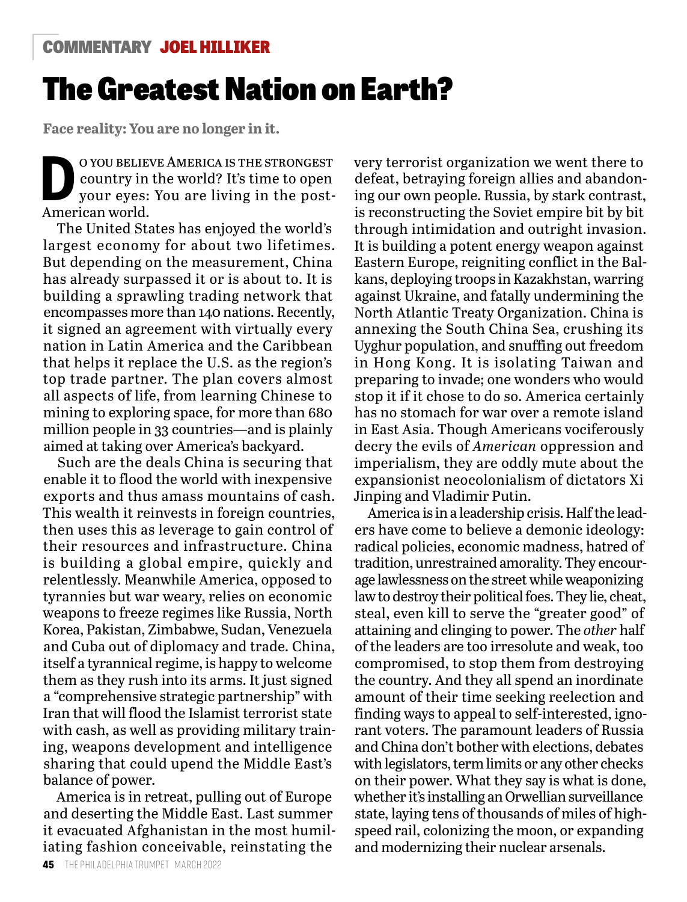## COMMENTARY JOEL HILLIKER

# The Greatest Nation on Earth?

**Face reality: You are no longer in it.**

O YOU BELIEVE AMERICA IS THE STRONGEST<br>
country in the world? It's time to open<br>
your eyes: You are living in the postcountry in the world? It's time to open American world.

The United States has enjoyed the world's largest economy for about two lifetimes. But depending on the measurement, China has already surpassed it or is about to. It is building a sprawling trading network that encompasses more than 140 nations. Recently, it signed an agreement with virtually every nation in Latin America and the Caribbean that helps it replace the U.S. as the region's top trade partner. The plan covers almost all aspects of life, from learning Chinese to mining to exploring space, for more than 680 million people in 33 countries—and is plainly aimed at taking over America's backyard.

Such are the deals China is securing that enable it to flood the world with inexpensive exports and thus amass mountains of cash. This wealth it reinvests in foreign countries, then uses this as leverage to gain control of their resources and infrastructure. China is building a global empire, quickly and relentlessly. Meanwhile America, opposed to tyrannies but war weary, relies on economic weapons to freeze regimes like Russia, North Korea, Pakistan, Zimbabwe, Sudan, Venezuela and Cuba out of diplomacy and trade. China, itself a tyrannical regime, is happy to welcome them as they rush into its arms. It just signed a "comprehensive strategic partnership" with Iran that will flood the Islamist terrorist state with cash, as well as providing military training, weapons development and intelligence sharing that could upend the Middle East's balance of power.

America is in retreat, pulling out of Europe and deserting the Middle East. Last summer it evacuated Afghanistan in the most humiliating fashion conceivable, reinstating the

very terrorist organization we went there to defeat, betraying foreign allies and abandoning our own people. Russia, by stark contrast, is reconstructing the Soviet empire bit by bit through intimidation and outright invasion. It is building a potent energy weapon against Eastern Europe, reigniting conflict in the Balkans, deploying troops in Kazakhstan, warring against Ukraine, and fatally undermining the North Atlantic Treaty Organization. China is annexing the South China Sea, crushing its Uyghur population, and snuffing out freedom in Hong Kong. It is isolating Taiwan and preparing to invade; one wonders who would stop it if it chose to do so. America certainly has no stomach for war over a remote island in East Asia. Though Americans vociferously decry the evils of *American* oppression and imperialism, they are oddly mute about the expansionist neocolonialism of dictators Xi Jinping and Vladimir Putin.

America is in a leadership crisis. Half the leaders have come to believe a demonic ideology: radical policies, economic madness, hatred of tradition, unrestrained amorality. They encourage lawlessness on the street while weaponizing law to destroy their political foes. They lie, cheat, steal, even kill to serve the "greater good" of attaining and clinging to power. The *other* half of the leaders are too irresolute and weak, too compromised, to stop them from destroying the country. And they all spend an inordinate amount of their time seeking reelection and finding ways to appeal to self-interested, ignorant voters. The paramount leaders of Russia and China don't bother with elections, debates with legislators, term limits or any other checks on their power. What they say is what is done, whether it's installing an Orwellian surveillance state, laying tens of thousands of miles of highspeed rail, colonizing the moon, or expanding and modernizing their nuclear arsenals.